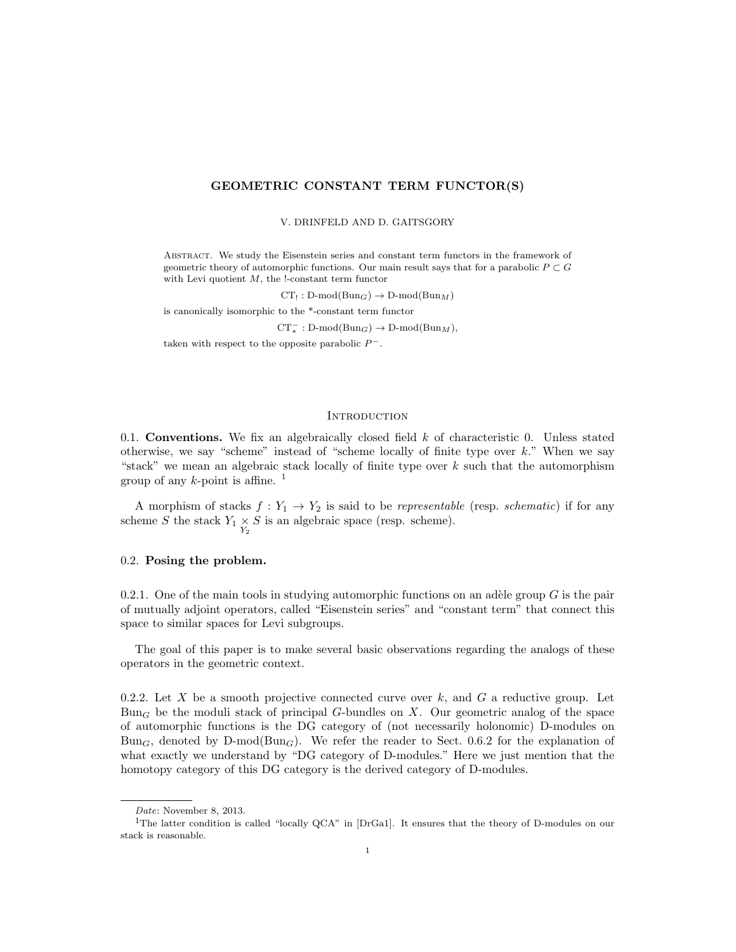### GEOMETRIC CONSTANT TERM FUNCTOR(S)

#### V. DRINFELD AND D. GAITSGORY

Abstract. We study the Eisenstein series and constant term functors in the framework of geometric theory of automorphic functions. Our main result says that for a parabolic  $P \subset G$ with Levi quotient  $M$ , the !-constant term functor

 $CT_! : D\text{-mod}(Bun_G) \to D\text{-mod}(Bun_M)$ 

is canonically isomorphic to the \*-constant term functor

 $CT_*^- : D\text{-mod}(Bun_G) \to D\text{-mod}(Bun_M),$ 

taken with respect to the opposite parabolic  $P^-$ .

### **INTRODUCTION**

0.1. **Conventions.** We fix an algebraically closed field  $k$  of characteristic 0. Unless stated otherwise, we say "scheme" instead of "scheme locally of finite type over  $k$ ." When we say "stack" we mean an algebraic stack locally of finite type over  $k$  such that the automorphism group of any  $k$ -point is affine. <sup>1</sup>

A morphism of stacks  $f: Y_1 \to Y_2$  is said to be *representable* (resp. *schematic*) if for any scheme S the stack  $Y_1 \times S$  is an algebraic space (resp. scheme).

### 0.2. Posing the problem.

0.2.1. One of the main tools in studying automorphic functions on an adèle group  $G$  is the pair of mutually adjoint operators, called "Eisenstein series" and "constant term" that connect this space to similar spaces for Levi subgroups.

The goal of this paper is to make several basic observations regarding the analogs of these operators in the geometric context.

0.2.2. Let X be a smooth projective connected curve over k, and G a reductive group. Let  $Bun<sub>G</sub>$  be the moduli stack of principal G-bundles on X. Our geometric analog of the space of automorphic functions is the DG category of (not necessarily holonomic) D-modules on  $Bun_G$ , denoted by  $D-mod(Bun_G)$ . We refer the reader to Sect. 0.6.2 for the explanation of what exactly we understand by "DG category of D-modules." Here we just mention that the homotopy category of this DG category is the derived category of D-modules.

Date: November 8, 2013.

<sup>1</sup>The latter condition is called "locally QCA" in [DrGa1]. It ensures that the theory of D-modules on our stack is reasonable.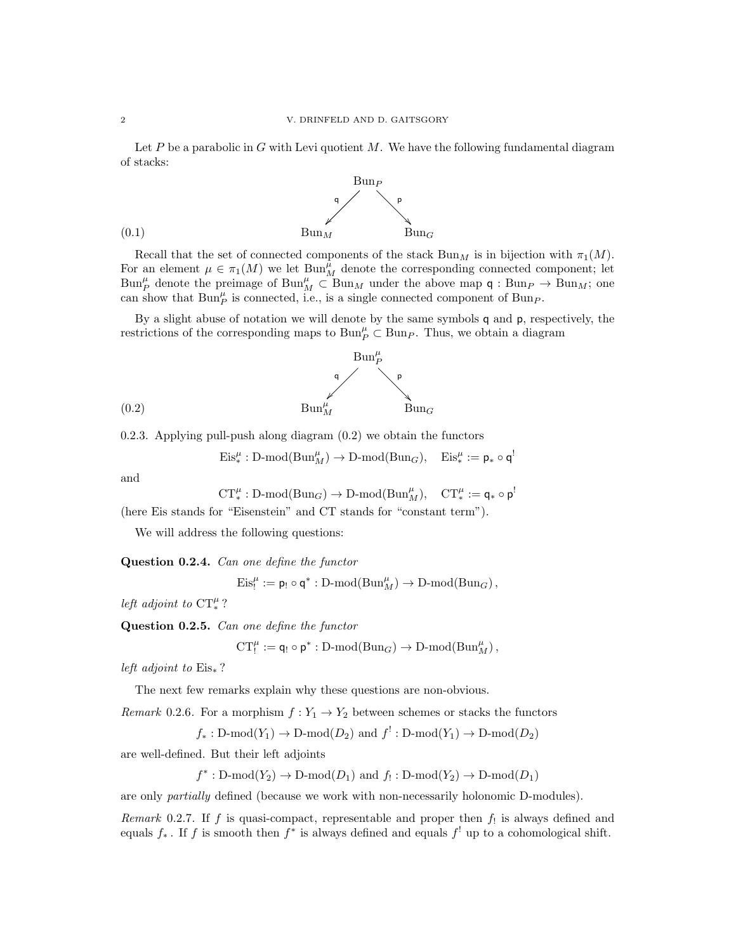Let P be a parabolic in G with Levi quotient M. We have the following fundamental diagram of stacks:



Recall that the set of connected components of the stack  $Bun_M$  is in bijection with  $\pi_1(M)$ . For an element  $\mu \in \pi_1(M)$  we let  $\text{Bun}_M^{\mu}$  denote the corresponding connected component; let  $\text{Bun}_{P}^{\mu}$  denote the preimage of  $\text{Bun}_{M}^{\mu} \subset \text{Bun}_{M}$  under the above map  $\mathsf{q}: \text{Bun}_{P} \to \text{Bun}_{M}$ ; one can show that  $\text{Bun}_{P}^{\mu}$  is connected, i.e., is a single connected component of  $\text{Bun}_{P}$ .

By a slight abuse of notation we will denote by the same symbols q and p, respectively, the restrictions of the corresponding maps to  $\text{Bun}_{P}^{\mu} \subset \text{Bun}_{P}$ . Thus, we obtain a diagram



0.2.3. Applying pull-push along diagram (0.2) we obtain the functors

$$
\mathrm{Eis}^\mu_* : \mathrm{D\text{-}mod}(\mathrm{Bun}_M^\mu) \to \mathrm{D\text{-}mod}(\mathrm{Bun}_G), \quad \mathrm{Eis}^\mu_* := \mathsf{p}_* \circ \mathsf{q}^!
$$

and

$$
\operatorname{CT}^\mu_*: \operatorname{D-mod}(\operatorname{Bun}_G) \to \operatorname{D-mod}(\operatorname{Bun}_M^\mu), \quad \operatorname{CT}^\mu_*:= \mathsf{q}_* \circ \mathsf{p}^!
$$

(here Eis stands for "Eisenstein" and CT stands for "constant term").

We will address the following questions:

Question 0.2.4. Can one define the functor

 $\mathrm{Eis}^{\mu}_! := \mathsf{p}_! \circ \mathsf{q}^* : \mathrm{D-mod}(\mathrm{Bun}^{\mu}_M) \to \mathrm{D-mod}(\mathrm{Bun}_G)$ ,

left adjoint to  $CT_*^{\mu}$ ?

Question 0.2.5. Can one define the functor

 $CT_!^{\mu} := \mathsf{q}_! \circ \mathsf{p}^* : \mathrm{D-mod}(\mathrm{Bun}_G) \to \mathrm{D-mod}(\mathrm{Bun}_M^{\mu}),$ 

left adjoint to  $Eis_*$  ?

The next few remarks explain why these questions are non-obvious.

Remark 0.2.6. For a morphism  $f: Y_1 \to Y_2$  between schemes or stacks the functors

 $f_* : D\text{-mod}(Y_1) \to D\text{-mod}(D_2)$  and  $f' : D\text{-mod}(Y_1) \to D\text{-mod}(D_2)$ 

are well-defined. But their left adjoints

 $f^*: \text{D-mod}(Y_2) \to \text{D-mod}(D_1)$  and  $f_!:\text{D-mod}(Y_2) \to \text{D-mod}(D_1)$ 

are only partially defined (because we work with non-necessarily holonomic D-modules).

*Remark* 0.2.7. If f is quasi-compact, representable and proper then  $f_!$  is always defined and equals  $f_*$ . If f is smooth then  $f^*$  is always defined and equals  $f^!$  up to a cohomological shift.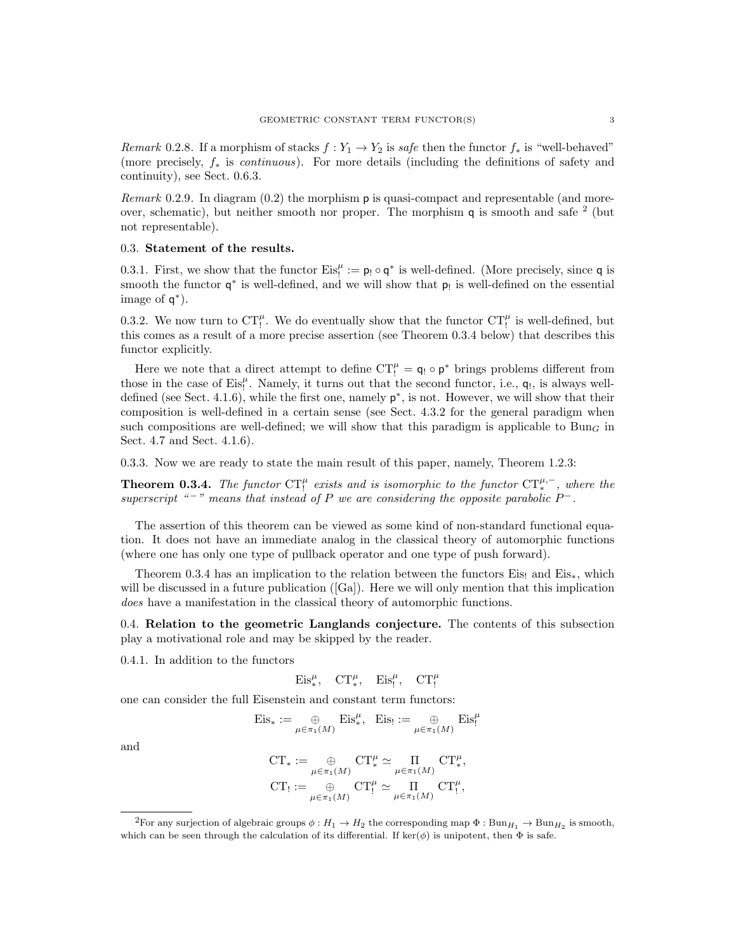Remark 0.2.8. If a morphism of stacks  $f: Y_1 \to Y_2$  is safe then the functor  $f_*$  is "well-behaved" (more precisely,  $f_*$  is *continuous*). For more details (including the definitions of safety and continuity), see Sect. 0.6.3.

Remark 0.2.9. In diagram (0.2) the morphism p is quasi-compact and representable (and moreover, schematic), but neither smooth nor proper. The morphism  $q$  is smooth and safe  $^2$  (but not representable).

#### 0.3. Statement of the results.

0.3.1. First, we show that the functor  $Eis_!^{\mu} := \mathsf{p}_! \circ \mathsf{q}^*$  is well-defined. (More precisely, since  $\mathsf{q}$  is smooth the functor  $q^*$  is well-defined, and we will show that  $p_!$  is well-defined on the essential image of  $q^*$ ).

0.3.2. We now turn to  $CT_!^{\mu}$ . We do eventually show that the functor  $CT_!^{\mu}$  is well-defined, but this comes as a result of a more precise assertion (see Theorem 0.3.4 below) that describes this functor explicitly.

Here we note that a direct attempt to define  $CT_!^{\mu} = \mathbf{q}_! \circ \mathbf{p}^*$  brings problems different from those in the case of  $Eis_!^{\mu}$ . Namely, it turns out that the second functor, i.e.,  $q_!,$  is always welldefined (see Sect. 4.1.6), while the first one, namely  $p^*$ , is not. However, we will show that their composition is well-defined in a certain sense (see Sect. 4.3.2 for the general paradigm when such compositions are well-defined; we will show that this paradigm is applicable to Bun<sub>G</sub> in Sect. 4.7 and Sect. 4.1.6).

0.3.3. Now we are ready to state the main result of this paper, namely, Theorem 1.2.3:

**Theorem 0.3.4.** The functor  $CT_!^{\mu}$  exists and is isomorphic to the functor  $CT_*^{\mu,-}$ , where the superscript "<sup>-</sup>" means that instead of P we are considering the opposite parabolic  $P^-$ .

The assertion of this theorem can be viewed as some kind of non-standard functional equation. It does not have an immediate analog in the classical theory of automorphic functions (where one has only one type of pullback operator and one type of push forward).

Theorem 0.3.4 has an implication to the relation between the functors Eis! and Eis<sub>\*</sub>, which will be discussed in a future publication ([Ga]). Here we will only mention that this implication does have a manifestation in the classical theory of automorphic functions.

0.4. Relation to the geometric Langlands conjecture. The contents of this subsection play a motivational role and may be skipped by the reader.

0.4.1. In addition to the functors

$$
\mathrm{Eis}_*^\mu,\quad \mathrm{CT}_*^\mu,\quad \mathrm{Eis}_!^\mu,\quad \mathrm{CT}_!^\mu
$$

one can consider the full Eisenstein and constant term functors:

$$
\mathrm{Eis}_* := \bigoplus_{\mu \in \pi_1(M)} \mathrm{Eis}^{\mu}_*, \quad \mathrm{Eis}_! := \bigoplus_{\mu \in \pi_1(M)} \mathrm{Eis}^{\mu}_!
$$

and

$$
\begin{aligned} \mathrm{CT}_*&:=\underset{\mu\in\pi_1(M)}{\oplus} \mathrm{CT}_*^\mu\simeq \underset{\mu\in\pi_1(M)}{\Pi}\mathrm{CT}_*^\mu,\\ \mathrm{CT}_!&:=\underset{\mu\in\pi_1(M)}{\oplus} \mathrm{CT}_!^\mu\simeq \underset{\mu\in\pi_1(M)}{\Pi}\mathrm{CT}_!^\mu, \end{aligned}
$$

<sup>&</sup>lt;sup>2</sup>For any surjection of algebraic groups  $\phi: H_1 \to H_2$  the corresponding map  $\Phi: Bun_{H_1} \to Bun_{H_2}$  is smooth, which can be seen through the calculation of its differential. If  $\ker(\phi)$  is unipotent, then  $\Phi$  is safe.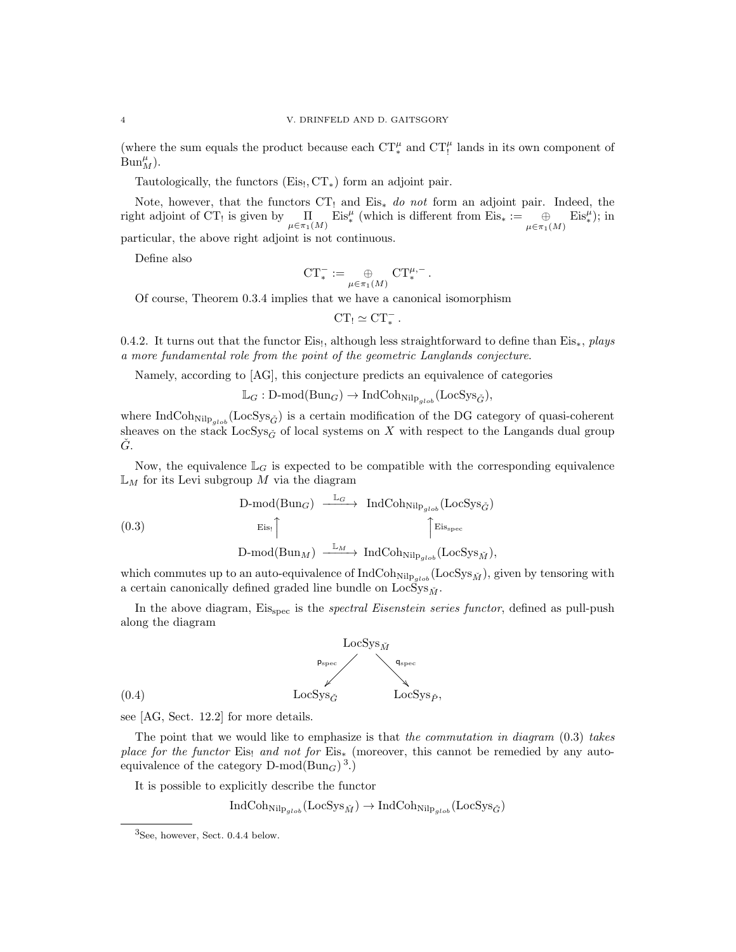(where the sum equals the product because each  $CT^{\mu}_{*}$  and  $CT^{\mu}_{!}$  lands in its own component of  $Bun_M^{\mu}$ ).

Tautologically, the functors  $(Eis, CT_*)$  form an adjoint pair.

Note, however, that the functors  $CT_1$  and  $Eis_*$  do not form an adjoint pair. Indeed, the right adjoint of CT<sub>!</sub> is given by  $\prod_{\mu \in \pi_1(M)}$  Eis<sup> $\mu$ </sup> (which is different from Eis<sub>\*</sub> :=  $\bigoplus_{\mu \in \pi_1(M)}$  Eis<sup> $\mu$ </sup>); in particular, the above right adjoint is not continuous.

Define also

$$
\mathrm{CT}^-_* := \underset{\mu \in \pi_1(M)}{\oplus} \mathrm{CT}^{\mu,-}_*.
$$

Of course, Theorem 0.3.4 implies that we have a canonical isomorphism

$$
CT_!\simeq CT_*^-.
$$

0.4.2. It turns out that the functor Eis!, although less straightforward to define than Eis\*, plays a more fundamental role from the point of the geometric Langlands conjecture.

Namely, according to [AG], this conjecture predicts an equivalence of categories

 $\mathbb{L}_G : D\text{-mod}(\text{Bun}_G) \to \text{IndCoh}_{\text{Nilp}_{alob}}(\text{LocSys}_{\check{G}}),$ 

where IndCoh<sub>Nilp<sub>eleb</sub> (LocSys<sub> $\tilde{G}$ </sub>) is a certain modification of the DG category of quasi-coherent</sub> sheaves on the stack LocSys<sub> $\zeta$ </sub> of local systems on X with respect to the Langands dual group  $\dot{G}$ .

Now, the equivalence  $\mathbb{L}_G$  is expected to be compatible with the corresponding equivalence  $\mathbb{L}_M$  for its Levi subgroup M via the diagram

$$
\begin{array}{ccc}\n\text{D-mod(Bun}_G) & \xrightarrow{\mathbb{L}_G} & \text{IndCohn}_{\text{ilp}_{glob}}(\text{LocSys}_{\check{G}}) \\
& \xrightarrow{\text{Eis}_1} & \uparrow \\
\text{D-mod(Bun}_M) & \xrightarrow{\mathbb{L}_M} & \text{IndCohn}_{\text{ilp}_{glob}}(\text{LocSys}_{\check{M}}),\n\end{array}
$$

which commutes up to an auto-equivalence of  $\text{IndCoh}_{\text{Nilp}_{glob}}(\text{LocSys}_{\check{M}})$ , given by tensoring with a certain canonically defined graded line bundle on  $LocSys_{\tilde{M}}$ .

In the above diagram, Eis<sub>spec</sub> is the *spectral Eisenstein series functor*, defined as pull-push along the diagram



see [AG, Sect. 12.2] for more details.

The point that we would like to emphasize is that the commutation in diagram  $(0.3)$  takes place for the functor Eis<sub>!</sub> and not for Eis<sub>\*</sub> (moreover, this cannot be remedied by any autoequivalence of the category  $D\text{-mod}(Bun_G)^3$ .)

It is possible to explicitly describe the functor

$$
\operatorname{IndCoh}_{\operatorname{Nilp}_{glob}}(\operatorname{LocSys}_{\check{M}}) \to \operatorname{IndCoh}_{\operatorname{Nilp}_{glob}}(\operatorname{LocSys}_{\check{G}})
$$

<sup>3</sup>See, however, Sect. 0.4.4 below.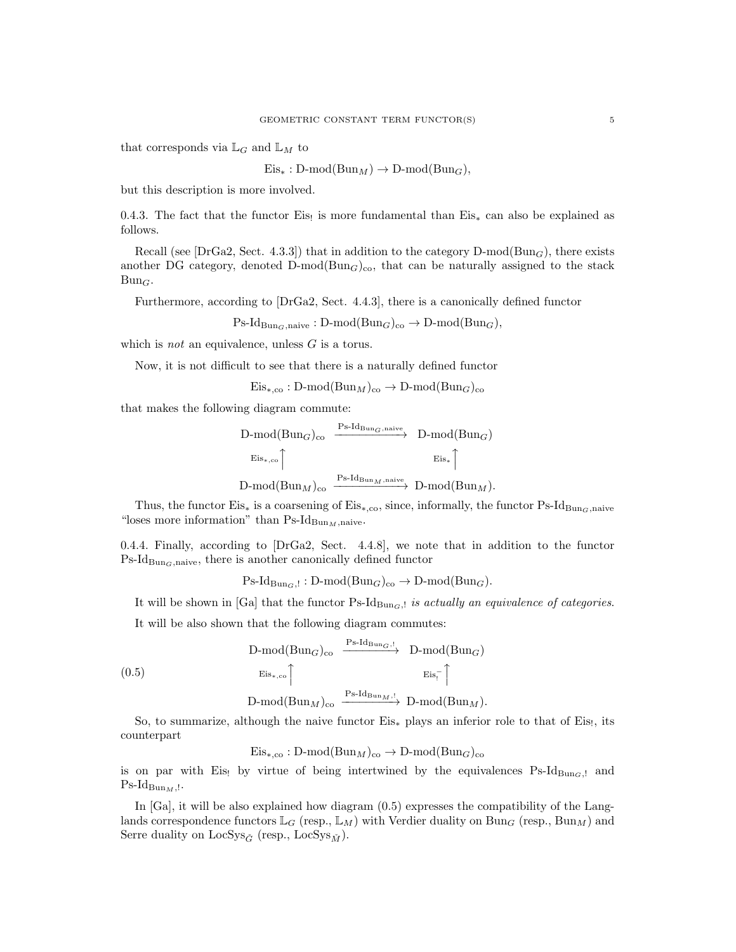that corresponds via  $\mathbb{L}_G$  and  $\mathbb{L}_M$  to

 $Eis_* : D-mod(Bun_M) \to D-mod(Bun_G),$ 

but this description is more involved.

0.4.3. The fact that the functor Eis! is more fundamental than  $Eis_*$  can also be explained as follows.

Recall (see [DrGa2, Sect. 4.3.3]) that in addition to the category  $D\text{-mod}(Bun_G)$ , there exists another DG category, denoted  $D\text{-mod}(Bun_G)_{\text{co}}$ , that can be naturally assigned to the stack  $Bun_G.$ 

Furthermore, according to [DrGa2, Sect. 4.4.3], there is a canonically defined functor

$$
Ps\text{-}Id_{\text{Bun}_G,\text{naive}}: D\text{-mod}(\text{Bun}_G)_{co} \to D\text{-mod}(\text{Bun}_G),
$$

which is *not* an equivalence, unless  $G$  is a torus.

Now, it is not difficult to see that there is a naturally defined functor

$$
Eis_{*,\text{co}}: D\text{-mod}(Bun_M)_{\text{co}} \to D\text{-mod}(Bun_G)_{\text{co}}
$$

that makes the following diagram commute:

$$
\begin{array}{ccc}\n\text{D-mod}(\text{Bun}_G)_{\text{co}} & \xrightarrow{\text{Ps-Id}_{\text{Bun}_G,\text{naive}}} & \text{D-mod}(\text{Bun}_G) \\
& \xrightarrow{\text{Eis}_{*,\text{co}}}\uparrow & \xrightarrow{\text{Eis}_*}\uparrow \\
\text{D-mod}(\text{Bun}_M)_{\text{co}} & \xrightarrow{\text{Ps-Id}_{\text{Bun}_M,\text{naive}}} & \text{D-mod}(\text{Bun}_M).\n\end{array}
$$

Thus, the functor Eis<sub>\*</sub> is a coarsening of Eis<sub>\*</sub>,co, since, informally, the functor Ps-Id<sub>BunG</sub>,naive "loses more information" than  $\text{Ps-Id}_{\text{Bun}_M,\text{naive}}$ .

0.4.4. Finally, according to [DrGa2, Sect. 4.4.8], we note that in addition to the functor  $Ps-Id_{Bun_G,native}$ , there is another canonically defined functor

 $\text{Ps-Id}_{\text{Bun}_G,!}: \text{D-mod}(\text{Bun}_G)_{\text{co}} \to \text{D-mod}(\text{Bun}_G).$ 

It will be shown in [Ga] that the functor Ps-Id $_{\text{Bun}_G,l}$  is actually an equivalence of categories.

It will be also shown that the following diagram commutes:

$$
(0.5) \qquad \begin{array}{ccc}\n\text{D-mod}(\text{Bun}_G)_{\text{co}} & \xrightarrow{\text{Ps-Id}_{\text{Bun}_G, !}} & \text{D-mod}(\text{Bun}_G) \\
& \xrightarrow{\text{Eis}_{*,\text{co}}} & \xrightarrow{\text{Eis}_{!}} \uparrow \\
& \text{D-mod}(\text{Bun}_M)_{\text{co}} & \xrightarrow{\text{Ps-Id}_{\text{Bun}_M, !}} & \text{D-mod}(\text{Bun}_M).\n\end{array}
$$

So, to summarize, although the naive functor Eis<sub>∗</sub> plays an inferior role to that of Eis!, its counterpart

 $Eis_{*,\text{co}} : D\text{-mod}(Bun_M)_{\text{co}} \to D\text{-mod}(Bun_G)_{\text{co}}$ 

is on par with Eis! by virtue of being intertwined by the equivalences  $\text{Ps-Id}_{\text{Bun}_G,l}$  and  $\mathrm{Ps}\text{-}\mathrm{Id}_{\mathrm{Bun}_M, !}.$ 

In [Ga], it will be also explained how diagram (0.5) expresses the compatibility of the Langlands correspondence functors  $\mathbb{L}_G$  (resp.,  $\mathbb{L}_M$ ) with Verdier duality on Bun<sub>G</sub> (resp., Bun<sub>M</sub>) and Serre duality on LocSys<sub> $\check{G}$ </sub> (resp., LocSys<sub> $\check{M}$ </sub>).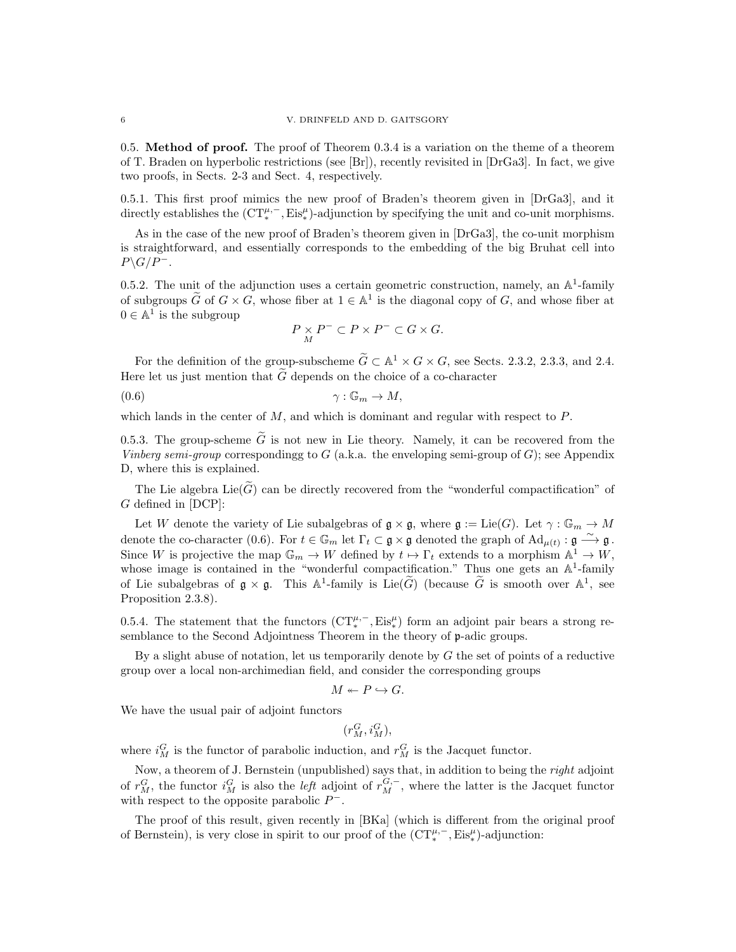0.5. Method of proof. The proof of Theorem 0.3.4 is a variation on the theme of a theorem of T. Braden on hyperbolic restrictions (see [Br]), recently revisited in [DrGa3]. In fact, we give two proofs, in Sects. 2-3 and Sect. 4, respectively.

0.5.1. This first proof mimics the new proof of Braden's theorem given in [DrGa3], and it directly establishes the  $(CT_*^{\mu,-}, Eis_*^{\mu})$ -adjunction by specifying the unit and co-unit morphisms.

As in the case of the new proof of Braden's theorem given in [DrGa3], the co-unit morphism is straightforward, and essentially corresponds to the embedding of the big Bruhat cell into  $P\backslash G/P^-$ .

0.5.2. The unit of the adjunction uses a certain geometric construction, namely, an  $\mathbb{A}^1$ -family of subgroups  $\widetilde{G}$  of  $G \times G$ , whose fiber at  $1 \in \mathbb{A}^1$  is the diagonal copy of  $G$ , and whose fiber at  $0 \in \mathbb{A}^1$  is the subgroup

$$
P\underset{M}{\times}P^-\subset P\times P^-\subset G\times G.
$$

For the definition of the group-subscheme  $\widetilde{G} \subset \mathbb{A}^1 \times G \times G$ , see Sects. 2.3.2, 2.3.3, and 2.4. Here let us just mention that  $\tilde{G}$  depends on the choice of a co-character (0.6)<br>  $\gamma : \mathbb{G}_m \to M$ ,

 $\gamma: \mathbb{G}_m \to M$ ,

which lands in the center of  $M$ , and which is dominant and regular with respect to  $P$ .

0.5.3. The group-scheme  $\tilde{G}$  is not new in Lie theory. Namely, it can be recovered from the Vinberg semi-group correspondingg to G (a.k.a. the enveloping semi-group of G); see Appendix D, where this is explained.

The Lie algebra  $Lie(\tilde{G})$  can be directly recovered from the "wonderful compactification" of G defined in [DCP]:

Let W denote the variety of Lie subalgebras of  $\mathfrak{g} \times \mathfrak{g}$ , where  $\mathfrak{g} := \mathrm{Lie}(G)$ . Let  $\gamma : \mathbb{G}_m \to M$ denote the co-character (0.6). For  $t \in \mathbb{G}_m$  let  $\Gamma_t \subset \mathfrak{g} \times \mathfrak{g}$  denoted the graph of  $\mathrm{Ad}_{\mu(t)} : \mathfrak{g} \stackrel{\sim}{\longrightarrow} \mathfrak{g}$ . Since W is projective the map  $\mathbb{G}_m \to W$  defined by  $t \mapsto \Gamma_t$  extends to a morphism  $\mathbb{A}^1 \to W$ , whose image is contained in the "wonderful compactification." Thus one gets an  $\mathbb{A}^1$ -family of Lie subalgebras of  $\mathfrak{g} \times \mathfrak{g}$ . This  $\mathbb{A}^1$ -family is Lie( $\widetilde{G}$ ) (because  $\widetilde{G}$  is smooth over  $\mathbb{A}^1$ , see Proposition 2.3.8).

0.5.4. The statement that the functors  $(\mathrm{CT}_{*}^{\mu,-}, \mathrm{Eis}_{*}^{\mu})$  form an adjoint pair bears a strong resemblance to the Second Adjointness Theorem in the theory of p-adic groups.

By a slight abuse of notation, let us temporarily denote by  $G$  the set of points of a reductive group over a local non-archimedian field, and consider the corresponding groups

$$
M \leftarrow P \hookrightarrow G.
$$

We have the usual pair of adjoint functors

 $(r_M^G, i_M^G),$ 

where  $i_M^G$  is the functor of parabolic induction, and  $r_M^G$  is the Jacquet functor.

Now, a theorem of J. Bernstein (unpublished) says that, in addition to being the *right* adjoint of  $r_M^G$ , the functor  $i_M^G$  is also the *left* adjoint of  $r_M^{G,-}$ , where the latter is the Jacquet functor with respect to the opposite parabolic  $P^-$ .

The proof of this result, given recently in [BKa] (which is different from the original proof of Bernstein), is very close in spirit to our proof of the  $(\mathrm{CT}^{\mu,-}_{*}, \mathrm{Eis}^{\mu}_{*})$ -adjunction: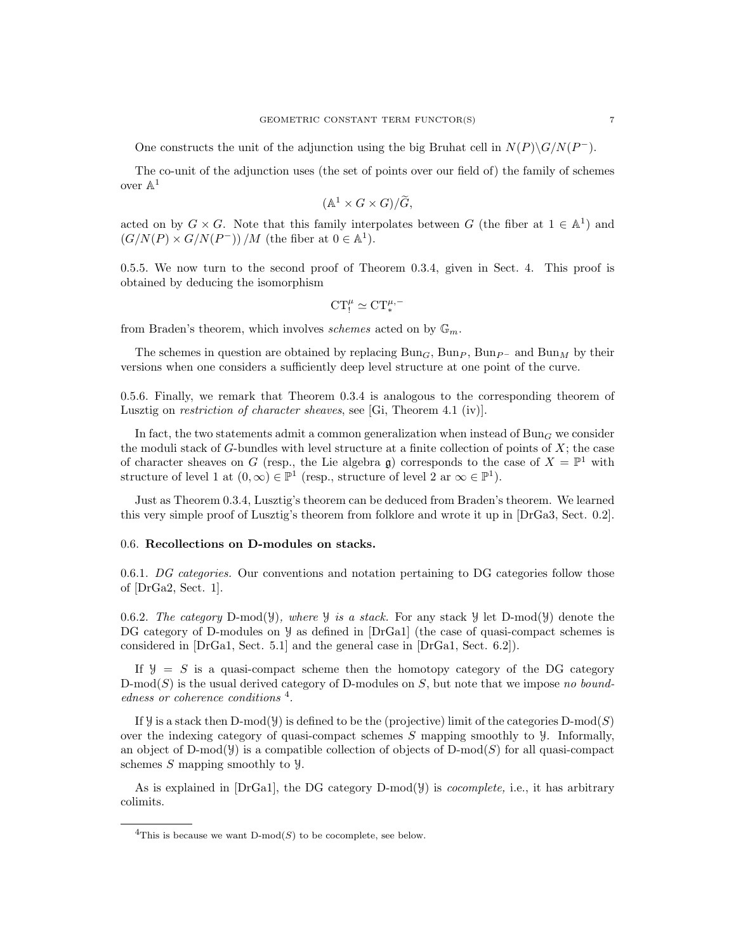One constructs the unit of the adjunction using the big Bruhat cell in  $N(P)\G/N(P^{-})$ .

The co-unit of the adjunction uses (the set of points over our field of) the family of schemes over  $\mathbb{A}^1$ 

$$
(\mathbb{A}^1 \times G \times G)/\widetilde{G},
$$

acted on by  $G \times G$ . Note that this family interpolates between G (the fiber at  $1 \in \mathbb{A}^1$ ) and  $(G/N(P) \times G/N(P^-)) / M$  (the fiber at  $0 \in \mathbb{A}^1$ ).

0.5.5. We now turn to the second proof of Theorem 0.3.4, given in Sect. 4. This proof is obtained by deducing the isomorphism

$$
CT_!^\mu\simeq CT_*^{\mu,-}
$$

from Braden's theorem, which involves schemes acted on by  $\mathbb{G}_m$ .

The schemes in question are obtained by replacing Bun<sub>G</sub>, Bun<sub>P</sub>, Bun<sub>P</sub> – and Bun<sub>M</sub> by their versions when one considers a sufficiently deep level structure at one point of the curve.

0.5.6. Finally, we remark that Theorem 0.3.4 is analogous to the corresponding theorem of Lusztig on restriction of character sheaves, see [Gi, Theorem 4.1 (iv)].

In fact, the two statements admit a common generalization when instead of  $Bun<sub>G</sub>$  we consider the moduli stack of  $G$ -bundles with level structure at a finite collection of points of  $X$ ; the case of character sheaves on G (resp., the Lie algebra g) corresponds to the case of  $X = \mathbb{P}^1$  with structure of level 1 at  $(0, \infty) \in \mathbb{P}^1$  (resp., structure of level 2 ar  $\infty \in \mathbb{P}^1$ ).

Just as Theorem 0.3.4, Lusztig's theorem can be deduced from Braden's theorem. We learned this very simple proof of Lusztig's theorem from folklore and wrote it up in [DrGa3, Sect. 0.2].

### 0.6. Recollections on D-modules on stacks.

0.6.1. DG categories. Our conventions and notation pertaining to DG categories follow those of [DrGa2, Sect. 1].

0.6.2. The category D-mod( $\mathcal{Y}$ ), where  $\mathcal{Y}$  is a stack. For any stack  $\mathcal{Y}$  let D-mod( $\mathcal{Y}$ ) denote the DG category of D-modules on  $\mathcal Y$  as defined in [DrGa1] (the case of quasi-compact schemes is considered in [DrGa1, Sect. 5.1] and the general case in [DrGa1, Sect. 6.2]).

If  $\mathcal{Y} = S$  is a quasi-compact scheme then the homotopy category of the DG category D-mod(S) is the usual derived category of D-modules on S, but note that we impose no boundedness or coherence conditions<sup>4</sup>.

If y is a stack then D-mod( $y$ ) is defined to be the (projective) limit of the categories D-mod( $S$ ) over the indexing category of quasi-compact schemes  $S$  mapping smoothly to  $\mathcal{Y}$ . Informally, an object of D-mod(Y) is a compatible collection of objects of D-mod(S) for all quasi-compact schemes S mapping smoothly to  $\mathcal{Y}$ .

As is explained in  $[DrGal]$ , the DG category D-mod( $\mathcal{Y}$ ) is *cocomplete*, i.e., it has arbitrary colimits.

<sup>&</sup>lt;sup>4</sup>This is because we want D-mod(S) to be cocomplete, see below.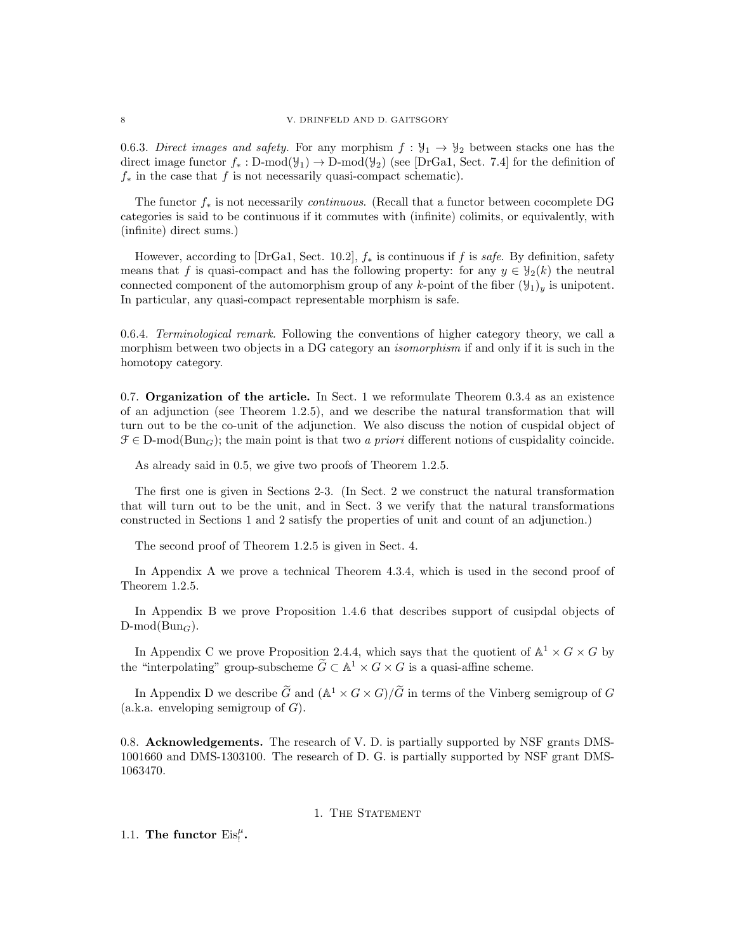#### 8 V. DRINFELD AND D. GAITSGORY

0.6.3. Direct images and safety. For any morphism  $f : \mathcal{Y}_1 \to \mathcal{Y}_2$  between stacks one has the direct image functor  $f_* : D\text{-mod}(\mathcal{Y}_1) \to D\text{-mod}(\mathcal{Y}_2)$  (see [DrGa1, Sect. 7.4] for the definition of  $f_*$  in the case that f is not necessarily quasi-compact schematic).

The functor  $f_*$  is not necessarily *continuous.* (Recall that a functor between cocomplete DG categories is said to be continuous if it commutes with (infinite) colimits, or equivalently, with (infinite) direct sums.)

However, according to [DrGa1, Sect. 10.2],  $f_*$  is continuous if f is safe. By definition, safety means that f is quasi-compact and has the following property: for any  $y \in \mathcal{Y}_2(k)$  the neutral connected component of the automorphism group of any k-point of the fiber  $(\mathcal{Y}_1)_y$  is unipotent. In particular, any quasi-compact representable morphism is safe.

0.6.4. Terminological remark. Following the conventions of higher category theory, we call a morphism between two objects in a DG category an *isomorphism* if and only if it is such in the homotopy category.

0.7. **Organization of the article.** In Sect. 1 we reformulate Theorem  $0.3.4$  as an existence of an adjunction (see Theorem 1.2.5), and we describe the natural transformation that will turn out to be the co-unit of the adjunction. We also discuss the notion of cuspidal object of  $\mathcal{F} \in \mathcal{D}$ -mod $(\text{Bun}_G)$ ; the main point is that two a priori different notions of cuspidality coincide.

As already said in 0.5, we give two proofs of Theorem 1.2.5.

The first one is given in Sections 2-3. (In Sect. 2 we construct the natural transformation that will turn out to be the unit, and in Sect. 3 we verify that the natural transformations constructed in Sections 1 and 2 satisfy the properties of unit and count of an adjunction.)

The second proof of Theorem 1.2.5 is given in Sect. 4.

In Appendix A we prove a technical Theorem 4.3.4, which is used in the second proof of Theorem 1.2.5.

In Appendix B we prove Proposition 1.4.6 that describes support of cusipdal objects of  $D\text{-mod}(Bun_G)$ .

In Appendix C we prove Proposition 2.4.4, which says that the quotient of  $\mathbb{A}^1 \times G \times G$  by the "interpolating" group-subscheme  $\widetilde{G} \subset \mathbb{A}^1 \times G \times G$  is a quasi-affine scheme.

In Appendix D we describe  $\widetilde{G}$  and  $(\mathbb{A}^1 \times G \times G)/\widetilde{G}$  in terms of the Vinberg semigroup of  $G$ (a.k.a. enveloping semigroup of  $G$ ).

0.8. Acknowledgements. The research of V. D. is partially supported by NSF grants DMS-1001660 and DMS-1303100. The research of D. G. is partially supported by NSF grant DMS-1063470.

# 1. THE STATEMENT

1.1. The functor  $Eis_{!}^{\mu}$ .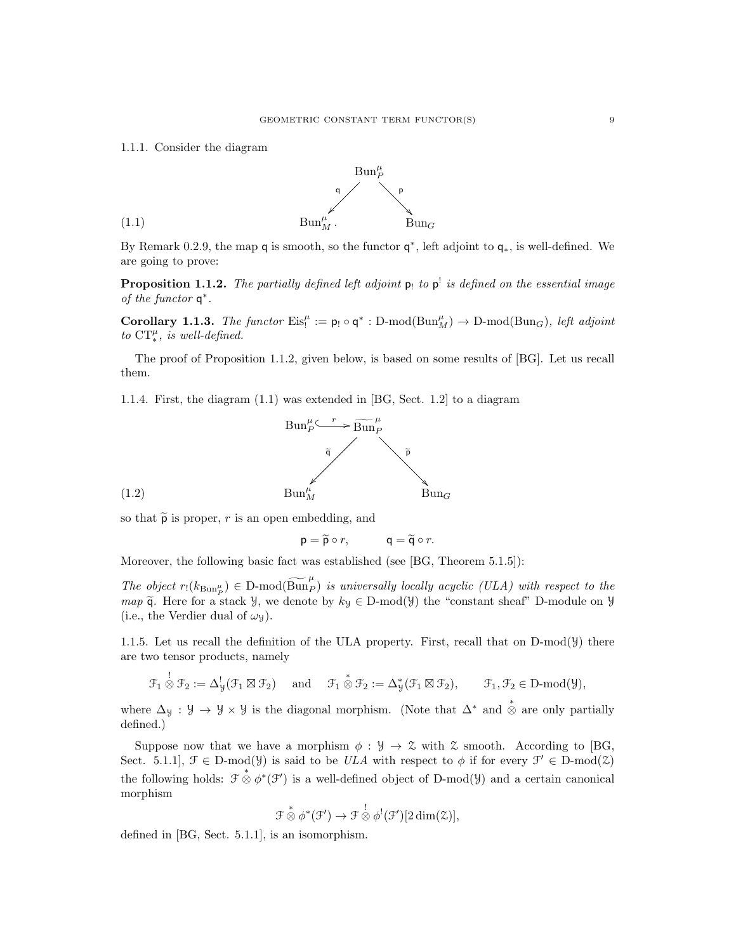1.1.1. Consider the diagram



By Remark 0.2.9, the map q is smooth, so the functor  $q^*$ , left adjoint to  $q_*$ , is well-defined. We are going to prove:

**Proposition 1.1.2.** The partially defined left adjoint  $p_!$  to  $p^!$  is defined on the essential image of the functor  $q^*$ .

Corollary 1.1.3. The functor  $Eis_i^{\mu} := \mathsf{p}_! \circ \mathsf{q}^* : D\text{-mod}(Bun_M^{\mu}) \to D\text{-mod}(Bun_G)$ , left adjoint to  $CT_*^{\mu}$ , is well-defined.

The proof of Proposition 1.1.2, given below, is based on some results of [BG]. Let us recall them.

1.1.4. First, the diagram (1.1) was extended in [BG, Sect. 1.2] to a diagram



so that  $\tilde{\rho}$  is proper, r is an open embedding, and

$$
p = \widetilde{p} \circ r, \qquad q = \widetilde{q} \circ r.
$$

Moreover, the following basic fact was established (see [BG, Theorem 5.1.5]):

The object  $r_1(k_{\text{Bun}_P^{\mu}}) \in D\text{-mod}(\widetilde{\text{Bun}_P})$  is universally locally acyclic (ULA) with respect to the map  $\tilde{q}$ . Here for a stack *y*, we denote by  $k_y \in D\text{-mod}(y)$  the "constant sheaf" D-module on *y* (i.e., the Verdier dual of  $\omega_y$ ).

1.1.5. Let us recall the definition of the ULA property. First, recall that on  $D\text{-mod}(\mathcal{Y})$  there are two tensor products, namely

$$
\mathcal{F}_1\overset{!}{\otimes}\mathcal{F}_2:=\Delta^!_{\mathcal{Y}}(\mathcal{F}_1\boxtimes\mathcal{F}_2)\quad\text{ and }\quad\mathcal{F}_1\overset{*}{\otimes}\mathcal{F}_2:=\Delta^*_{\mathcal{Y}}(\mathcal{F}_1\boxtimes\mathcal{F}_2),\qquad\mathcal{F}_1,\mathcal{F}_2\in\mathrm{D}\text{-}\mathrm{mod}(\mathcal{Y}),
$$

where  $\Delta_y : \mathcal{Y} \to \mathcal{Y} \times \mathcal{Y}$  is the diagonal morphism. (Note that  $\Delta^*$  and  $\stackrel{*}{\otimes}$  are only partially defined.)

Suppose now that we have a morphism  $\phi : \mathcal{Y} \to \mathcal{Z}$  with  $\mathcal{Z}$  smooth. According to [BG, Sect. 5.1.1,  $\mathcal{F} \in \mathcal{D}$ -mod( $\mathcal{Y}$ ) is said to be ULA with respect to  $\phi$  if for every  $\mathcal{F}' \in \mathcal{D}$ -mod( $\mathcal{Z}$ ) the following holds:  $\mathcal{F} \overset{*}{\otimes} \phi^*(\mathcal{F}')$  is a well-defined object of D-mod(*y*) and a certain canonical morphism

$$
\mathcal{F} \overset{*}{\otimes} \phi^*(\mathcal{F}') \to \mathcal{F} \overset{!}{\otimes} \phi^!(\mathcal{F}')[2\dim(\mathcal{Z})],
$$

defined in [BG, Sect. 5.1.1], is an isomorphism.

!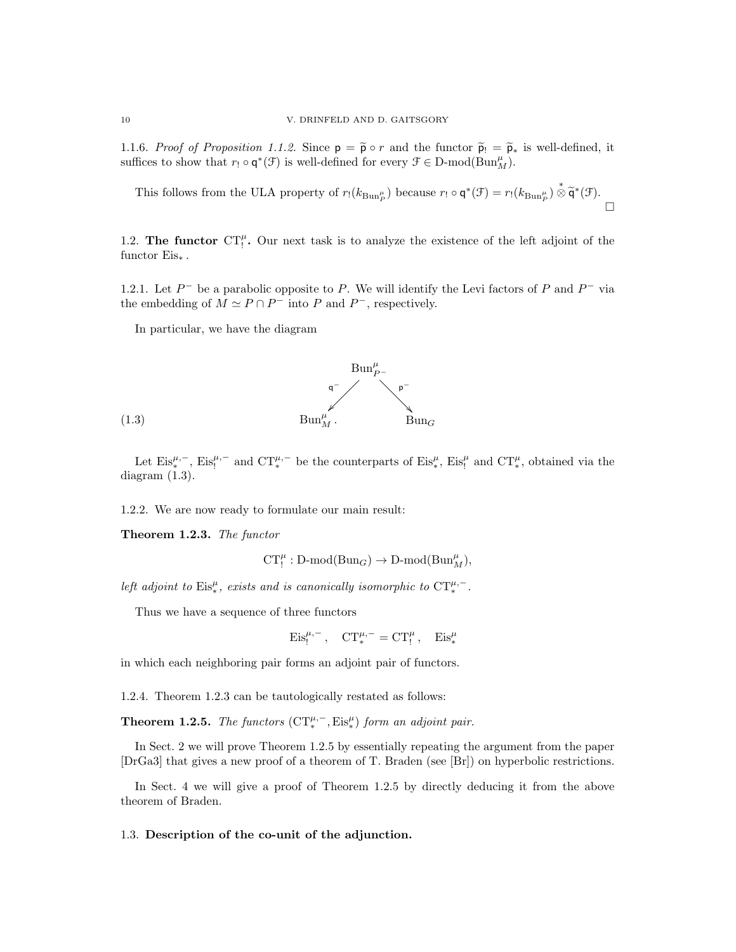1.1.6. Proof of Proposition 1.1.2. Since  $p = \tilde{p} \circ r$  and the functor  $\tilde{p}_! = \tilde{p}_*$  is well-defined, it suffices to show that  $r_! \circ \mathsf{q}^*(\mathcal{F})$  is well-defined for every  $\mathcal{F} \in \mathcal{D}\text{-mod}(\text{Bun}_M^{\mu})$ .

This follows from the ULA property of  $r_!(k_{\text{Bun}_P^{\mu}})$  because  $r_! \circ \mathsf{q}^*(\mathcal{F}) = r_!(k_{\text{Bun}_P^{\mu}}) \overset{*}{\otimes} \widetilde{\mathsf{q}}^*(\mathcal{F})$ .  $\Box$ 

1.2. The functor  $CT_!^{\mu}$ . Our next task is to analyze the existence of the left adjoint of the functor  $Eis_*$ .

1.2.1. Let  $P^-$  be a parabolic opposite to P. We will identify the Levi factors of P and  $P^-$  via the embedding of  $M \simeq P \cap P^-$  into P and  $P^-$ , respectively.

In particular, we have the diagram



Let  $\mathrm{Eis}_{*}^{\mu,-}$ ,  $\mathrm{Eis}_{!}^{\mu,-}$  and  $\mathrm{CT}_{*}^{\mu,-}$  be the counterparts of  $\mathrm{Eis}_{*}^{\mu}$ ,  $\mathrm{Eis}_{!}^{\mu}$  and  $\mathrm{CT}_{*}^{\mu}$ , obtained via the diagram (1.3).

1.2.2. We are now ready to formulate our main result:

Theorem 1.2.3. The functor

$$
\operatorname{CT}_!^\mu:\operatorname{D-mod}(\operatorname{Bun}_G)\to\operatorname{D-mod}(\operatorname{Bun}_M^\mu),
$$

left adjoint to Eis<sup>µ</sup>, exists and is canonically isomorphic to  $CT_*^{\mu,-}$ .

Thus we have a sequence of three functors

$$
\mathrm{Eis}_!^{\mu,-}\,,\quad \mathrm{CT}_*^{\mu,-}=\mathrm{CT}_!^\mu\,,\quad \mathrm{Eis}_*^\mu
$$

in which each neighboring pair forms an adjoint pair of functors.

1.2.4. Theorem 1.2.3 can be tautologically restated as follows:

**Theorem 1.2.5.** The functors  $(\mathrm{CT}^{\mu,-}_{*}, \mathrm{Eis}^{\mu}_{*})$  form an adjoint pair.

In Sect. 2 we will prove Theorem 1.2.5 by essentially repeating the argument from the paper [DrGa3] that gives a new proof of a theorem of T. Braden (see [Br]) on hyperbolic restrictions.

In Sect. 4 we will give a proof of Theorem 1.2.5 by directly deducing it from the above theorem of Braden.

### 1.3. Description of the co-unit of the adjunction.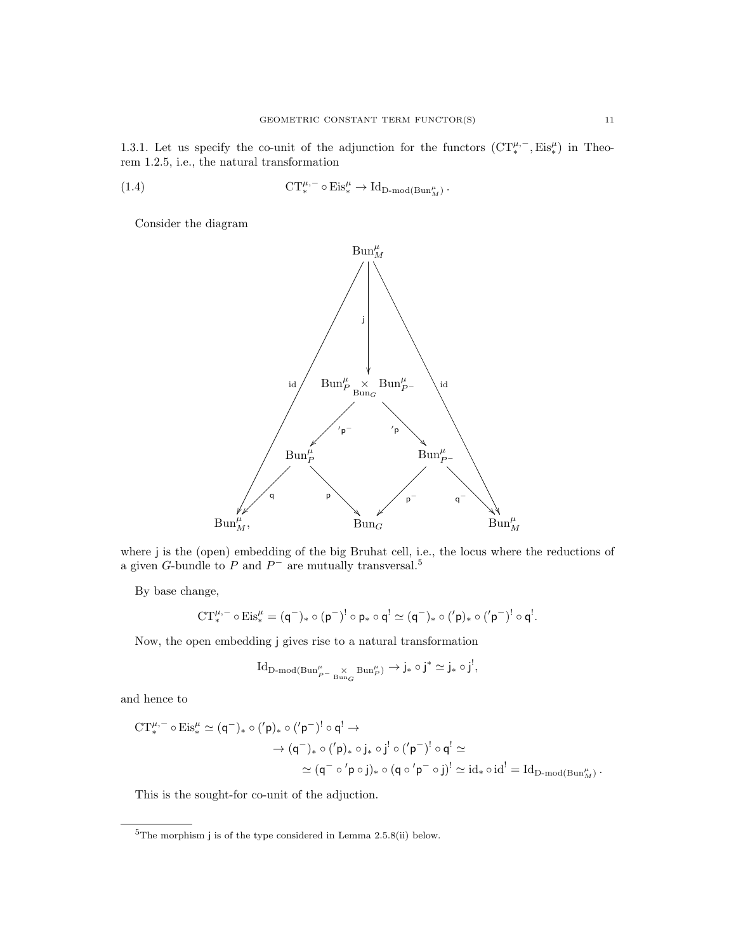1.3.1. Let us specify the co-unit of the adjunction for the functors  $(CT_*^{\mu,-}, Eis_*^{\mu})$  in Theorem 1.2.5, i.e., the natural transformation

(1.4) 
$$
CT_*^{\mu,-} \circ Eis_*^{\mu} \to Id_{D\text{-mod}(Bun_M^{\mu})}.
$$

Consider the diagram



where j is the (open) embedding of the big Bruhat cell, i.e., the locus where the reductions of a given G-bundle to P and  $P^-$  are mutually transversal.<sup>5</sup>

By base change,

$$
\textnormal{CT}^{\mu,-}_* \circ \textnormal{Eis}^\mu_* = (\mathsf{q}^-)_* \circ (\mathsf{p}^-)^! \circ \mathsf{p}_* \circ \mathsf{q}^! \simeq (\mathsf{q}^-)_* \circ (^\prime \mathsf{p})_* \circ (^{\prime} \mathsf{p}^-)^! \circ \mathsf{q}^!.
$$

Now, the open embedding j gives rise to a natural transformation

$$
\operatorname{Id}_{\operatorname{D-mod}(\operatorname{Bun}^{\mu}_{P^-\operatorname{Bun}_G^{\vee}}\operatorname{Bun}^{\mu}_{P})}\to j_*\circ j^*\simeq j_*\circ j^!,
$$

and hence to

$$
\begin{aligned} \mathrm{CT}^{\mu,-}_*\circ\mathrm{Eis}^\mu_* &\simeq (\mathsf{q}^-)_*\circ('p)_*\circ('p^-)^!\circ\mathsf{q}^!\to\\ &\to (\mathsf{q}^-)_*\circ('p)_*\circ j_*\circ j^!\circ('p^-)^!\circ\mathsf{q}^!\simeq\\ &\simeq (\mathsf{q}^-\circ'p\circ j)_*\circ(\mathsf{q}\circ'p^-\circ j)^!\simeq \mathrm{id}_*\circ\mathrm{id}^!\simeq \mathrm{Id}_{\mathrm{D-mod}(\mathrm{Bun}^\mu_\mathcal{M})}\,. \end{aligned}
$$

This is the sought-for co-unit of the adjuction.

 ${}^{5}$ The morphism j is of the type considered in Lemma 2.5.8(ii) below.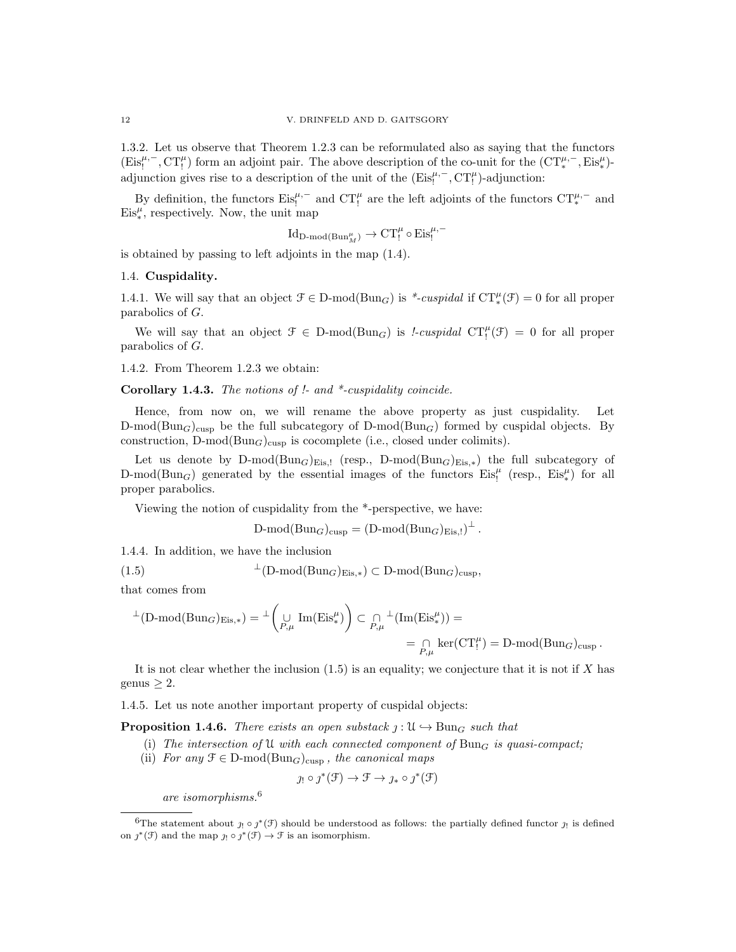1.3.2. Let us observe that Theorem 1.2.3 can be reformulated also as saying that the functors  $(Eis_!^{\mu,-}, CT_!^{\mu})$  form an adjoint pair. The above description of the co-unit for the  $(CT_*^{\mu,-}, Eis_*^{\mu})$ adjunction gives rise to a description of the unit of the  $(Eis_i^{\mu,-}, C T_i^{\mu})$ -adjunction:

By definition, the functors  $Eis_!^{\mu,-}$  and  $CT_!^{\mu}$  are the left adjoints of the functors  $CT_*^{\mu,-}$  and  $Eis_{*}^{\mu}$ , respectively. Now, the unit map

$$
\operatorname{Id}_{D\operatorname{\!-mod}\nolimits(\operatorname{Bun}_M^{\mu})} \to \operatorname{CT}_!^\mu \circ \operatorname{Eis}_!^{\mu,-}
$$

is obtained by passing to left adjoints in the map (1.4).

### 1.4. Cuspidality.

1.4.1. We will say that an object  $\mathcal{F} \in \mathcal{D}\text{-mod}(\text{Bun}_G)$  is \*-cuspidal if  $CT_*^{\mu}(\mathcal{F}) = 0$  for all proper parabolics of G.

We will say that an object  $\mathcal{F} \in D\text{-mod}(Bun_G)$  is *!-cuspidal*  $CT_i^{\mu}(\mathcal{F}) = 0$  for all proper parabolics of G.

1.4.2. From Theorem 1.2.3 we obtain:

Corollary 1.4.3. The notions of !- and \*-cuspidality coincide.

Hence, from now on, we will rename the above property as just cuspidality. Let  $D\text{-mod}(Bun_G)_{\text{cusp}}$  be the full subcategory of  $D\text{-mod}(Bun_G)$  formed by cuspidal objects. By construction, D-mod( $Bun_G$ )<sub>cusp</sub> is cocomplete (i.e., closed under colimits).

Let us denote by D-mod( $Bun_G$ )<sub>Eis,!</sub> (resp., D-mod( $Bun_G$ )<sub>Eis,\*</sub>) the full subcategory of D-mod( $Bun_G$ ) generated by the essential images of the functors  $Eis_1^{\mu}$  (resp.,  $Eis_*^{\mu}$ ) for all proper parabolics.

Viewing the notion of cuspidality from the \*-perspective, we have:

$$
\text{D-mod}(\text{Bun}_G)_{\text{cusp}} = (\text{D-mod}(\text{Bun}_G)_{\text{Eis},!})^{\perp}.
$$

1.4.4. In addition, we have the inclusion

(1.5)  $\perp$ (D-mod(Bun<sub>G</sub>)<sub>Eis,\*</sub>) ⊂ D-mod(Bun<sub>G</sub>)<sub>cusp</sub>,

that comes from

$$
\perp^{\perp}(\text{D-mod}(\text{Bun}_G)_{\text{Eis},*}) = \perp^{\perp}(\bigcup_{P,\mu} \text{Im}(\text{Eis}_*)^{\mu}) \subset \bigcap_{P,\mu} \perp^{\perp}(\text{Im}(\text{Eis}_*)^{\mu}) = \\ = \bigcap_{P,\mu} \text{ker}(\text{CT}_!^{\mu}) = \text{D-mod}(\text{Bun}_G)_{\text{cusp}}.
$$

It is not clear whether the inclusion  $(1.5)$  is an equality; we conjecture that it is not if X has genus  $\geq 2$ .

1.4.5. Let us note another important property of cuspidal objects:

**Proposition 1.4.6.** There exists an open substack  $j: \mathcal{U} \hookrightarrow \text{Bun}_G$  such that

- (i) The intersection of U with each connected component of  $Bun<sub>G</sub>$  is quasi-compact;
- (ii) For any  $\mathcal{F} \in \mathcal{D}\text{-mod}(\text{Bun}_G)_{\text{cusp}}$ , the canonical maps

$$
j_! \circ \jmath^*(\mathfrak{F}) \to \mathfrak{F} \to j_* \circ \jmath^*(\mathfrak{F})
$$

are isomorphisms.<sup>6</sup>

<sup>&</sup>lt;sup>6</sup>The statement about  $j_! \circ j^*(\mathfrak{F})$  should be understood as follows: the partially defined functor  $j_!$  is defined on  $\jmath^*(\mathfrak{F})$  and the map  $\jmath_! \circ \jmath^*(\mathfrak{F}) \to \mathfrak{F}$  is an isomorphism.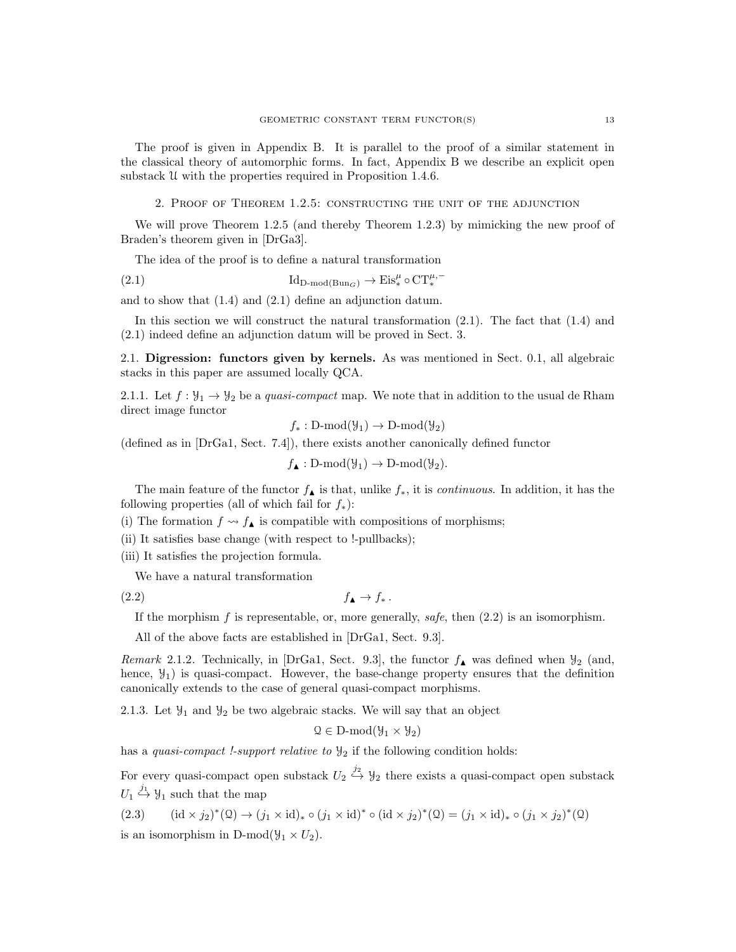The proof is given in Appendix B. It is parallel to the proof of a similar statement in the classical theory of automorphic forms. In fact, Appendix B we describe an explicit open substack U with the properties required in Proposition 1.4.6.

2. Proof of Theorem 1.2.5: constructing the unit of the adjunction

We will prove Theorem 1.2.5 (and thereby Theorem 1.2.3) by mimicking the new proof of Braden's theorem given in [DrGa3].

The idea of the proof is to define a natural transformation

(2.1) 
$$
\mathrm{Id}_{D\text{-mod}(Bun_G)} \to \mathrm{Eis}_*^{\mu} \circ \mathrm{CT}_*^{\mu,-}
$$

and to show that (1.4) and (2.1) define an adjunction datum.

In this section we will construct the natural transformation (2.1). The fact that (1.4) and (2.1) indeed define an adjunction datum will be proved in Sect. 3.

2.1. Digression: functors given by kernels. As was mentioned in Sect. 0.1, all algebraic stacks in this paper are assumed locally QCA.

2.1.1. Let  $f: \mathcal{Y}_1 \to \mathcal{Y}_2$  be a quasi-compact map. We note that in addition to the usual de Rham direct image functor

 $f_* : D\text{-mod}(\mathcal{Y}_1) \to D\text{-mod}(\mathcal{Y}_2)$ 

(defined as in [DrGa1, Sect. 7.4]), there exists another canonically defined functor

 $f_{\blacktriangle} : D\text{-mod}(\mathcal{Y}_1) \to D\text{-mod}(\mathcal{Y}_2).$ 

The main feature of the functor  $f_{\blacktriangle}$  is that, unlike  $f_*,$  it is *continuous*. In addition, it has the following properties (all of which fail for  $f_*$ ):

(i) The formation  $f \leadsto f_{\blacktriangle}$  is compatible with compositions of morphisms;

(ii) It satisfies base change (with respect to !-pullbacks);

(iii) It satisfies the projection formula.

We have a natural transformation

 $f_{\blacktriangle} \rightarrow f_*$ .

If the morphism  $f$  is representable, or, more generally, safe, then  $(2.2)$  is an isomorphism.

All of the above facts are established in [DrGa1, Sect. 9.3].

Remark 2.1.2. Technically, in [DrGa1, Sect. 9.3], the functor  $f_{\blacktriangle}$  was defined when  $\mathcal{Y}_2$  (and, hence,  $\mathcal{Y}_1$ ) is quasi-compact. However, the base-change property ensures that the definition canonically extends to the case of general quasi-compact morphisms.

2.1.3. Let  $\mathcal{Y}_1$  and  $\mathcal{Y}_2$  be two algebraic stacks. We will say that an object

$$
\mathcal{Q} \in D\text{-mod}(\mathcal{Y}_1 \times \mathcal{Y}_2)
$$

has a quasi-compact *!-support relative to*  $\mathcal{Y}_2$  if the following condition holds:

For every quasi-compact open substack  $U_2 \stackrel{j_2}{\hookrightarrow} Y_2$  there exists a quasi-compact open substack  $U_1 \stackrel{j_1}{\hookrightarrow} Y_1$  such that the map

 $(2.3)$   $(id \times j_2)^*(1) \to (j_1 \times id)_* \circ (j_1 \times id)^* \circ (id \times j_2)^*(1) = (j_1 \times id)_* \circ (j_1 \times j_2)^*(1)$ is an isomorphism in D-mod $(\mathcal{Y}_1 \times U_2)$ .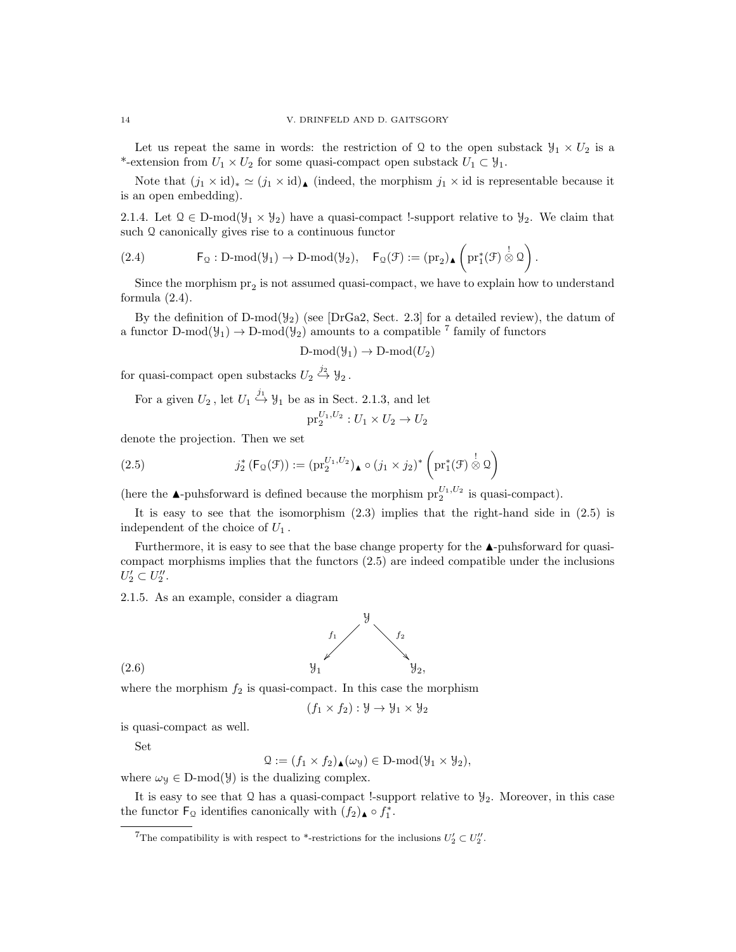Let us repeat the same in words: the restriction of Q to the open substack  $\mathcal{Y}_1 \times U_2$  is a \*-extension from  $U_1 \times U_2$  for some quasi-compact open substack  $U_1 \subset \mathcal{Y}_1$ .

Note that  $(j_1 \times id)_* \simeq (j_1 \times id)_\blacktriangle$  (indeed, the morphism  $j_1 \times id$  is representable because it is an open embedding).

2.1.4. Let  $\mathcal{Q} \in \mathbb{D}$ -mod $(\mathcal{Y}_1 \times \mathcal{Y}_2)$  have a quasi-compact !-support relative to  $\mathcal{Y}_2$ . We claim that such Q canonically gives rise to a continuous functor

$$
(2.4) \hspace{1cm} \mathsf{F}_\mathfrak{Q}: D\text{-mod}(\mathcal{Y}_1)\to D\text{-mod}(\mathcal{Y}_2), \quad \mathsf{F}_\mathfrak{Q}(\mathcal{F}):=(\mathrm{pr}_2)_\blacktriangle\left(\mathrm{pr}_1^*(\mathcal{F})\overset{!}{\otimes}\mathfrak{Q}\right).
$$

Since the morphism  $pr_2$  is not assumed quasi-compact, we have to explain how to understand formula (2.4).

By the definition of D-mod( $\mathcal{Y}_2$ ) (see [DrGa2, Sect. 2.3] for a detailed review), the datum of a functor  $D\text{-mod}(\mathcal{Y}_1) \to D\text{-mod}(\mathcal{Y}_2)$  amounts to a compatible <sup>7</sup> family of functors

$$
D\text{-mod}(\mathcal{Y}_1) \to D\text{-mod}(U_2)
$$

for quasi-compact open substacks  $U_2 \stackrel{j_2}{\hookrightarrow} Y_2$ .

For a given  $U_2$ , let  $U_1 \stackrel{j_1}{\hookrightarrow} Y_1$  be as in Sect. 2.1.3, and let

$$
pr_2^{U_1, U_2}: U_1 \times U_2 \to U_2
$$

denote the projection. Then we set

(2.5) 
$$
j_2^* \left( F_{\mathcal{Q}}(\mathcal{F}) \right) := (\mathrm{pr}_2^{U_1, U_2}) \bullet (j_1 \times j_2)^* \left( \mathrm{pr}_1^*(\mathcal{F}) \overset{!}{\otimes} \mathcal{Q} \right)
$$

(here the  $\blacktriangle$ -puhsforward is defined because the morphism  $pr_2^{U_1,U_2}$  is quasi-compact).

It is easy to see that the isomorphism  $(2.3)$  implies that the right-hand side in  $(2.5)$  is independent of the choice of  $U_1$ .

Furthermore, it is easy to see that the base change property for the  $\blacktriangle$ -puhsforward for quasicompact morphisms implies that the functors (2.5) are indeed compatible under the inclusions  $U_2' \subset U_2''$ .

2.1.5. As an example, consider a diagram



where the morphism  $f_2$  is quasi-compact. In this case the morphism

$$
(f_1 \times f_2) : \mathcal{Y} \to \mathcal{Y}_1 \times \mathcal{Y}_2
$$

is quasi-compact as well.

Set

$$
\mathcal{Q} := (f_1 \times f_2) \triangle (\omega_{\mathcal{Y}}) \in D\text{-mod}(\mathcal{Y}_1 \times \mathcal{Y}_2),
$$

where  $\omega_y \in D\text{-mod}(\mathcal{Y})$  is the dualizing complex.

It is easy to see that  $\Omega$  has a quasi-compact !-support relative to  $\mathcal{Y}_2$ . Moreover, in this case the functor  $\mathsf{F}_{\mathfrak{Q}}$  identifies canonically with  $(f_2)_\blacktriangle \circ f_1^*$ .

<sup>&</sup>lt;sup>7</sup>The compatibility is with respect to \*-restrictions for the inclusions  $U_2' \subset U_2''$ .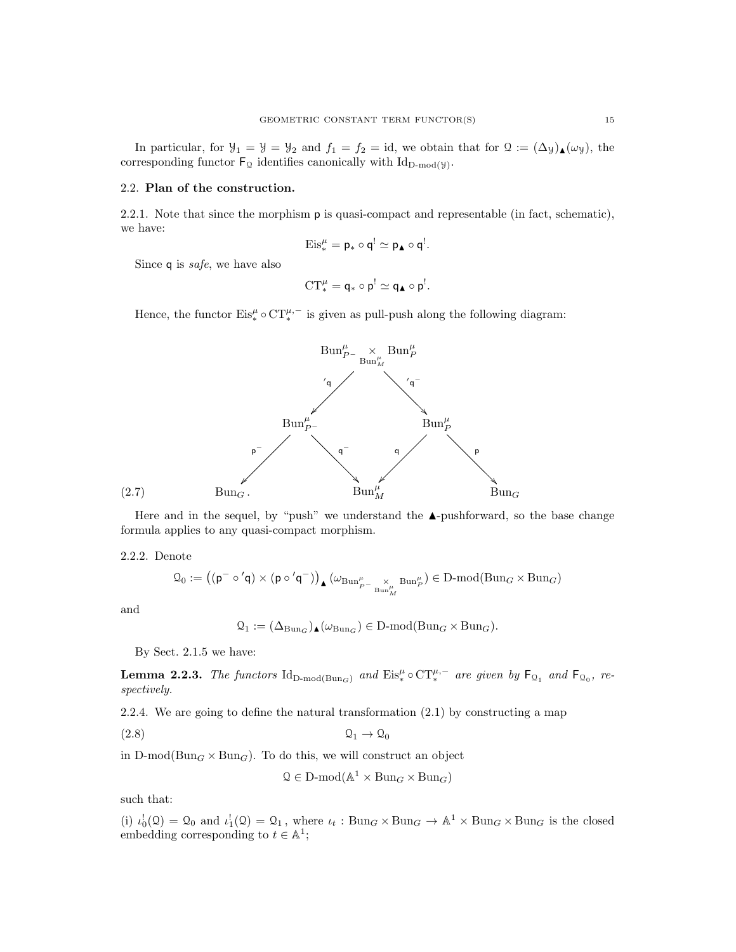In particular, for  $\mathcal{Y}_1 = \mathcal{Y} = \mathcal{Y}_2$  and  $f_1 = f_2 = id$ , we obtain that for  $\mathcal{Q} := (\Delta_{\mathcal{Y}})_{\blacktriangle}(\omega_{\mathcal{Y}})$ , the corresponding functor  $\mathsf{F}_{\mathfrak{Q}}$  identifies canonically with  $\mathrm{Id}_{D\text{-mod}(y)}$ .

### 2.2. Plan of the construction.

2.2.1. Note that since the morphism p is quasi-compact and representable (in fact, schematic), we have:

$$
\mathrm{Eis}_*^{\mu} = \mathsf{p}_* \circ \mathsf{q}^! \simeq \mathsf{p}_\blacktriangle \circ \mathsf{q}^!.
$$

Since q is *safe*, we have also

$$
CT_*^{\mu} = \mathsf{q}_* \circ \mathsf{p}^! \simeq \mathsf{q}_\blacktriangle \circ \mathsf{p}^!.
$$

Hence, the functor  $\mathrm{Eis}_*^{\mu} \circ \mathrm{CT}_*^{\mu,-}$  is given as pull-push along the following diagram:



Here and in the sequel, by "push" we understand the  $\blacktriangle$ -pushforward, so the base change formula applies to any quasi-compact morphism.

2.2.2. Denote

$$
\mathfrak{Q}_0:=\big((\mathsf{p}^-\circ'\mathsf{q})\times(\mathsf{p}\circ'\mathsf{q}^-)\big)_\blacktriangle\big(\omega_{\mathrm{Bun}_{{}_{P^-}}^\mu\underset{\mathrm{Bun}_M^\mu}{\times}\mathrm{Bun}_P^\mu}\big)\in\mathrm{D}\text{-}\mathrm{mod}(\mathrm{Bun}_G\times\mathrm{Bun}_G)
$$

and

$$
\mathcal{Q}_1 := (\Delta_{\mathrm{Bun}_G})_{\blacktriangle}(\omega_{\mathrm{Bun}_G}) \in \mathrm{D}\text{-}\mathrm{mod}(\mathrm{Bun}_G \times \mathrm{Bun}_G).
$$

By Sect. 2.1.5 we have:

**Lemma 2.2.3.** The functors  $\mathrm{Id}_{D\text{-mod}(Bun_G)}$  and  $\mathrm{Eis}_*^{\mu} \circ \mathrm{CT}_*^{\mu,-}$  are given by  $\mathsf{F}_{\mathfrak{Q}_1}$  and  $\mathsf{F}_{\mathfrak{Q}_0}$ , respectively.

2.2.4. We are going to define the natural transformation (2.1) by constructing a map

(2.8) Q<sup>1</sup> → Q<sup>0</sup>

in  $D\text{-mod}(Bun_G \times Bun_G)$ . To do this, we will construct an object

$$
\mathcal{Q} \in \mathbf{D}\text{-mod}(\mathbb{A}^1 \times \operatorname{Bun}_G \times \operatorname{Bun}_G)
$$

such that:

(i)  $\iota_0^!(\mathfrak{Q}) = \mathfrak{Q}_0$  and  $\iota_1^!(\mathfrak{Q}) = \mathfrak{Q}_1$ , where  $\iota_t : \text{Bun}_G \times \text{Bun}_G \to \mathbb{A}^1 \times \text{Bun}_G \times \text{Bun}_G$  is the closed embedding corresponding to  $t \in \mathbb{A}^1$ ;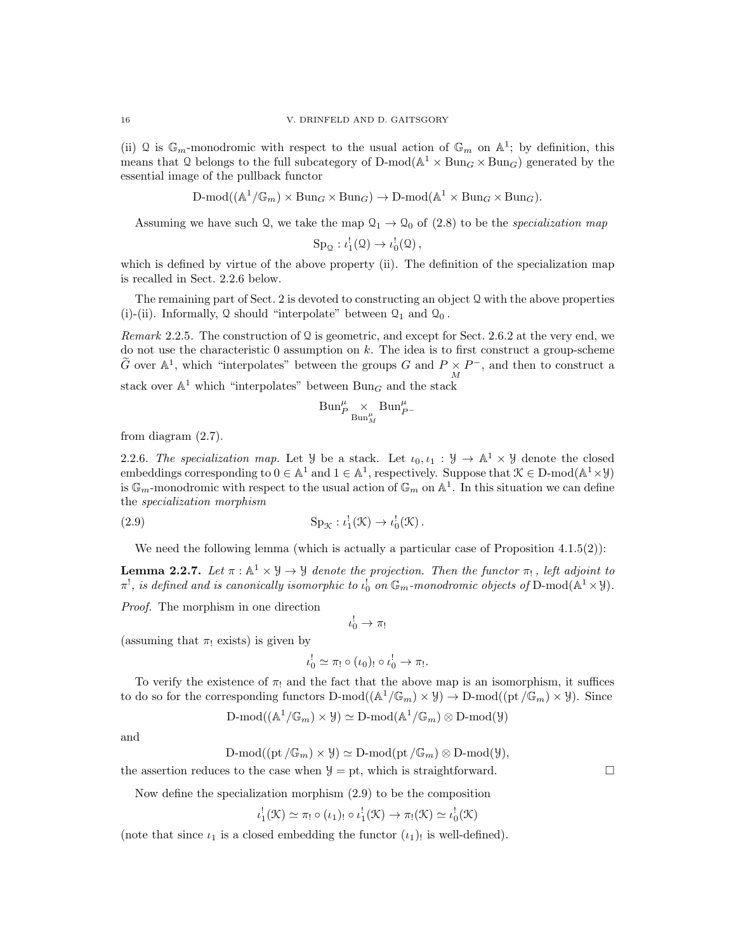(ii) Q is  $\mathbb{G}_m$ -monodromic with respect to the usual action of  $\mathbb{G}_m$  on  $\mathbb{A}^1$ ; by definition, this means that Q belongs to the full subcategory of  $D\text{-mod}(\mathbb{A}^1 \times \text{Bun}_G \times \text{Bun}_G)$  generated by the essential image of the pullback functor

 $D\text{-mod}((\mathbb{A}^1/\mathbb{G}_m)\times \text{Bun}_G\times \text{Bun}_G) \to D\text{-mod}(\mathbb{A}^1\times \text{Bun}_G\times \text{Bun}_G).$ 

Assuming we have such Q, we take the map  $\mathcal{Q}_1 \rightarrow \mathcal{Q}_0$  of (2.8) to be the specialization map

$$
Sp_{\mathcal{Q}}: \iota_1^!(\mathcal{Q}) \to \iota_0^!(\mathcal{Q}),
$$

which is defined by virtue of the above property (ii). The definition of the specialization map is recalled in Sect. 2.2.6 below.

The remaining part of Sect. 2 is devoted to constructing an object  $\Omega$  with the above properties (i)-(ii). Informally, Q should "interpolate" between  $\mathcal{Q}_1$  and  $\mathcal{Q}_0$ .

Remark 2.2.5. The construction of Q is geometric, and except for Sect. 2.6.2 at the very end, we do not use the characteristic 0 assumption on k. The idea is to first construct a group-scheme  $\widetilde{G}$  over  $\mathbb{A}^1$ , which "interpolates" between the groups  $G$  and  $P \times P^-$ , and then to construct a stack over  $\mathbb{A}^1$  which "interpolates" between  $\text{Bun}_G$  and the stack

$$
\operatorname{Bun}_P^\mu\underset{\operatorname{Bun}_M^\mu}{\times}\operatorname{Bun}_{P^-}^\mu
$$

from diagram (2.7).

2.2.6. The specialization map. Let  $\mathcal{Y}$  be a stack. Let  $\iota_0, \iota_1 : \mathcal{Y} \to \mathbb{A}^1 \times \mathcal{Y}$  denote the closed embeddings corresponding to  $0 \in \mathbb{A}^1$  and  $1 \in \mathbb{A}^1$ , respectively. Suppose that  $\mathcal{K} \in \mathbb{D}$ -mod $(\mathbb{A}^1 \times \mathcal{Y})$ is  $\mathbb{G}_m$ -monodromic with respect to the usual action of  $\mathbb{G}_m$  on  $\mathbb{A}^1$ . In this situation we can define the specialization morphism

(2.9) 
$$
\operatorname{Sp}_{\mathcal{K}}: \iota_1^!(\mathcal{K}) \to \iota_0^!(\mathcal{K}).
$$

We need the following lemma (which is actually a particular case of Proposition  $4.1.5(2)$ ):

**Lemma 2.2.7.** Let  $\pi : \mathbb{A}^1 \times \mathcal{Y} \to \mathcal{Y}$  denote the projection. Then the functor  $\pi_!$ , left adjoint to  $\pi^!,$  is defined and is canonically isomorphic to  $\iota_0^!$  on  $\mathbb{G}_m$ -monodromic objects of  ${\rm D\text{-}mod}({\mathbb A}^1\times {\mathbb Y}).$ 

Proof. The morphism in one direction

 $\iota _0^! \rightarrow \pi _!$ 

(assuming that  $\pi_1$  exists) is given by

$$
\iota_0^! \simeq \pi_! \circ (\iota_0)_! \circ \iota_0^! \to \pi_!.
$$

To verify the existence of  $\pi_1$  and the fact that the above map is an isomorphism, it suffices to do so for the corresponding functors  $D\text{-mod}((\mathbb{A}^1/\mathbb{G}_m)\times \mathcal{Y})\to D\text{-mod}((\text{pt}/\mathbb{G}_m)\times \mathcal{Y})$ . Since

$$
\text{D-mod}((\mathbb{A}^1/\mathbb{G}_m)\times \mathcal{Y})\simeq \text{D-mod}(\mathbb{A}^1/\mathbb{G}_m)\otimes \text{D-mod}(\mathcal{Y})
$$

and

$$
\text{D-mod}((\text{pt }\!/\mathbb{G}_m)\times\mathcal{Y})\simeq\text{D-mod}(\text{pt }\!/\mathbb{G}_m)\otimes\text{D-mod}(\mathcal{Y}),
$$

the assertion reduces to the case when  $\mathcal{Y} =$  pt, which is straightforward.

Now define the specialization morphism (2.9) to be the composition

$$
\iota_1^!(\mathfrak{K}) \simeq \pi_!\circ(\iota_1)_!\circ \iota_1^!(\mathfrak{K}) \to \pi_!(\mathfrak{K}) \simeq \iota_0^!(\mathfrak{K})
$$

(note that since  $\iota_1$  is a closed embedding the functor  $(\iota_1)$  is well-defined).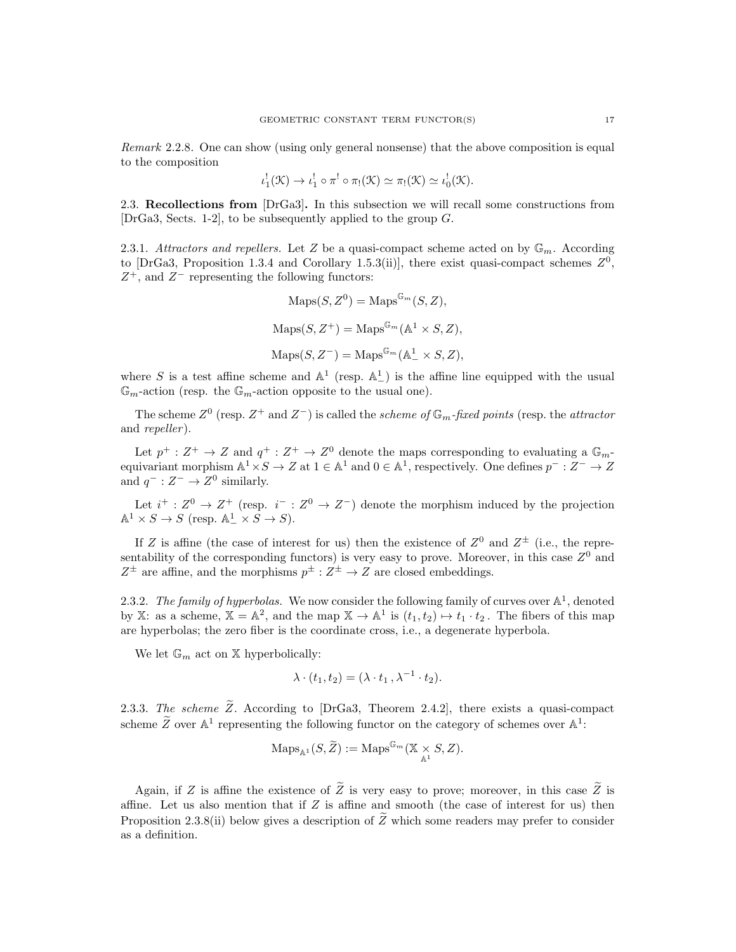Remark 2.2.8. One can show (using only general nonsense) that the above composition is equal to the composition

$$
\iota_1^!(\mathfrak{K}) \to \iota_1^! \circ \pi^! \circ \pi_!(\mathfrak{K}) \simeq \pi_!(\mathfrak{K}) \simeq \iota_0^!(\mathfrak{K}).
$$

2.3. Recollections from [DrGa3]. In this subsection we will recall some constructions from [DrGa3, Sects. 1-2], to be subsequently applied to the group G.

2.3.1. Attractors and repellers. Let Z be a quasi-compact scheme acted on by  $\mathbb{G}_m$ . According to [DrGa3, Proposition 1.3.4 and Corollary 1.5.3(ii)], there exist quasi-compact schemes  $Z^0$ ,  $Z^+$ , and  $Z^-$  representing the following functors:

$$
Maps(S, Z^{0}) = Maps^{\mathbb{G}_{m}}(S, Z),
$$
  
\n
$$
Maps(S, Z^{+}) = Maps^{\mathbb{G}_{m}}(\mathbb{A}^{1} \times S, Z),
$$
  
\n
$$
Maps(S, Z^{-}) = Maps^{\mathbb{G}_{m}}(\mathbb{A}^{1} \times S, Z),
$$

where S is a test affine scheme and  $\mathbb{A}^1$  (resp.  $\mathbb{A}^1_-$ ) is the affine line equipped with the usual  $\mathbb{G}_m$ -action (resp. the  $\mathbb{G}_m$ -action opposite to the usual one).

The scheme  $Z^0$  (resp.  $Z^+$  and  $Z^-$ ) is called the scheme of  $\mathbb{G}_m$ -fixed points (resp. the attractor and *repeller*).

Let  $p^+ : Z^+ \to Z$  and  $q^+ : Z^+ \to Z^0$  denote the maps corresponding to evaluating a  $\mathbb{G}_m$ equivariant morphism  $\mathbb{A}^1 \times S \to Z$  at  $1 \in \mathbb{A}^1$  and  $0 \in \mathbb{A}^1$ , respectively. One defines  $p^- : Z^- \to Z$ and  $q^- : Z^- \to Z^0$  similarly.

Let  $i^+ : Z^0 \to Z^+$  (resp.  $i^- : Z^0 \to Z^-$ ) denote the morphism induced by the projection  $\mathbb{A}^1 \times S \to S$  (resp.  $\mathbb{A}^1 \times S \to S$ ).

If Z is affine (the case of interest for us) then the existence of  $Z^0$  and  $Z^{\pm}$  (i.e., the representability of the corresponding functors) is very easy to prove. Moreover, in this case  $Z^0$  and  $Z^{\pm}$  are affine, and the morphisms  $p^{\pm} : Z^{\pm} \to Z$  are closed embeddings.

2.3.2. The family of hyperbolas. We now consider the following family of curves over  $\mathbb{A}^1$ , denoted by X: as a scheme,  $X = \mathbb{A}^2$ , and the map  $X \to \mathbb{A}^1$  is  $(t_1, t_2) \mapsto t_1 \cdot t_2$ . The fibers of this map are hyperbolas; the zero fiber is the coordinate cross, i.e., a degenerate hyperbola.

We let  $\mathbb{G}_m$  act on X hyperbolically:

$$
\lambda \cdot (t_1, t_2) = (\lambda \cdot t_1, \lambda^{-1} \cdot t_2).
$$

2.3.3. The scheme  $\widetilde{Z}$ . According to [DrGa3, Theorem 2.4.2], there exists a quasi-compact scheme  $\widetilde{Z}$  over  $\mathbb{A}^1$  representing the following functor on the category of schemes over  $\mathbb{A}^1$ :

$$
\mathrm{Maps}_{\mathbb{A}^1}(S, \widetilde{Z}) := \mathrm{Maps}^{\mathbb{G}_m}(\mathbb{X} \times S, Z).
$$

Again, if Z is affine the existence of  $\widetilde{Z}$  is very easy to prove; moreover, in this case  $\widetilde{Z}$  is affine. Let us also mention that if  $Z$  is affine and smooth (the case of interest for us) then Proposition 2.3.8(ii) below gives a description of  $\tilde{Z}$  which some readers may prefer to consider as a definition.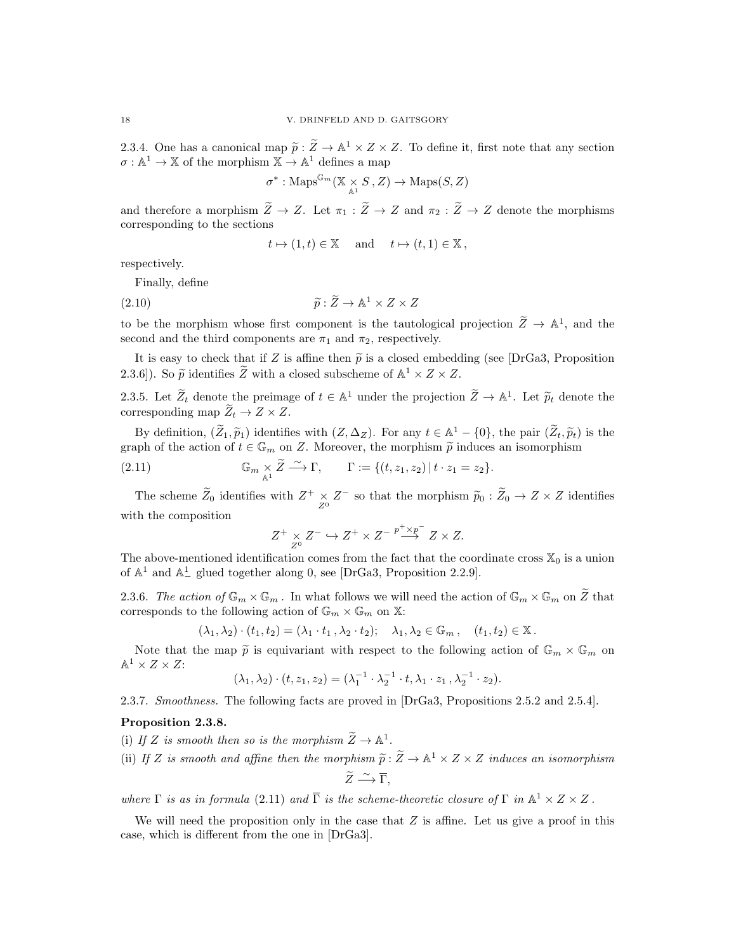2.3.4. One has a canonical map  $\tilde{p}$ :  $\tilde{Z} \to \mathbb{A}^1 \times Z \times Z$ . To define it, first note that any section  $\sigma : \mathbb{A}^1 \to \mathbb{X}$  of the morphism  $\mathbb{X} \to \mathbb{A}^1$  defines a map

$$
\sigma^*: \mathrm{Maps}^{\mathbb{G}_m}(\mathbb{X} \underset{\mathbb{A}^1}{\times} S\,, Z) \to \mathrm{Maps}(S, Z)
$$

and therefore a morphism  $\widetilde{Z} \to Z$ . Let  $\pi_1 : \widetilde{Z} \to Z$  and  $\pi_2 : \widetilde{Z} \to Z$  denote the morphisms corresponding to the sections

$$
t \mapsto (1, t) \in \mathbb{X}
$$
 and  $t \mapsto (t, 1) \in \mathbb{X}$ ,

respectively.

Finally, define

(2.10) 
$$
\widetilde{p}: \widetilde{Z} \to \mathbb{A}^1 \times Z \times Z
$$

to be the morphism whose first component is the tautological projection  $\widetilde{Z} \to \mathbb{A}^1$ , and the second and the third components are  $\pi_1$  and  $\pi_2$ , respectively.

It is easy to check that if Z is affine then  $\tilde{p}$  is a closed embedding (see [DrGa3, Proposition] 2.3.6]). So  $\tilde{p}$  identifies  $\tilde{Z}$  with a closed subscheme of  $\mathbb{A}^1 \times Z \times Z$ .

2.3.5. Let  $\widetilde{Z}_t$  denote the preimage of  $t \in \mathbb{A}^1$  under the projection  $\widetilde{Z} \to \mathbb{A}^1$ . Let  $\widetilde{p}_t$  denote the corresponding map  $\widetilde{Z}_t \to Z \times Z$ .

By definition,  $(\widetilde{Z}_1, \widetilde{p}_1)$  identifies with  $(Z, \Delta_Z)$ . For any  $t \in \mathbb{A}^1 - \{0\}$ , the pair  $(\widetilde{Z}_t, \widetilde{p}_t)$  is the graph of the action of  $t \in \mathbb{G}_m$  on Z. Moreover, the morphism  $\widetilde{p}$  induces an isomorphism

(2.11) 
$$
\mathbb{G}_m \underset{\mathbb{A}^1}{\times} \widetilde{Z} \xrightarrow{\sim} \Gamma, \qquad \Gamma := \{ (t, z_1, z_2) \mid t \cdot z_1 = z_2 \}.
$$

The scheme  $\widetilde{Z}_0$  identifies with  $Z^+ \underset{Z^0}{\times} Z^-$  so that the morphism  $\widetilde{p}_0 : \widetilde{Z}_0 \to Z \times Z$  identifies with the composition

$$
Z^+ \underset{Z^0}{\times} Z^- \hookrightarrow Z^+ \times Z^- \overset{p^+ \times p^-}{\longrightarrow} Z \times Z.
$$

The above-mentioned identification comes from the fact that the coordinate cross  $\mathbb{X}_0$  is a union of  $\mathbb{A}^1$  and  $\mathbb{A}^1$  glued together along 0, see [DrGa3, Proposition 2.2.9].

2.3.6. The action of  $\mathbb{G}_m \times \mathbb{G}_m$ . In what follows we will need the action of  $\mathbb{G}_m \times \mathbb{G}_m$  on  $\widetilde{Z}$  that corresponds to the following action of  $\mathbb{G}_m \times \mathbb{G}_m$  on X:

$$
(\lambda_1, \lambda_2) \cdot (t_1, t_2) = (\lambda_1 \cdot t_1, \lambda_2 \cdot t_2); \quad \lambda_1, \lambda_2 \in \mathbb{G}_m, \quad (t_1, t_2) \in \mathbb{X}.
$$

Note that the map  $\tilde{p}$  is equivariant with respect to the following action of  $\mathbb{G}_m \times \mathbb{G}_m$  on  $\mathbb{A}^1 \times Z \times Z$ :

$$
(\lambda_1, \lambda_2) \cdot (t, z_1, z_2) = (\lambda_1^{-1} \cdot \lambda_2^{-1} \cdot t, \lambda_1 \cdot z_1, \lambda_2^{-1} \cdot z_2).
$$

2.3.7. Smoothness. The following facts are proved in [DrGa3, Propositions 2.5.2 and 2.5.4].

# Proposition 2.3.8.

(i) If Z is smooth then so is the morphism  $\widetilde{Z} \to \mathbb{A}^1$ .

(ii) If Z is smooth and affine then the morphism  $\tilde{p} : \tilde{Z} \to \mathbb{A}^1 \times Z \times Z$  induces an isomorphism  $\widetilde{Z}\stackrel{\sim}{\longrightarrow}\overline{\Gamma},$ 

where  $\Gamma$  is as in formula (2.11) and  $\overline{\Gamma}$  is the scheme-theoretic closure of  $\Gamma$  in  $\mathbb{A}^1 \times Z \times Z$ .

We will need the proposition only in the case that  $Z$  is affine. Let us give a proof in this case, which is different from the one in [DrGa3].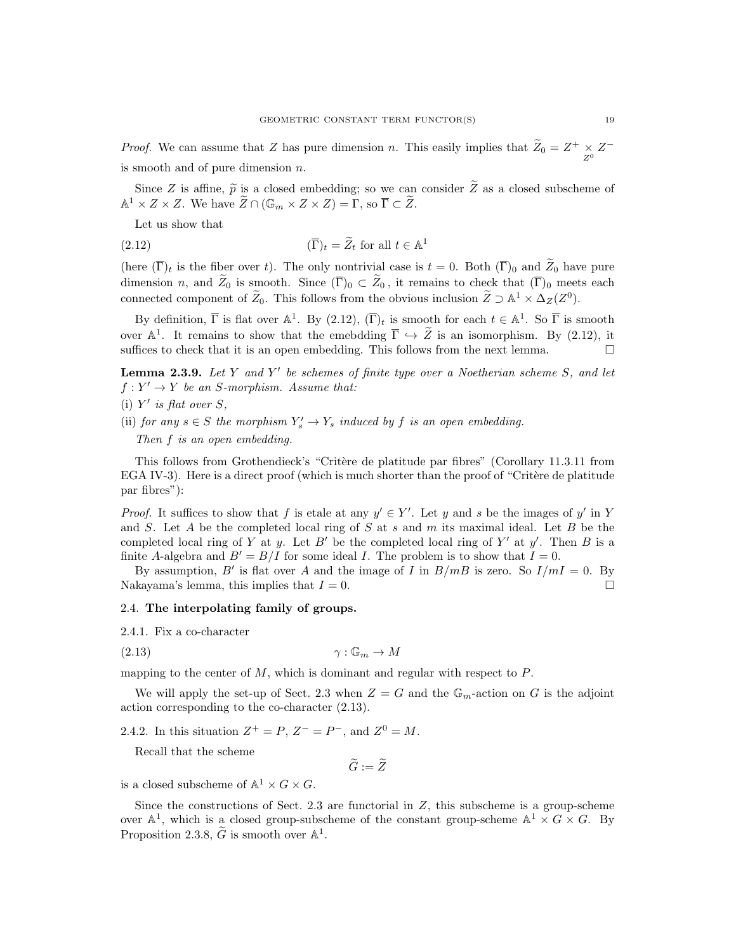*Proof.* We can assume that Z has pure dimension n. This easily implies that  $\tilde{Z}_0 = Z^+ \times Z^$ is smooth and of pure dimension n.

Since Z is affine,  $\tilde{p}$  is a closed embedding; so we can consider  $\tilde{Z}$  as a closed subscheme of  $\mathbb{A}^1 \times Z \times Z$ . We have  $\widetilde{Z} \cap (\mathbb{G}_m \times Z \times Z) = \Gamma$ , so  $\overline{\Gamma} \subset \widetilde{Z}$ .

Let us show that

(2.12) 
$$
(\overline{\Gamma})_t = \widetilde{Z}_t \text{ for all } t \in \mathbb{A}^1
$$

(here  $(\overline{\Gamma})_t$  is the fiber over t). The only nontrivial case is  $t = 0$ . Both  $(\overline{\Gamma})_0$  and  $\widetilde{Z}_0$  have pure dimension n, and  $Z_0$  is smooth. Since  $(\overline{\Gamma})_0 \subset Z_0$ , it remains to check that  $(\overline{\Gamma})_0$  meets each connected component of  $\widetilde{Z}_0$ . This follows from the obvious inclusion  $\widetilde{Z} \supset \mathbb{A}^1 \times \Delta_Z(Z^0)$ .

By definition,  $\overline{\Gamma}$  is flat over  $\mathbb{A}^1$ . By  $(2.12)$ ,  $(\overline{\Gamma})_t$  is smooth for each  $t \in \mathbb{A}^1$ . So  $\overline{\Gamma}$  is smooth over  $\mathbb{A}^1$ . It remains to show that the emebdding  $\overline{\Gamma} \hookrightarrow \widetilde{Z}$  is an isomorphism. By (2.12), it suffices to check that it is an open embedding. This follows from the next lemma.  $\Box$ 

**Lemma 2.3.9.** Let Y and Y' be schemes of finite type over a Noetherian scheme S, and let  $f: Y' \to Y$  be an S-morphism. Assume that:

- (i)  $Y'$  is flat over  $S$ ,
- (ii) for any  $s \in S$  the morphism  $Y_s' \to Y_s$  induced by f is an open embedding.

Then f is an open embedding.

This follows from Grothendieck's "Critère de platitude par fibres" (Corollary 11.3.11 from EGA IV-3). Here is a direct proof (which is much shorter than the proof of "Critère de platitude" par fibres"):

*Proof.* It suffices to show that f is etale at any  $y' \in Y'$ . Let y and s be the images of y' in Y and S. Let A be the completed local ring of S at  $s$  and  $m$  its maximal ideal. Let B be the completed local ring of Y at y. Let B' be the completed local ring of Y' at y'. Then B is a finite A-algebra and  $B' = B/I$  for some ideal I. The problem is to show that  $I = 0$ .

By assumption, B' is flat over A and the image of I in  $B/mB$  is zero. So  $I/mI = 0$ . By Nakayama's lemma, this implies that  $I = 0$ .

### 2.4. The interpolating family of groups.

2.4.1. Fix a co-character

$$
\gamma : \mathbb{G}_m \to M
$$

mapping to the center of  $M$ , which is dominant and regular with respect to  $P$ .

We will apply the set-up of Sect. 2.3 when  $Z = G$  and the  $\mathbb{G}_m$ -action on G is the adjoint action corresponding to the co-character (2.13).

2.4.2. In this situation  $Z^+ = P$ ,  $Z^- = P^-$ , and  $Z^0 = M$ .

Recall that the scheme

 $\widetilde{G} := \widetilde{Z}$ 

is a closed subscheme of  $\mathbb{A}^1 \times G \times G$ .

Since the constructions of Sect. 2.3 are functorial in  $Z$ , this subscheme is a group-scheme over  $\mathbb{A}^1$ , which is a closed group-subscheme of the constant group-scheme  $\mathbb{A}^1 \times G \times G$ . By Proposition 2.3.8,  $\widetilde{G}$  is smooth over  $\mathbb{A}^1$ .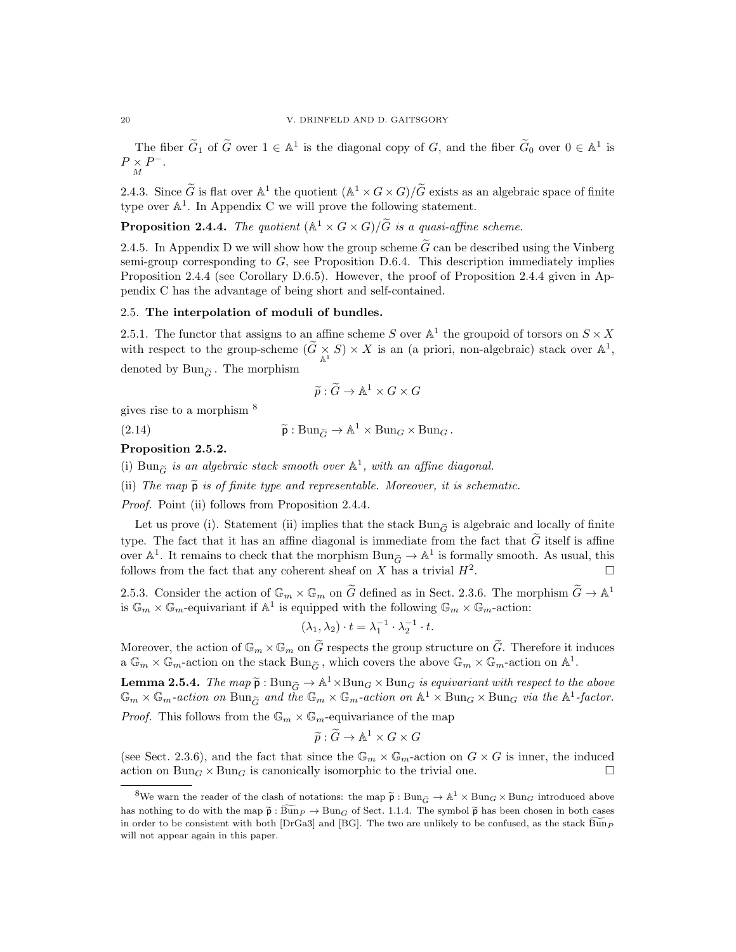The fiber  $\widetilde{G}_1$  of  $\widetilde{G}$  over  $1 \in \mathbb{A}^1$  is the diagonal copy of  $G$ , and the fiber  $\widetilde{G}_0$  over  $0 \in \mathbb{A}^1$  is  $P \underset{M}{\times} P^{-}.$ 

2.4.3. Since  $\widetilde{G}$  is flat over  $\mathbb{A}^1$  the quotient  $(\mathbb{A}^1 \times G \times G)/\widetilde{G}$  exists as an algebraic space of finite type over  $\mathbb{A}^1$ . In Appendix C we will prove the following statement.

**Proposition 2.4.4.** The quotient  $(\mathbb{A}^1 \times G \times G)/\tilde{G}$  is a quasi-affine scheme.

2.4.5. In Appendix D we will show how the group scheme  $\widetilde{G}$  can be described using the Vinberg semi-group corresponding to  $G$ , see Proposition D.6.4. This description immediately implies Proposition 2.4.4 (see Corollary D.6.5). However, the proof of Proposition 2.4.4 given in Appendix C has the advantage of being short and self-contained.

### 2.5. The interpolation of moduli of bundles.

2.5.1. The functor that assigns to an affine scheme S over  $\mathbb{A}^1$  the groupoid of torsors on  $S \times X$ with respect to the group-scheme  $(\widetilde{G}\times S)\times X$  is an (a priori, non-algebraic) stack over  $\mathbb{A}^1$ , denoted by  $Bun_{\widetilde{G}}$ . The morphism

$$
\widetilde{p} : \widetilde{G} \to \mathbb{A}^1 \times G \times G
$$

gives rise to a morphism <sup>8</sup>

(2.14)  $\widetilde{\mathsf{p}} : \text{Bun}_{\widetilde{G}} \to \mathbb{A}^1 \times \text{Bun}_G \times \text{Bun}_G.$ 

### Proposition 2.5.2.

(i)  $\text{Bun}_{\widetilde{G}}$  is an algebraic stack smooth over  $\mathbb{A}^1$ , with an affine diagonal.

(ii) The map  $\tilde{p}$  is of finite type and representable. Moreover, it is schematic.

Proof. Point (ii) follows from Proposition 2.4.4.

Let us prove (i). Statement (ii) implies that the stack  $Bun_{\tilde{G}}$  is algebraic and locally of finite type. The fact that it has an affine diagonal is immediate from the fact that  $\tilde{G}$  itself is affine over  $\mathbb{A}^1$ . It remains to check that the morphism  $\text{Bun}_{\tilde{G}} \to \mathbb{A}^1$  is formally smooth. As usual, this follows from the fact that any coherent sheaf on X has a trivial  $H^2$ . . — Процессиональные производствование и производствование и производствование и производствование и производс<br>В 1990 году в 1990 году в 1990 году в 1990 году в 1990 году в 1990 году в 1990 году в 1990 году в 1990 году в<br>

2.5.3. Consider the action of  $\mathbb{G}_m \times \mathbb{G}_m$  on  $\widetilde{G}$  defined as in Sect. 2.3.6. The morphism  $\widetilde{G} \to \mathbb{A}^1$ is  $\mathbb{G}_m \times \mathbb{G}_m$ -equivariant if  $\mathbb{A}^1$  is equipped with the following  $\mathbb{G}_m \times \mathbb{G}_m$ -action:

$$
(\lambda_1, \lambda_2) \cdot t = \lambda_1^{-1} \cdot \lambda_2^{-1} \cdot t.
$$

Moreover, the action of  $\mathbb{G}_m \times \mathbb{G}_m$  on  $\widetilde{G}$  respects the group structure on  $\widetilde{G}$ . Therefore it induces a  $\mathbb{G}_m \times \mathbb{G}_m$ -action on the stack  $\text{Bun}_{\widetilde{G}}$ , which covers the above  $\mathbb{G}_m \times \mathbb{G}_m$ -action on  $\mathbb{A}^1$ .

**Lemma 2.5.4.** The map  $\tilde{p}$ : Bung  $\rightarrow$   $\mathbb{A}^1 \times$ Bung  $\times$  Bung is equivariant with respect to the above  $\mathbb{C}$  is  $\mathbb{C}$  action on  $\mathbb{R}^1$  is  $\mathbb{C}$  action on  $\mathbb{R}^1$ .  $\mathbb{G}_m \times \mathbb{G}_m$ -action on  $\text{Bun}_{\widetilde{G}}$  and the  $\mathbb{G}_m \times \mathbb{G}_m$ -action on  $\mathbb{A}^1 \times \text{Bun}_G \times \text{Bun}_G$  via the  $\mathbb{A}^1$ -factor. *Proof.* This follows from the  $\mathbb{G}_m \times \mathbb{G}_m$ -equivariance of the map

$$
\widetilde{p} : \widetilde{G} \to \mathbb{A}^1 \times G \times G
$$

(see Sect. 2.3.6), and the fact that since the  $\mathbb{G}_m \times \mathbb{G}_m$ -action on  $G \times G$  is inner, the induced action on  $Bun_G \times Bun_G$  is canonically isomorphic to the trivial one.

<sup>&</sup>lt;sup>8</sup>We warn the reader of the clash of notations: the map  $\tilde{p}$ : Bun<sub> $\tilde{G} \to \mathbb{A}^1 \times \text{Bun}_G \times \text{Bun}_G$  introduced above</sub> has nothing to do with the map  $\tilde{p}$ :  $\widetilde{Bun}_P \to Bun_G$  of Sect. 1.1.4. The symbol  $\tilde{p}$  has been chosen in both cases in order to be consistent with both [DrGa3] and [BG]. The two are unlikely to be confused, as the stack  $\widehat{Bun}_P$ will not appear again in this paper.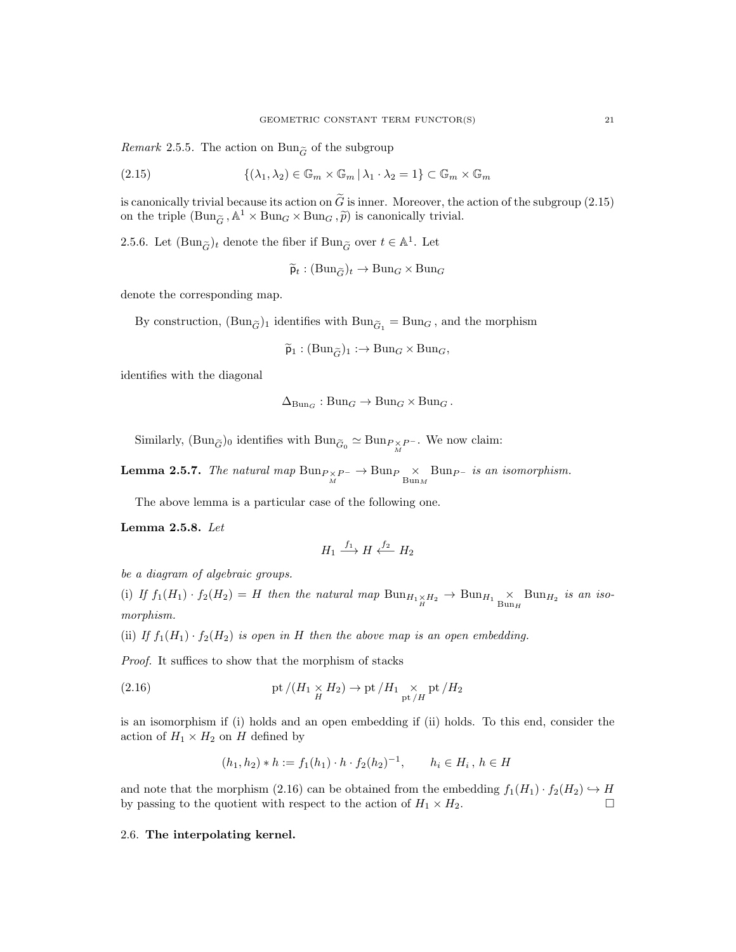*Remark* 2.5.5. The action on Bun<sub> $\tilde{G}$ </sub> of the subgroup

(2.15) 
$$
\{(\lambda_1, \lambda_2) \in \mathbb{G}_m \times \mathbb{G}_m | \lambda_1 \cdot \lambda_2 = 1\} \subset \mathbb{G}_m \times \mathbb{G}_m
$$

is canonically trivial because its action on  $\tilde{G}$  is inner. Moreover, the action of the subgroup (2.15) on the triple  $(\text{Bun}_{\widetilde{G}}, \mathbb{A}^1 \times \text{Bun}_G \times \text{Bun}_G, \widetilde{p})$  is canonically trivial.

2.5.6. Let  $(\text{Bun}_{\widetilde{G}})_t$  denote the fiber if  $\text{Bun}_{\widetilde{G}}$  over  $t \in \mathbb{A}^1$ . Let

 $\widetilde{\mathsf{p}}_t : (\text{Bun}_{\widetilde{G}})_t \to \text{Bun}_G \times \text{Bun}_G$ 

denote the corresponding map.

By construction,  $(\text{Bun}_{\widetilde{G}})_1$  identifies with  $\text{Bun}_{\widetilde{G}_1} = \text{Bun}_G$ , and the morphism

$$
\widetilde{\mathsf{p}}_1 : (\mathrm{Bun}_{\widetilde{G}})_1 : \to \mathrm{Bun}_G \times \mathrm{Bun}_G,
$$

identifies with the diagonal

$$
\Delta_{\mathrm{Bun}_G}: \mathrm{Bun}_G \to \mathrm{Bun}_G \times \mathrm{Bun}_G.
$$

Similarly,  $(\text{Bun}_{\widetilde{G}})_0$  identifies with  $\text{Bun}_{\widetilde{G}_0} \simeq \text{Bun}_{P \times P}$ . We now claim:

**Lemma 2.5.7.** The natural map  $\text{Bun}_{P \times P^-} \to \text{Bun}_P \times \text{Bun}_{P^-}$  is an isomorphism.

The above lemma is a particular case of the following one.

Lemma 2.5.8. Let

$$
H_1 \xrightarrow{f_1} H \xleftarrow{f_2} H_2
$$

be a diagram of algebraic groups.

(i) If  $f_1(H_1) \cdot f_2(H_2) = H$  then the natural map  $\text{Bun}_{H_1 \times H_2} \to \text{Bun}_{H_1} \times \text{Bun}_{H_2}$  is an isomorphism.

(ii) If  $f_1(H_1) \cdot f_2(H_2)$  is open in H then the above map is an open embedding.

Proof. It suffices to show that the morphism of stacks

(2.16) 
$$
\text{pt }/(H_1 \underset{H}{\times} H_2) \to \text{pt }/H_1 \underset{\text{pt }/H}{\times} \text{pt }/H_2
$$

is an isomorphism if (i) holds and an open embedding if (ii) holds. To this end, consider the action of  $H_1 \times H_2$  on H defined by

$$
(h_1, h_2) * h := f_1(h_1) \cdot h \cdot f_2(h_2)^{-1}, \qquad h_i \in H_i, \, h \in H
$$

and note that the morphism (2.16) can be obtained from the embedding  $f_1(H_1) \cdot f_2(H_2) \hookrightarrow H$ by passing to the quotient with respect to the action of  $H_1 \times H_2$ .

### 2.6. The interpolating kernel.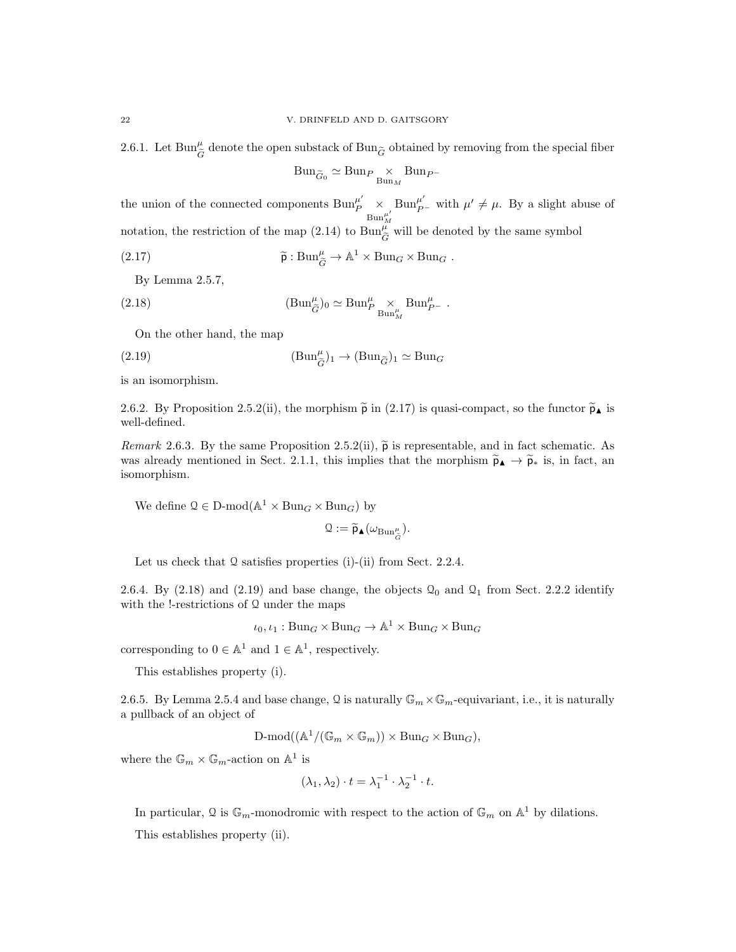2.6.1. Let  $\text{Bun}^\mu_{\widetilde G}$  denote the open substack of  $\text{Bun}_{\widetilde G}$  obtained by removing from the special fiber

$$
Bun_{\widetilde{G}_0} \simeq Bun_P \underset{Bun_M}{\times} Bun_{P^-}
$$

the union of the connected components  $\text{Bun}_P^{\mu'} \underset{\text{Bun}_M^{\mu'}}{\times}$ Bun<sup> $\mu'$ </sup> with  $\mu' \neq \mu$ . By a slight abuse of notation, the restriction of the map (2.14) to  $\text{Bun}_{\tilde{G}}^{\mu}$  will be denoted by the same symbol

(2.17) 
$$
\widetilde{\mathsf{p}} : \mathrm{Bun}_{\widetilde{G}}^{\mu} \to \mathbb{A}^1 \times \mathrm{Bun}_G \times \mathrm{Bun}_G .
$$

By Lemma 2.5.7,

(2.18) 
$$
(\text{Bun}_{\tilde{G}}^{\mu})_0 \simeq \text{Bun}_{P}^{\mu} \underset{\text{Bun}_{M}^{\mu}}{\times} \text{Bun}_{P}^{\mu}.
$$

On the other hand, the map

(2.19) 
$$
(\text{Bun}_{\widetilde{G}}^{\mu})_1 \to (\text{Bun}_{\widetilde{G}})_1 \simeq \text{Bun}_{G}
$$

is an isomorphism.

2.6.2. By Proposition 2.5.2(ii), the morphism  $\tilde{p}$  in (2.17) is quasi-compact, so the functor  $\tilde{p}_{\blacktriangle}$  is well-defined.

Remark 2.6.3. By the same Proposition 2.5.2(ii),  $\tilde{p}$  is representable, and in fact schematic. As was already mentioned in Sect. 2.1.1, this implies that the morphism  $\tilde{p}_{\blacktriangle} \rightarrow \tilde{p}_{*}$  is, in fact, an isomorphism.

We define  $\mathcal{Q} \in \mathcal{D}\text{-mod}(\mathbb{A}^1 \times \text{Bun}_G \times \text{Bun}_G)$  by

$$
\mathfrak{Q}:=\widetilde{\mathsf{p}}_{\blacktriangle}(\omega_{\mathrm{Bun}_{\widetilde{G}}^{\mu}}).
$$

Let us check that  $\Omega$  satisfies properties (i)-(ii) from Sect. 2.2.4.

2.6.4. By  $(2.18)$  and  $(2.19)$  and base change, the objects  $\mathcal{Q}_0$  and  $\mathcal{Q}_1$  from Sect. 2.2.2 identify with the !-restrictions of  $Q$  under the maps

 $\iota_0, \iota_1 : \text{Bun}_G \times \text{Bun}_G \to \mathbb{A}^1 \times \text{Bun}_G \times \text{Bun}_G$ 

corresponding to  $0 \in \mathbb{A}^1$  and  $1 \in \mathbb{A}^1$ , respectively.

This establishes property (i).

2.6.5. By Lemma 2.5.4 and base change, Q is naturally  $\mathbb{G}_m \times \mathbb{G}_m$ -equivariant, i.e., it is naturally a pullback of an object of

$$
\text{D-mod}((\mathbb{A}^1/(\mathbb{G}_m \times \mathbb{G}_m)) \times \text{Bun}_G \times \text{Bun}_G),
$$

where the  $\mathbb{G}_m \times \mathbb{G}_m$ -action on  $\mathbb{A}^1$  is

$$
(\lambda_1, \lambda_2) \cdot t = \lambda_1^{-1} \cdot \lambda_2^{-1} \cdot t.
$$

In particular, Q is  $\mathbb{G}_m$ -monodromic with respect to the action of  $\mathbb{G}_m$  on  $\mathbb{A}^1$  by dilations. This establishes property (ii).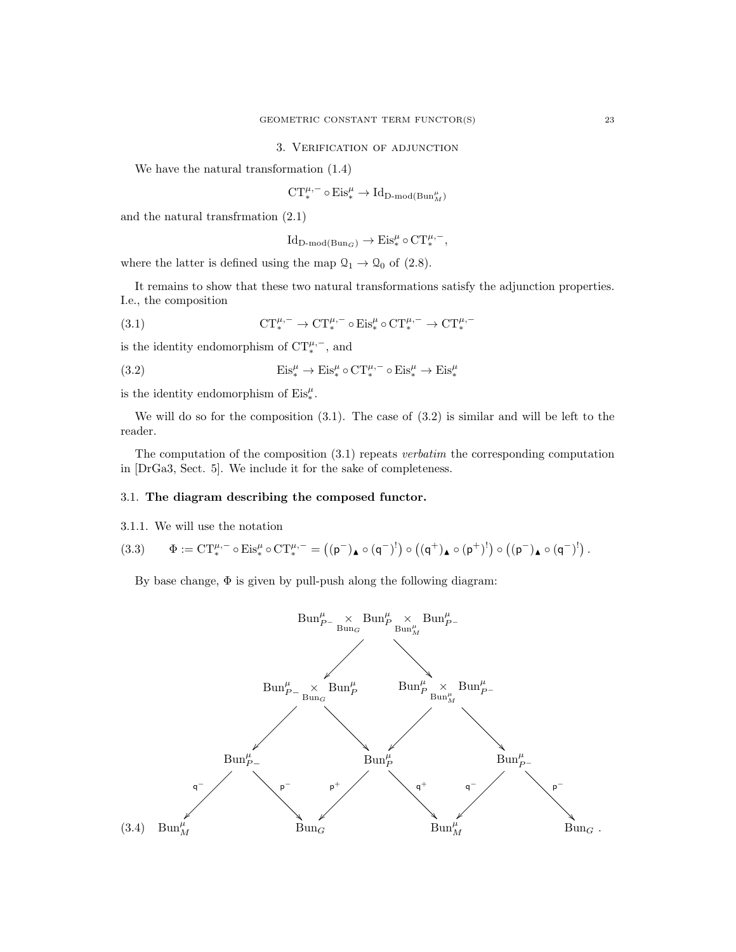#### 3. Verification of adjunction

We have the natural transformation (1.4)

$$
\text{CT}^{\mu,-}_\ast\circ\text{Eis}^\mu_\ast\to\text{Id}_{\text{D-mod}(\text{Bun}_M^\mu)}
$$

and the natural transfrmation (2.1)

$$
\operatorname{Id}_{D\text{-}\mathrm{mod}(\operatorname{Bun}_G)} \to \operatorname{Eis}^{\mu}_* \circ \mathrm{CT}^{\mu,-}_*,
$$

where the latter is defined using the map  $\mathcal{Q}_1 \rightarrow \mathcal{Q}_0$  of (2.8).

It remains to show that these two natural transformations satisfy the adjunction properties. I.e., the composition

(3.1) 
$$
CT_*^{\mu,-} \to CT_*^{\mu,-} \circ Eis_*^{\mu} \circ CT_*^{\mu,-} \to CT_*^{\mu,-}
$$

is the identity endomorphism of  $CT_*^{\mu,-}$ , and

(3.2) 
$$
Eis^{\mu}_{*} \to Eis^{\mu}_{*} \circ CT^{{\mu,-}}_{*} \circ Eis^{\mu}_{*} \to Eis^{\mu}_{*}
$$

is the identity endomorphism of  $\mathrm{Eis}_*^\mu.$ 

We will do so for the composition  $(3.1)$ . The case of  $(3.2)$  is similar and will be left to the reader.

The computation of the composition  $(3.1)$  repeats verbatim the corresponding computation in [DrGa3, Sect. 5]. We include it for the sake of completeness.

### 3.1. The diagram describing the composed functor.

3.1.1. We will use the notation

$$
(3.3) \qquad \Phi:=\textnormal{CT}^{\mu,-}_*\circ \textnormal{Eis}^\mu_*\circ \textnormal{CT}^{\mu,-}_* = \left((\mathsf{p}^-)_\blacktriangle \circ (\mathsf{q}^-)^! \right) \circ \left((\mathsf{q}^+)_\blacktriangle \circ (\mathsf{p}^+)^! \right) \circ \left((\mathsf{p}^-)_\blacktriangle \circ (\mathsf{q}^-)^! \right).
$$

By base change, Φ is given by pull-push along the following diagram:

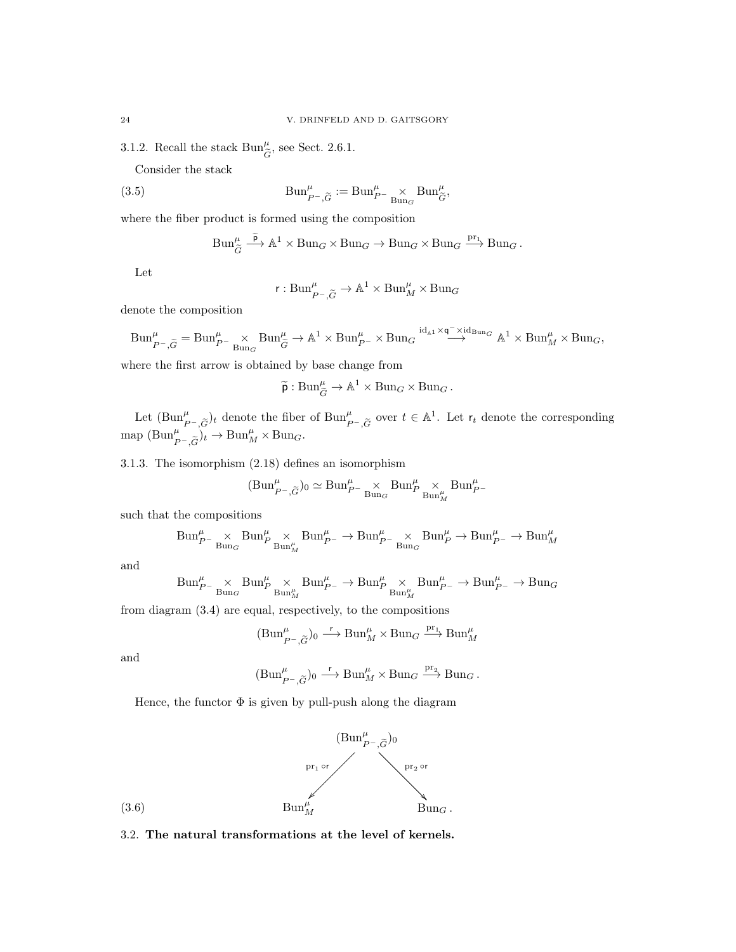3.1.2. Recall the stack  $\text{Bun}^{\mu}_{\tilde{G}}$ , see Sect. 2.6.1.

Consider the stack

(3.5) 
$$
\text{Bun}_{P^-,\widetilde{G}}^{\mu} := \text{Bun}_{P^-}^{\mu} \underset{\text{Bun}_{G}}{\times} \text{Bun}_{\widetilde{G}}^{\mu},
$$

where the fiber product is formed using the composition

$$
\text{Bun}_{\widetilde{G}}^{\mu} \xrightarrow{\widetilde{p}} \mathbb{A}^1 \times \text{Bun}_G \times \text{Bun}_G \to \text{Bun}_G \times \text{Bun}_G \xrightarrow{\text{pr}_1} \text{Bun}_G.
$$

Let

$$
r: \text{Bun}_{P^-,\widetilde{G}}^{\mu} \to \mathbb{A}^1 \times \text{Bun}_M^{\mu} \times \text{Bun}_G
$$

denote the composition

$$
\text{Bun}_{P^{-},\widetilde{G}}^{\mu}=\text{Bun}_{P^{-}}^{\mu}\underset{\text{Bun}_{G}}{\times}\text{Bun}_{\widetilde{G}}^{\mu}\rightarrow\mathbb{A}^{1}\times\text{Bun}_{P^{-}}^{\mu}\times\text{Bun}_{G}^{~~\mathrm{id}_{\mathbb{A}^{1}}\times\mathsf{q}^{-}\times\mathrm{id}_{\text{Bun}_{G}}}\mathbb{A}^{1}\times\text{Bun}_{M}^{\mu}\times\text{Bun}_{G},
$$

where the first arrow is obtained by base change from

$$
\widetilde{\mathsf{p}}: \mathrm{Bun}^{\mu}_{\widetilde{G}} \to \mathbb{A}^1 \times \mathrm{Bun}_G \times \mathrm{Bun}_G.
$$

Let  $(\text{Bun}_{P^-, \widetilde{G}}^{\mu})_t$  denote the fiber of  $\text{Bun}_{P^-, \widetilde{G}}^{\mu}$  over  $t \in \mathbb{A}^1$ . Let  $r_t$  denote the corresponding map  $(\text{Bun}_{P^-, \widetilde{G}}^{\mu})_t \to \text{Bun}_{M}^{\mu} \times \text{Bun}_{G}$ .

3.1.3. The isomorphism (2.18) defines an isomorphism

$$
(\text{Bun}^\mu_{P^-, \widetilde{G}})_0 \simeq \text{Bun}^\mu_{P^-} \underset{\text{Bun}_G}{\times} \text{Bun}^\mu_{P} \underset{\text{Bun}^\mu_{M}}{\times} \text{Bun}^\mu_{P^-}
$$

such that the compositions

$$
\text{Bun}_{P^-}^\mu\underset{\text{Bun}_G}{\times}\text{Bun}_{P^-}^\mu\underset{\text{Bun}_{M}^\mu}{\times}\text{Bun}_{P^-}^\mu\rightarrow\text{Bun}_{P^-}^\mu\underset{\text{Bun}_G}{\times}\text{Bun}_{P}^\mu\rightarrow\text{Bun}_{P^-}^\mu\rightarrow\text{Bun}_{M}^\mu
$$

and

$$
\text{Bun}_{P^-}^\mu\underset{\text{Bun}_G}\times\text{Bun}_{P^-}\text{Bun}_{M}^\mu\underset{\text{Bun}_M^\mu}\times\text{Bun}_{P^-}^\mu\rightarrow\text{Bun}_{P^-}^\mu\underset{\text{Bun}_M^\mu}\times\text{Bun}_{P^-}^\mu\rightarrow\text{Bun}_{P^-}^\mu\rightarrow\text{Bun}_G^\mu
$$

from diagram (3.4) are equal, respectively, to the compositions

$$
(\mathrm{Bun}^\mu_{P^-, \widetilde{G}})_0 \stackrel{\mathsf{r}}{\longrightarrow} \mathrm{Bun}^\mu_M \times \mathrm{Bun}_G \stackrel{\mathrm{pr}_1}{\longrightarrow} \mathrm{Bun}^\mu_M
$$

and

$$
(\mathrm{Bun}^\mu_{P^-,\widetilde{G}})_0 \stackrel{\mathsf{r}}{\longrightarrow} \mathrm{Bun}^\mu_M \times \mathrm{Bun}_G \stackrel{\mathrm{pr}_2}{\longrightarrow} \mathrm{Bun}_G \,.
$$

Hence, the functor  $\Phi$  is given by pull-push along the diagram



3.2. The natural transformations at the level of kernels.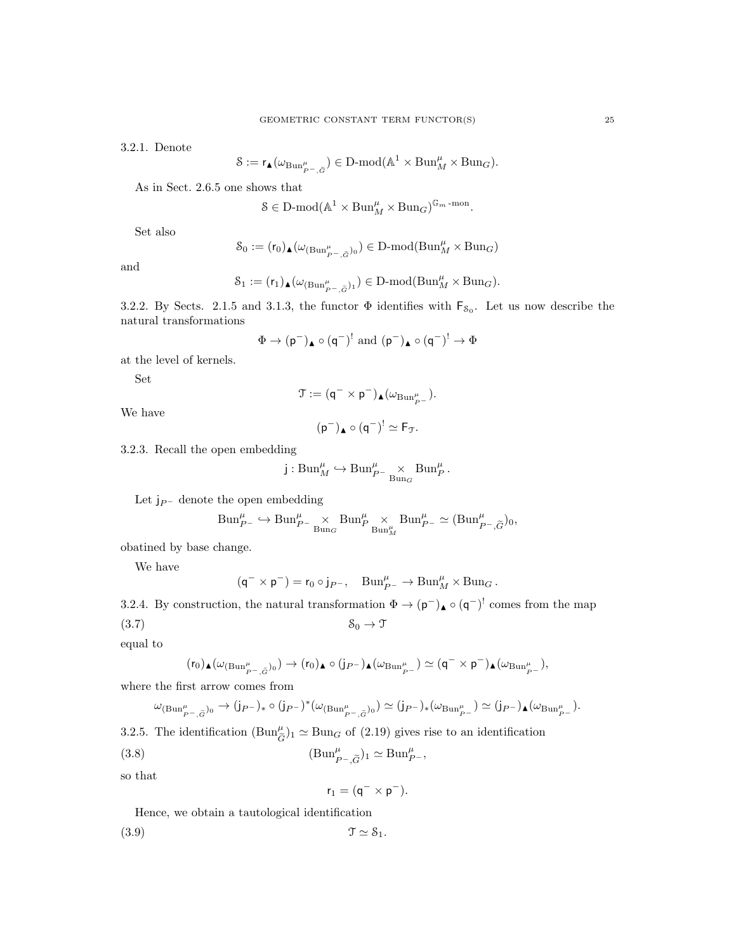3.2.1. Denote

$$
\mathcal{S}:=\mathrm{r}_\blacktriangle(\omega_{\mathrm{Bun}^\mu_{P^-,\widetilde{G}}})\in\mathrm{D\text{-}mod}(\mathbb{A}^1\times \mathrm{Bun}^\mu_M\times \mathrm{Bun}_G).
$$

As in Sect. 2.6.5 one shows that

$$
\mathcal{S}\in\mathbf{D}\text{-mod}(\mathbb{A}^1\times\mathrm{Bun}_M^{\mu}\times\mathrm{Bun}_G)^{\mathbb{G}_m\text{-mon}}.
$$

Set also

$$
\mathcal{S}_0:=(r_0)_\blacktriangle(\omega_{(\mathrm{Bun}^\mu_{P^-, \tilde{G}})_0})\in \mathrm{D}\text{-}\mathrm{mod}(\mathrm{Bun}^\mu_M\times \mathrm{Bun}_G)
$$

and

$$
\mathcal{S}_1:=(r_1)_\blacktriangle(\omega_{(\mathrm{Bun}^\mu_{P^-,\widetilde{G}})_1})\in\mathop{\mathrm{D}\text{-}\mathrm{mod}}(\mathrm{Bun}^{\mu}_M\times\mathrm{Bun}_G).
$$

3.2.2. By Sects. 2.1.5 and 3.1.3, the functor  $\Phi$  identifies with  $F_{s_0}$ . Let us now describe the natural transformations

$$
\Phi \rightarrow (\mathsf{p}^-)_\blacktriangle \circ (\mathsf{q}^-)^! \text{ and } (\mathsf{p}^-)_\blacktriangle \circ (\mathsf{q}^-)^! \rightarrow \Phi
$$

at the level of kernels.

Set

$$
\mathfrak{T} := (\mathsf{q}^- \times \mathsf{p}^-)_\blacktriangle (\omega_{\mathrm{Bun}_{{}_{P^-}}^\mu}).
$$

We have

$$
(p^-)_{\blacktriangle} \circ (q^-)^! \simeq F_{\mathfrak{T}}.
$$

3.2.3. Recall the open embedding

$$
j: \text{Bun}_M^{\mu} \hookrightarrow \text{Bun}_{P^-}^{\mu} \underset{\text{Bun}_G}{\times} \text{Bun}_P^{\mu}.
$$

Let  $j_{P}$ - denote the open embedding

$$
\text{Bun}_{P^-}^{\mu} \hookrightarrow \text{Bun}_{P^-}^{\mu} \underset{\text{Bun}_{G}}{\times} \text{Bun}_{P}^{\mu} \underset{\text{Bun}_{M}^{\mu}}{\times} \text{Bun}_{P^-}^{\mu} \simeq (\text{Bun}_{P^-,\widetilde{G}}^{\mu})_{0},
$$

obatined by base change.

We have

$$
(\mathsf{q}^- \times \mathsf{p}^-) = \mathsf{r}_0 \circ \mathsf{j}_{P^-}, \quad \mathrm{Bun}_{P^-}^\mu \to \mathrm{Bun}_M^\mu \times \mathrm{Bun}_G\,.
$$

3.2.4. By construction, the natural transformation  $\Phi \to (p^-)_{\blacktriangle} \circ (q^-)^!$  comes from the map (3.7)  $S_0 \to \mathcal{T}$ 

equal to

$$
(r_0)_\blacktriangle(\omega_{({\operatorname{Bun}}_{P^-,\tilde{G}}^{\mu})_0})\to (r_0)_\blacktriangle\circ (j_{P^-})_\blacktriangle(\omega_{{\operatorname{Bun}}_{P^-}^{\mu}})\simeq (q^-\times p^-)_\blacktriangle(\omega_{{\operatorname{Bun}}_{P^-}^{\mu}}),
$$

where the first arrow comes from

$$
\omega_{(\mathrm{Bun}^{\mu}_{P^-,\tilde{G}})_0} \to (j_{P^-})_* \circ (j_{P^-})^* (\omega_{(\mathrm{Bun}^{\mu}_{P^-,\tilde{G}})_0}) \simeq (j_{P^-})_* (\omega_{\mathrm{Bun}^{\mu}_{P^-}}) \simeq (j_{P^-})_{\blacktriangle} (\omega_{\mathrm{Bun}^{\mu}_{P^-}}).
$$

3.2.5. The identification  $(\text{Bun}_{\tilde{G}}^{\mu})_1 \simeq \text{Bun}_G$  of  $(2.19)$  gives rise to an identification

(3.8) 
$$
(\text{Bun}_{P^-, \widetilde{G}}^{\mu})_1 \simeq \text{Bun}_{P^-}^{\mu}
$$

so that

$$
\mathsf{r}_1 = (\mathsf{q}^- \times \mathsf{p}^-).
$$

 $\cdot$ ,

Hence, we obtain a tautological identification

(3.9) T ' S1.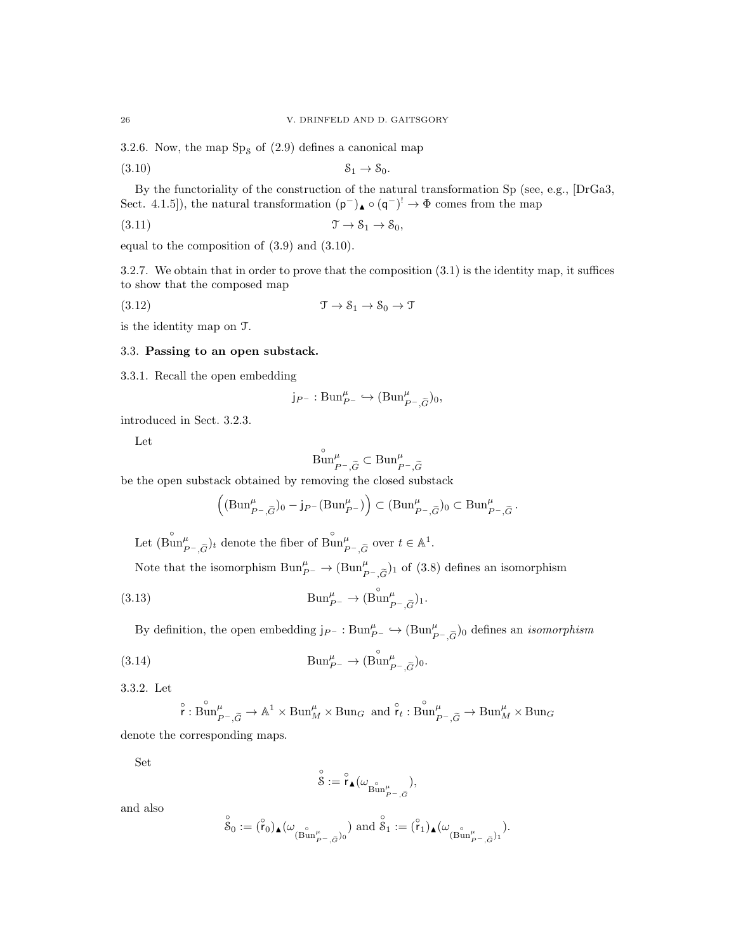3.2.6. Now, the map  $Sp<sub>8</sub>$  of (2.9) defines a canonical map

 $(3.10)$   $\mathcal{S}_1 \rightarrow \mathcal{S}_0.$ 

By the functoriality of the construction of the natural transformation Sp (see, e.g., [DrGa3, Sect. 4.1.5), the natural transformation  $(p^-)_{\blacktriangle} \circ (q^-)^! \rightarrow \Phi$  comes from the map

(3.11)  $\mathfrak{T} \to \mathcal{S}_1 \to \mathcal{S}_0,$ 

equal to the composition of (3.9) and (3.10).

3.2.7. We obtain that in order to prove that the composition (3.1) is the identity map, it suffices to show that the composed map

(3.12) T → S<sup>1</sup> → S<sup>0</sup> → T

is the identity map on T.

### 3.3. Passing to an open substack.

3.3.1. Recall the open embedding

$$
j_{P^-}: \mathrm{Bun}^\mu_{P^-} \hookrightarrow (\mathrm{Bun}^\mu_{P^-,\widetilde{G}})_0,
$$

introduced in Sect. 3.2.3.

Let

$$
\overset{\circ}{\operatorname{Bun}}_{P^-,\widetilde{G}}^{\mu}\subset \operatorname{Bun}_{P^-,\widetilde{G}}^{\mu}
$$

be the open substack obtained by removing the closed substack

$$
\left( (\text{Bun}_{P^-, \widetilde{G}}^{\mu})_0 - j_{P^-} (\text{Bun}_{P^-}^{\mu}) \right) \subset (\text{Bun}_{P^-, \widetilde{G}}^{\mu})_0 \subset \text{Bun}_{P^-, \widetilde{G}}^{\mu}.
$$

Let  $(\overset{\circ}{\text{Bun}}_{P^-,\widetilde{G}}^{\mu})_t$  denote the fiber of  $\overset{\circ}{\text{Bun}}_{P^-,\widetilde{G}}^{\mu}$  over  $t \in \mathbb{A}^1$ .

Note that the isomorphism  $\text{Bun}_{P^-}^{\mu} \to (\text{Bun}_{P^-,\tilde{G}}^{\mu})_1$  of (3.8) defines an isomorphism

(3.13) 
$$
\text{Bun}_{P^-}^{\mu} \to (\overset{\circ}{\text{Bun}}_{P^-,\widetilde{G}}^{\mu})_1.
$$

By definition, the open embedding  $j_{P^-} : \text{Bun}_{P^-}^{\mu} \hookrightarrow (\text{Bun}_{P^-,\widetilde{G}}^{\mu})_0$  defines an *isomorphism* 

(3.14) 
$$
\text{Bun}_{P^-}^{\mu} \to (\overset{\circ}{\text{Bun}}_{P^-,\widetilde{G}}^{\mu})_0.
$$

3.3.2. Let

$$
\overset{\circ}{\mathsf{r}}: \overset{\circ}{\operatorname{Bun}}^\mu_{P^-,\widetilde{G}} \to \mathbb{A}^1 \times \operatorname{Bun}_M^{\mu} \times \operatorname{Bun}_G \ \text{ and } \overset{\circ}{\mathsf{r}}_t: \overset{\circ}{\operatorname{Bun}}^\mu_{P^-,\widetilde{G}} \to \operatorname{Bun}_M^{\mu} \times \operatorname{Bun}_G
$$

denote the corresponding maps.

Set

$$
\overset{\circ}{\mathcal{S}}:=\overset{\circ}{\mathsf{r}}_{\blacktriangle}(\omega_{\overset{\circ}{\operatorname{Bun}}_{P^{-},\tilde{G}}^{\mu}}),
$$

and also

$$
\overset{\circ}{\mathcal{S}}_0:=(\overset{\circ}{\mathsf{r}}_0)_\blacktriangle(\omega_{(\overset{\circ}{\operatorname{Bun}}_{P^-,\widetilde{G}}^{\mu})_0} )\text{ and }\overset{\circ}{\mathcal{S}}_1:=(\overset{\circ}{\mathsf{r}}_1)_\blacktriangle(\omega_{(\overset{\circ}{\operatorname{Bun}}_{P^-,\widetilde{G}}^{\mu})_1} ).
$$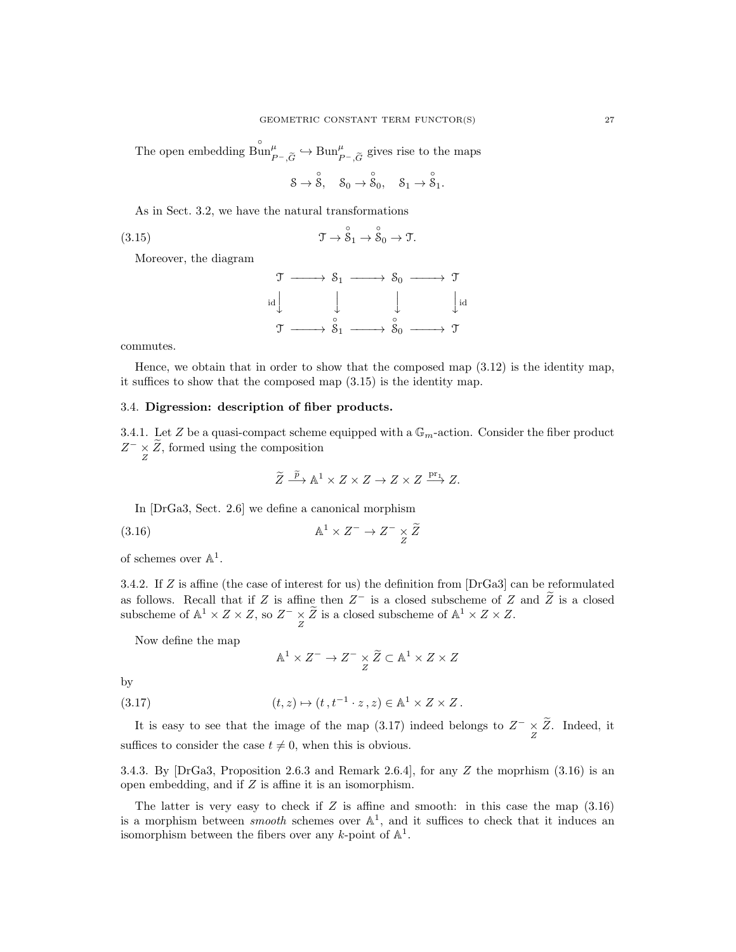The open embedding  $\lim_{P^-,\widetilde{G}}^{\circ} \hookrightarrow \text{Bun}_{P^-,\widetilde{G}}^{\mu}$  gives rise to the maps

$$
\mathbf{S}\rightarrow \overset{\circ}{\mathbf{S}},\quad \mathbf{S}_0\rightarrow \overset{\circ}{\mathbf{S}}_0,\quad \mathbf{S}_1\rightarrow \overset{\circ}{\mathbf{S}}_1.
$$

As in Sect. 3.2, we have the natural transformations

(3.15) 
$$
\mathfrak{T} \to \overset{\circ}{\mathcal{S}}_1 \to \overset{\circ}{\mathcal{S}}_0 \to \mathfrak{T}.
$$

Moreover, the diagram

$$
\begin{array}{ccc}\n\mathcal{T} & \longrightarrow & \mathcal{S}_1 \longrightarrow & \mathcal{S}_0 \longrightarrow & \mathcal{T} \\
\downarrow & & \downarrow & & \downarrow \\
\mathcal{T} & \longrightarrow & \mathcal{S}_1 \longrightarrow & \mathcal{S}_0 \longrightarrow & \mathcal{T} \\
\end{array}
$$

commutes.

Hence, we obtain that in order to show that the composed map  $(3.12)$  is the identity map, it suffices to show that the composed map (3.15) is the identity map.

### 3.4. Digression: description of fiber products.

3.4.1. Let Z be a quasi-compact scheme equipped with a  $\mathbb{G}_m$ -action. Consider the fiber product  $Z^{-} \times \tilde{Z}$ , formed using the composition

$$
\widetilde{Z} \xrightarrow{\widetilde{p}} \mathbb{A}^1 \times Z \times Z \to Z \times Z \xrightarrow{\text{pr}_1} Z.
$$

In [DrGa3, Sect. 2.6] we define a canonical morphism

(3.16) 
$$
\mathbb{A}^1 \times Z^- \to Z^- \times \widetilde{Z}
$$

of schemes over  $\mathbb{A}^1$ .

3.4.2. If Z is affine (the case of interest for us) the definition from [DrGa3] can be reformulated as follows. Recall that if Z is affine then  $Z^-$  is a closed subscheme of Z and  $\tilde{Z}$  is a closed subscheme of  $\mathbb{A}^1 \times Z \times Z$ , so  $Z^- \underset{Z}{\times} \widetilde{Z}$  is a closed subscheme of  $\mathbb{A}^1 \times Z \times Z$ .

Now define the map

$$
\mathbb{A}^1 \times Z^- \to Z^- \underset{Z}{\times} \widetilde{Z} \subset \mathbb{A}^1 \times Z \times Z
$$

by

(3.17) 
$$
(t, z) \mapsto (t, t^{-1} \cdot z, z) \in \mathbb{A}^1 \times Z \times Z.
$$

It is easy to see that the image of the map (3.17) indeed belongs to  $Z^{-} \times \tilde{Z}$ . Indeed, it suffices to consider the case  $t \neq 0$ , when this is obvious.

3.4.3. By [DrGa3, Proposition 2.6.3 and Remark 2.6.4], for any Z the moprhism  $(3.16)$  is an open embedding, and if Z is affine it is an isomorphism.

The latter is very easy to check if  $Z$  is affine and smooth: in this case the map  $(3.16)$ is a morphism between *smooth* schemes over  $\mathbb{A}^1$ , and it suffices to check that it induces an isomorphism between the fibers over any k-point of  $\mathbb{A}^1$ .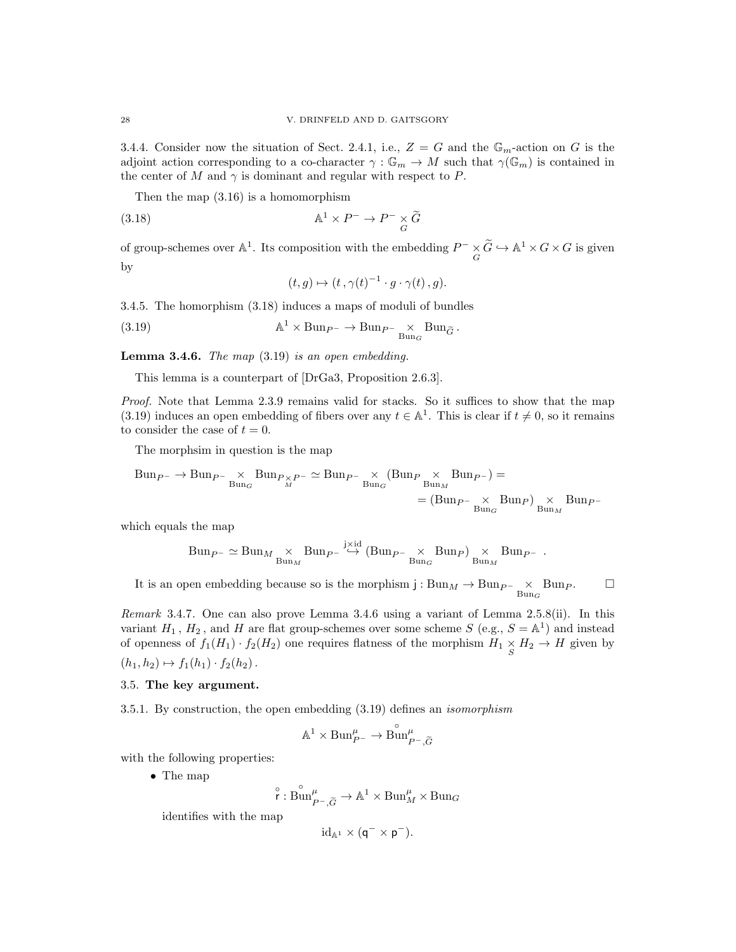3.4.4. Consider now the situation of Sect. 2.4.1, i.e.,  $Z = G$  and the  $\mathbb{G}_m$ -action on G is the adjoint action corresponding to a co-character  $\gamma : \mathbb{G}_m \to M$  such that  $\gamma(\mathbb{G}_m)$  is contained in the center of M and  $\gamma$  is dominant and regular with respect to P.

Then the map (3.16) is a homomorphism

(3.18) 
$$
\mathbb{A}^1 \times P^- \to P^- \underset{G}{\times} \widetilde{G}
$$

of group-schemes over  $\mathbb{A}^1$ . Its composition with the embedding  $P^- \times \widetilde{G} \hookrightarrow \mathbb{A}^1 \times G \times G$  is given by

$$
(t,g)\mapsto (t,\gamma(t)^{-1}\cdot g\cdot \gamma(t),g).
$$

3.4.5. The homorphism (3.18) induces a maps of moduli of bundles

(3.19) 
$$
\mathbb{A}^1 \times \text{Bun}_{P^-} \to \text{Bun}_{P^-} \underset{\text{Bun}_{G}}{\times} \text{Bun}_{\widetilde{G}}.
$$

**Lemma 3.4.6.** The map  $(3.19)$  is an open embedding.

This lemma is a counterpart of [DrGa3, Proposition 2.6.3].

Proof. Note that Lemma 2.3.9 remains valid for stacks. So it suffices to show that the map (3.19) induces an open embedding of fibers over any  $t \in \mathbb{A}^1$ . This is clear if  $t \neq 0$ , so it remains to consider the case of  $t = 0$ .

The morphsim in question is the map

$$
Bun_{P^-} \to Bun_{P^-} \underset{Bun_G}{\times} Bun_{P \times P^-} \simeq Bun_{P^-} \underset{Bun_G}{\times} (Bun_{P} \underset{Bun_M}{\times} Bun_{P^-}) =
$$
  
=  $(Bun_{P^-} \underset{Bun_G}{\times}Bun_{P}) \underset{Bun_M}{\times}Bun_{P^-}$ 

which equals the map

$$
\label{eq:bin} \text{Bun}_{\cal P^-} \simeq \text{Bun}_{\cal M} \underset{\text{Bun}_{\cal M}}{\times} \text{Bun}_{\cal P^-} \overset{\text{jxid}}{\hookrightarrow} \left(\text{Bun}_{\cal P^-} \underset{\text{Bun}_{\cal G}}{\times} \text{Bun}_{\cal P}\right) \underset{\text{Bun}_{\cal M}}{\times} \text{Bun}_{\cal P^-}\ .
$$

It is an open embedding because so is the morphism  $j : Bun_M \to Bun_{P^-} \times Bun_P.$   $\Box$ 

Remark 3.4.7. One can also prove Lemma 3.4.6 using a variant of Lemma 2.5.8(ii). In this variant  $H_1$ ,  $H_2$ , and H are flat group-schemes over some scheme S (e.g.,  $S = \mathbb{A}^1$ ) and instead of openness of  $f_1(H_1) \cdot f_2(H_2)$  one requires flatness of the morphism  $H_1 \times H_2 \to H$  given by  $(h_1, h_2) \mapsto f_1(h_1) \cdot f_2(h_2)$ .

#### 3.5. The key argument.

3.5.1. By construction, the open embedding (3.19) defines an isomorphism

$$
\mathbb{A}^1\times\mathrm{Bun}^\mu_{P^-}\to\mathring{\mathrm{Bun}}^\mu_{P^-,\widetilde{G}}
$$

with the following properties:

• The map

$$
\overset{\circ}{\mathsf{r}}:\overset{\circ}{\operatorname{Bun}}_{P^-,\widetilde{G}}^{\mu}\to \mathbb{A}^1\times \operatorname{Bun}_M^{\mu}\times \operatorname{Bun}_G
$$

identifies with the map

$$
\mathrm{id}_{\mathbb{A}^1}\times(\mathsf{q}^-\times\mathsf{p}^-).
$$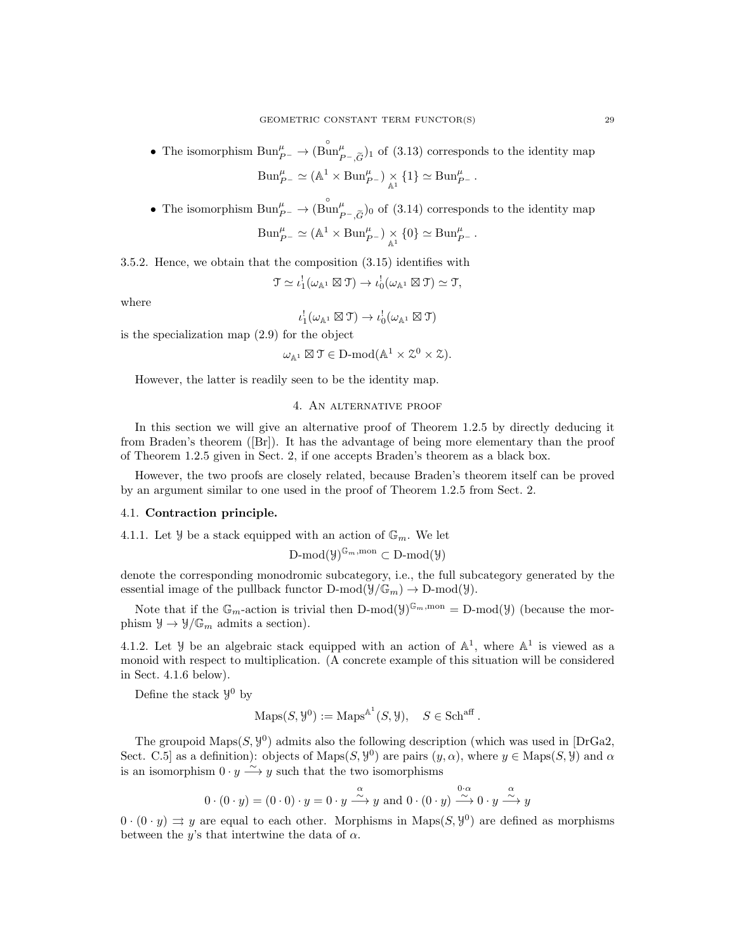- The isomorphism  $\text{Bun}_{P^-}^{\mu} \to (\overset{\circ}{\text{Bun}}_{P^-,\widetilde{G}}^{\mu})_1$  of (3.13) corresponds to the identity map  $\text{Bun}_{P^-}^{\mu} \simeq (\mathbb{A}^1 \times \text{Bun}_{P^-}^{\mu}) \underset{\mathbb{A}^1}{\times} \{1\} \simeq \text{Bun}_{P^-}^{\mu}$ .
- The isomorphism  $\text{Bun}_{P^-}^{\mu} \to (\overset{\circ}{\text{Bun}}_{P^-,\widetilde{G}}^{\mu})_0$  of (3.14) corresponds to the identity map

$$
Bun_{P^-}^{\mu} \simeq (\mathbb{A}^1 \times Bun_{P^-}^{\mu}) \underset{\mathbb{A}^1}{\times} \{0\} \simeq Bun_{P^-}^{\mu}.
$$

3.5.2. Hence, we obtain that the composition (3.15) identifies with

$$
\mathfrak{T} \simeq \iota_1^! (\omega_{\mathbb{A}^1} \boxtimes \mathfrak{T}) \to \iota_0^! (\omega_{\mathbb{A}^1} \boxtimes \mathfrak{T}) \simeq \mathfrak{T},
$$

where

$$
\iota_1^!(\omega_{\mathbb{A}^1}\boxtimes \mathcal{T})\to \iota_0^!(\omega_{\mathbb{A}^1}\boxtimes \mathcal{T})
$$

is the specialization map (2.9) for the object

 $\omega_{\mathbb{A}^1} \boxtimes \mathfrak{T} \in \mathcal{D}\text{-mod}(\mathbb{A}^1 \times \mathcal{Z}^0 \times \mathcal{Z}).$ 

However, the latter is readily seen to be the identity map.

#### 4. An alternative proof

In this section we will give an alternative proof of Theorem 1.2.5 by directly deducing it from Braden's theorem ([Br]). It has the advantage of being more elementary than the proof of Theorem 1.2.5 given in Sect. 2, if one accepts Braden's theorem as a black box.

However, the two proofs are closely related, because Braden's theorem itself can be proved by an argument similar to one used in the proof of Theorem 1.2.5 from Sect. 2.

#### 4.1. Contraction principle.

4.1.1. Let  $\mathcal{Y}$  be a stack equipped with an action of  $\mathbb{G}_m$ . We let

$$
\operatorname{D-mod}(\mathcal{Y})^{\mathbb{G}_m, \mathrm{mon}} \subset \operatorname{D-mod}(\mathcal{Y})
$$

denote the corresponding monodromic subcategory, i.e., the full subcategory generated by the essential image of the pullback functor  $D\text{-mod}(\mathcal{Y}/\mathbb{G}_m) \to D\text{-mod}(\mathcal{Y}).$ 

Note that if the  $\mathbb{G}_m$ -action is trivial then D-mod( $\mathcal{Y}^{\mathbb{G}_m, \text{mon}} = D\text{-mod}(\mathcal{Y})$  (because the morphism  $\mathcal{Y} \to \mathcal{Y}/\mathbb{G}_m$  admits a section).

4.1.2. Let *y* be an algebraic stack equipped with an action of  $\mathbb{A}^1$ , where  $\mathbb{A}^1$  is viewed as a monoid with respect to multiplication. (A concrete example of this situation will be considered in Sect. 4.1.6 below).

Define the stack  $\mathcal{Y}^0$  by

$$
\operatorname{Maps}(S, \mathcal{Y}^0) := \operatorname{Maps}^{\mathbb{A}^1}(S, \mathcal{Y}), \quad S \in \operatorname{Sch}^{\operatorname{aff}}.
$$

The groupoid  $\text{Maps}(S, \mathcal{Y}^0)$  admits also the following description (which was used in [DrGa2, Sect. C.5 as a definition): objects of Maps $(S, \mathcal{Y}^0)$  are pairs  $(y, \alpha)$ , where  $y \in \text{Maps}(S, \mathcal{Y})$  and  $\alpha$ is an isomorphism  $0 \cdot y \xrightarrow{\sim} y$  such that the two isomorphisms

$$
0 \cdot (0 \cdot y) = (0 \cdot 0) \cdot y = 0 \cdot y \xrightarrow{\alpha} y \text{ and } 0 \cdot (0 \cdot y) \xrightarrow{0 \cdot \alpha} 0 \cdot y \xrightarrow{\alpha} y
$$

 $0 \cdot (0 \cdot y) \Rightarrow y$  are equal to each other. Morphisms in Maps(S,  $y^0$ ) are defined as morphisms between the y's that intertwine the data of  $\alpha$ .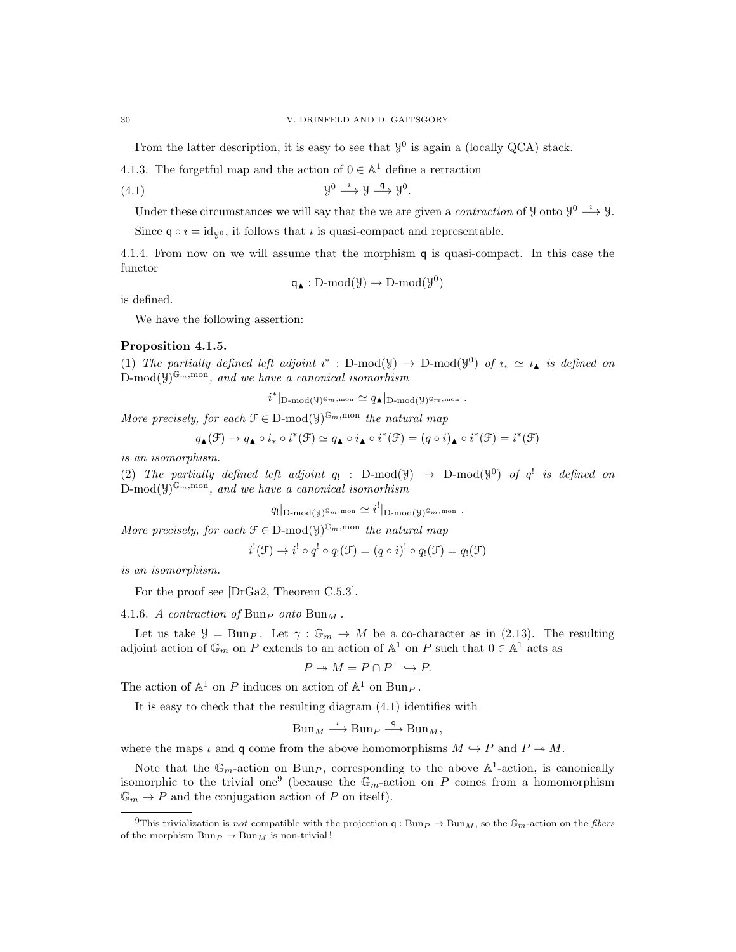From the latter description, it is easy to see that  $\mathcal{Y}^0$  is again a (locally QCA) stack.

4.1.3. The forgetful map and the action of  $0 \in \mathbb{A}^1$  define a retraction

$$
(4.1) \t\t\t y^0 \xrightarrow{\iota} y \xrightarrow{\mathsf{q}} y^0.
$$

Under these circumstances we will say that the we are given a *contraction* of  $\mathcal{Y}$  onto  $\mathcal{Y}^0 \longrightarrow \mathcal{Y}$ .

Since  $q \circ i = id_{\mathcal{V}^0}$ , it follows that *i* is quasi-compact and representable.

4.1.4. From now on we will assume that the morphism q is quasi-compact. In this case the functor

$$
\mathsf{q}_\blacktriangle : D\text{-mod}(\mathcal{Y}) \to D\text{-mod}(\mathcal{Y}^0)
$$

is defined.

We have the following assertion:

# Proposition 4.1.5.

(1) The partially defined left adjoint  $i^*$ : D-mod( $\mathcal{Y}$ )  $\rightarrow$  D-mod( $\mathcal{Y}^0$ ) of  $i_* \simeq i_*$  is defined on  $\text{D-mod}(\mathsf{Y})^{\mathbb{G}_m,\text{mon}},$  and we have a canonical isomorhism

 $i^*|_{\mathbf{D}\text{-mod}}(\mathcal{Y})^{\mathbb{G}_m,\text{mon}} \simeq q_\blacktriangle|_{\mathbf{D}\text{-mod}}(\mathcal{Y})^{\mathbb{G}_m,\text{mon}}$  .

More precisely, for each  $\mathcal{F} \in \mathcal{D}\text{-mod}(\mathcal{Y})^{\mathbb{G}_m, \text{mon}}$  the natural map

$$
q_{\blacktriangle}(\mathcal{F}) \rightarrow q_{\blacktriangle} \circ i_* \circ i^*(\mathcal{F}) \simeq q_{\blacktriangle} \circ i_{\blacktriangle} \circ i^*(\mathcal{F}) = (q \circ i)_{\blacktriangle} \circ i^*(\mathcal{F}) = i^*(\mathcal{F})
$$

is an isomorphism.

(2) The partially defined left adjoint  $q_!$ : D-mod( $y$ )  $\rightarrow$  D-mod( $y^0$ ) of  $q^!$  is defined on  $\text{D-mod}(\mathcal{Y})^{\mathbb{G}_m,\text{mon}},$  and we have a canonical isomorhism

$$
q_!|_{\mathcal{D}\text{-mod}(\mathcal{Y})^{\mathbb{G}_m,\text{mon}}}\simeq i^!|_{\mathcal{D}\text{-mod}(\mathcal{Y})^{\mathbb{G}_m,\text{mon}}}.
$$

More precisely, for each  $\mathcal{F} \in \mathcal{D}\text{-mod}(\mathcal{Y})^{\mathbb{G}_m, \text{mon}}$  the natural map

$$
i^{!}(\mathcal{F}) \to i^{!} \circ q^{!} \circ q_{!}(\mathcal{F}) = (q \circ i)^{!} \circ q_{!}(\mathcal{F}) = q_{!}(\mathcal{F})
$$

is an isomorphism.

For the proof see [DrGa2, Theorem C.5.3].

4.1.6. A contraction of Bun<sub>P</sub> onto Bun<sub>M</sub>.

Let us take  $\mathcal{Y} = \text{Bun}_P$ . Let  $\gamma : \mathbb{G}_m \to M$  be a co-character as in (2.13). The resulting adjoint action of  $\mathbb{G}_m$  on P extends to an action of  $\mathbb{A}^1$  on P such that  $0 \in \mathbb{A}^1$  acts as

$$
P \twoheadrightarrow M = P \cap P^- \hookrightarrow P.
$$

The action of  $\mathbb{A}^1$  on P induces on action of  $\mathbb{A}^1$  on  $\text{Bun}_P$ .

It is easy to check that the resulting diagram (4.1) identifies with

$$
Bun_M \xrightarrow{\iota} Bun_P \xrightarrow{\mathsf{q}} Bun_M,
$$

where the maps  $\iota$  and q come from the above homomorphisms  $M \hookrightarrow P$  and  $P \twoheadrightarrow M$ .

Note that the  $\mathbb{G}_m$ -action on Bun<sub>P</sub>, corresponding to the above  $\mathbb{A}^1$ -action, is canonically isomorphic to the trivial one<sup>9</sup> (because the  $\mathbb{G}_m$ -action on P comes from a homomorphism  $\mathbb{G}_m \to P$  and the conjugation action of P on itself).

<sup>&</sup>lt;sup>9</sup>This trivialization is not compatible with the projection q : Bun<sub>P</sub>  $\rightarrow$  Bun<sub>M</sub>, so the G<sub>m</sub>-action on the fibers of the morphism  $Bun_P \to Bun_M$  is non-trivial!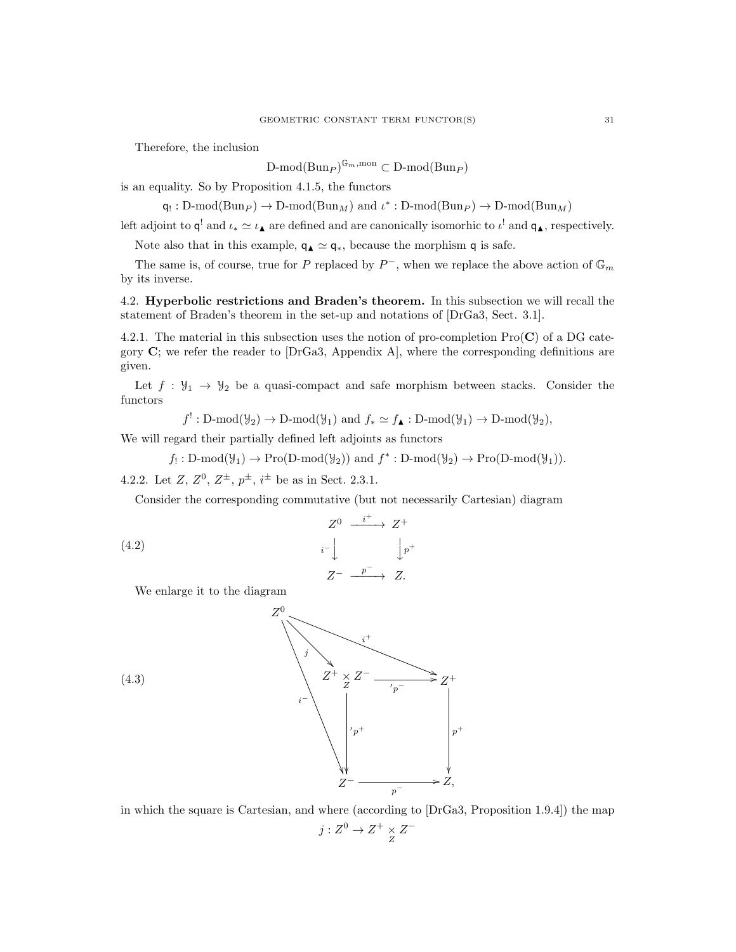Therefore, the inclusion

 $D\text{-mod}(Bun_P)^{\mathbb{G}_m,\text{mon}} \subset D\text{-mod}(Bun_P)$ 

is an equality. So by Proposition 4.1.5, the functors

 $\mathsf{q}_! : D\text{-mod}(Bun_P) \to D\text{-mod}(Bun_M)$  and  $\iota^* : D\text{-mod}(Bun_P) \to D\text{-mod}(Bun_M)$ 

left adjoint to  $\mathsf{q}^!$  and  $\iota_* \simeq \iota_{\blacktriangle}$  are defined and are canonically isomorhic to  $\iota^!$  and  $\mathsf{q}_{\blacktriangle}$ , respectively.

Note also that in this example,  $q_\blacktriangle \simeq q_*$ , because the morphism q is safe.

The same is, of course, true for P replaced by  $P^-$ , when we replace the above action of  $\mathbb{G}_m$ by its inverse.

4.2. Hyperbolic restrictions and Braden's theorem. In this subsection we will recall the statement of Braden's theorem in the set-up and notations of [DrGa3, Sect. 3.1].

4.2.1. The material in this subsection uses the notion of pro-completion  $\text{Pro}(\mathbf{C})$  of a DG category  $C$ ; we refer the reader to [DrGa3, Appendix A], where the corresponding definitions are given.

Let  $f : Y_1 \rightarrow Y_2$  be a quasi-compact and safe morphism between stacks. Consider the functors

 $f^!: \text{D-mod}(\mathcal{Y}_2) \to \text{D-mod}(\mathcal{Y}_1)$  and  $f_* \simeq f_{\blacktriangle} : \text{D-mod}(\mathcal{Y}_1) \to \text{D-mod}(\mathcal{Y}_2)$ ,

We will regard their partially defined left adjoints as functors

 $f_!:\mathcal{D}\text{-mod}(\mathcal{Y}_1)\to\mathcal{P}\text{ro}(\mathcal{D}\text{-mod}(\mathcal{Y}_2))$  and  $f^*: \mathcal{D}\text{-mod}(\mathcal{Y}_2)\to\mathcal{P}\text{ro}(\mathcal{D}\text{-mod}(\mathcal{Y}_1)).$ 

4.2.2. Let  $Z, Z^0, Z^{\pm}, p^{\pm}, i^{\pm}$  be as in Sect. 2.3.1.

Consider the corresponding commutative (but not necessarily Cartesian) diagram

$$
\begin{array}{ccc}\nZ^0 & \xrightarrow{i^+} & Z^+ \\
i^- \downarrow & & \downarrow p^+ \\
Z^- & \xrightarrow{p^-} & Z.\n\end{array}
$$

We enlarge it to the diagram



in which the square is Cartesian, and where (according to [DrGa3, Proposition 1.9.4]) the map  $j: Z^0 \to Z^+ \underset{Z}{\times} Z^-$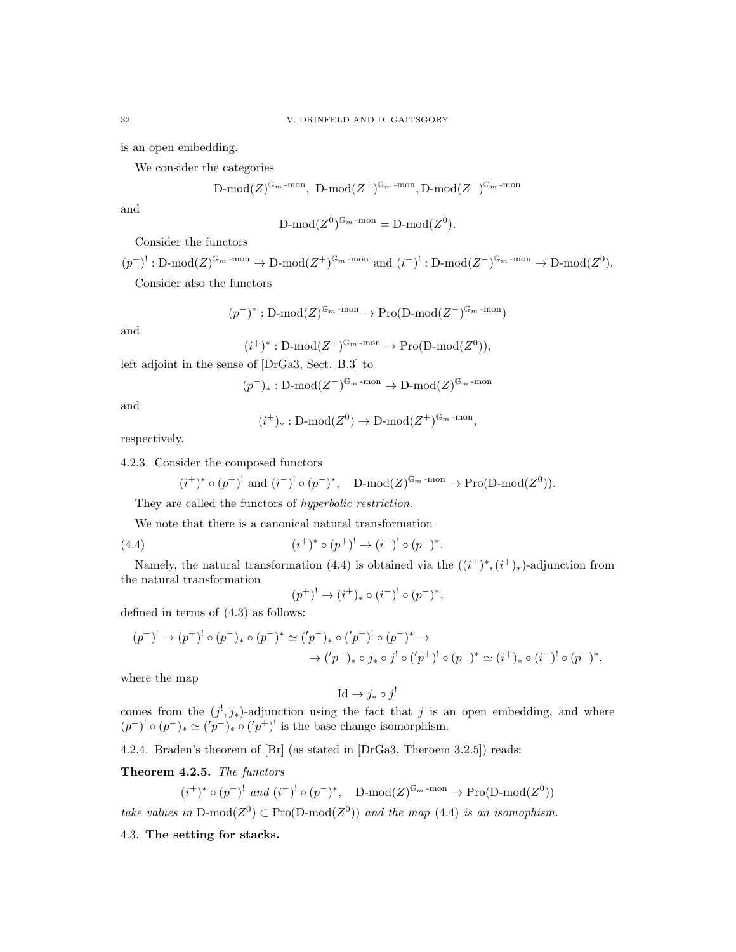is an open embedding.

We consider the categories

$$
\text{D-mod}(Z)^{\mathbb{G}_m\text{-mon}}, \ \text{D-mod}(Z^+)^{\mathbb{G}_m\text{-mon}}, \text{D-mod}(Z^-)^{\mathbb{G}_m\text{-mon}}
$$

and

$$
\mathrm{D\text{-}mod}(Z^0)^{\mathbb{G}_m \text{-} \mathrm{mon}} = \mathrm{D\text{-}mod}(Z^0).
$$

Consider the functors

 $(p^+)^! : \text{D-mod}(Z)^{\mathbb{G}_m \text{-mon}} \to \text{D-mod}(Z^+)^{\mathbb{G}_m \text{-mon}}$  and  $(i^-)^! : \text{D-mod}(Z^-)^{\mathbb{G}_m \text{-mon}} \to \text{D-mod}(Z^0)$ . Consider also the functors

 $(p^-)^* : D\text{-mod}(Z)^{\mathbb{G}_m\text{-mon}} \to \text{Pro}(D\text{-mod}(Z^-)^{\mathbb{G}_m\text{-mon}})$ 

and

$$
(i^+)^* : D\text{-mod}(Z^+)^{\mathbb{G}_m\text{-mon}} \to \text{Pro}(D\text{-mod}(Z^0)),
$$

left adjoint in the sense of [DrGa3, Sect. B.3] to

$$
(p^-)_* : D\text{-mod}(Z^-)^{\mathbb{G}_m \text{-mon}} \to D\text{-mod}(Z)^{\mathbb{G}_m \text{-mon}}
$$

and

$$
(i^+)_*: \mathrm{D-mod}(Z^0) \to \mathrm{D-mod}(Z^+)^{\mathbb{G}_m \text{-mon}},
$$

respectively.

4.2.3. Consider the composed functors

$$
(i^+)^* \circ (p^+)^! \text{ and } (i^-)^! \circ (p^-)^*, \quad D\text{-mod}(Z)^{\mathbb{G}_m\text{-mon}} \to \text{Pro}(D\text{-mod}(Z^0)).
$$

They are called the functors of hyperbolic restriction.

We note that there is a canonical natural transformation

(4.4) 
$$
(i^+)^* \circ (p^+)^! \to (i^-)^! \circ (p^-)^*.
$$

Namely, the natural transformation (4.4) is obtained via the  $((i^{+})^{*}, (i^{+})_{*})$ -adjunction from the natural transformation

$$
(p^+)^! \to (i^+)_* \circ (i^-)^! \circ (p^-)^*,
$$

defined in terms of (4.3) as follows:

$$
(p^{+})' \to (p^{+})' \circ (p^{-})_{*} \circ (p^{-})^{*} \simeq ('p^{-})_{*} \circ ('p^{+})' \circ (p^{-})^{*} \to
$$
  

$$
\to ('p^{-})_{*} \circ j_{*} \circ j' \circ ('p^{+})' \circ (p^{-})^{*} \simeq (i^{+})_{*} \circ (i^{-})' \circ (p^{-})^{*},
$$

where the map

$$
\mathrm{Id} \to j_* \circ j^!
$$

comes from the  $(j^!, j_*)$ -adjunction using the fact that j is an open embedding, and where  $(p^+)' \circ (p^-)_* \simeq ('p^-)_* \circ ('p^+)'$  is the base change isomorphism.

4.2.4. Braden's theorem of [Br] (as stated in [DrGa3, Theroem 3.2.5]) reads:

Theorem 4.2.5. The functors

$$
(i^+)^* \circ (p^+)^! \text{ and } (i^-)^! \circ (p^-)^*, \quad D\text{-mod}(Z)^{\mathbb{G}_m \text{-mon}} \to \text{Pro}(D\text{-mod}(Z^0))
$$

take values in D-mod( $Z^0$ )  $\subset$  Pro(D-mod( $Z^0$ )) and the map (4.4) is an isomophism.

4.3. The setting for stacks.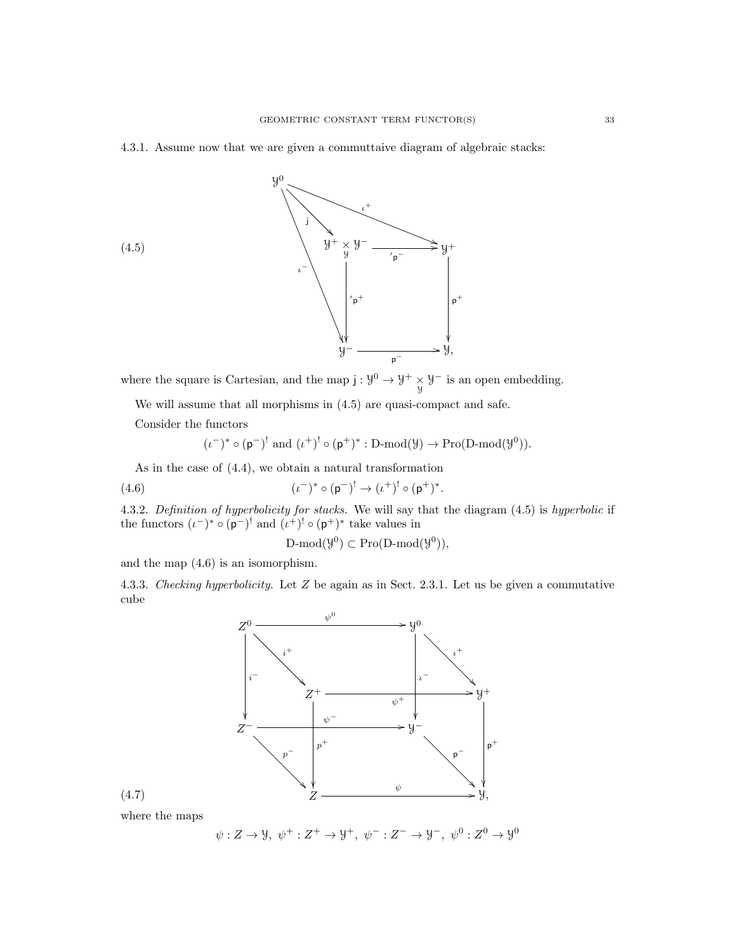### 4.3.1. Assume now that we are given a commuttaive diagram of algebraic stacks:



where the square is Cartesian, and the map  $j: \mathcal{Y}^0 \to \mathcal{Y}^+ \times \mathcal{Y}^-$  is an open embedding.

We will assume that all morphisms in (4.5) are quasi-compact and safe.

Consider the functors

$$
(\iota^-)^* \circ (\mathsf{p}^-)^! \text{ and } (\iota^+)^! \circ (\mathsf{p}^+)^* : \mathbf{D}\text{-mod}(\mathcal{Y}) \to \mathbf{Pro}(\mathbf{D}\text{-mod}(\mathcal{Y}^0)).
$$

As in the case of (4.4), we obtain a natural transformation

(4.6) 
$$
(\iota^-)^* \circ (\mathsf{p}^-)^! \to (\iota^+)^! \circ (\mathsf{p}^+)^*.
$$

4.3.2. Definition of hyperbolicity for stacks. We will say that the diagram (4.5) is hyperbolic if the functors  $(\iota^-)^* \circ (\mathsf{p}^-)^!$  and  $(\iota^+)^! \circ (\mathsf{p}^+)^*$  take values in

$$
\text{D-mod}(\mathcal{Y}^0) \subset \text{Pro}(\text{D-mod}(\mathcal{Y}^0)),
$$

and the map (4.6) is an isomorphism.

4.3.3. Checking hyperbolicity. Let Z be again as in Sect. 2.3.1. Let us be given a commutative cube



where the maps

$$
\psi: Z \to \mathcal{Y}, \ \psi^+ : Z^+ \to \mathcal{Y}^+, \ \psi^- : Z^- \to \mathcal{Y}^-, \ \psi^0 : Z^0 \to \mathcal{Y}^0
$$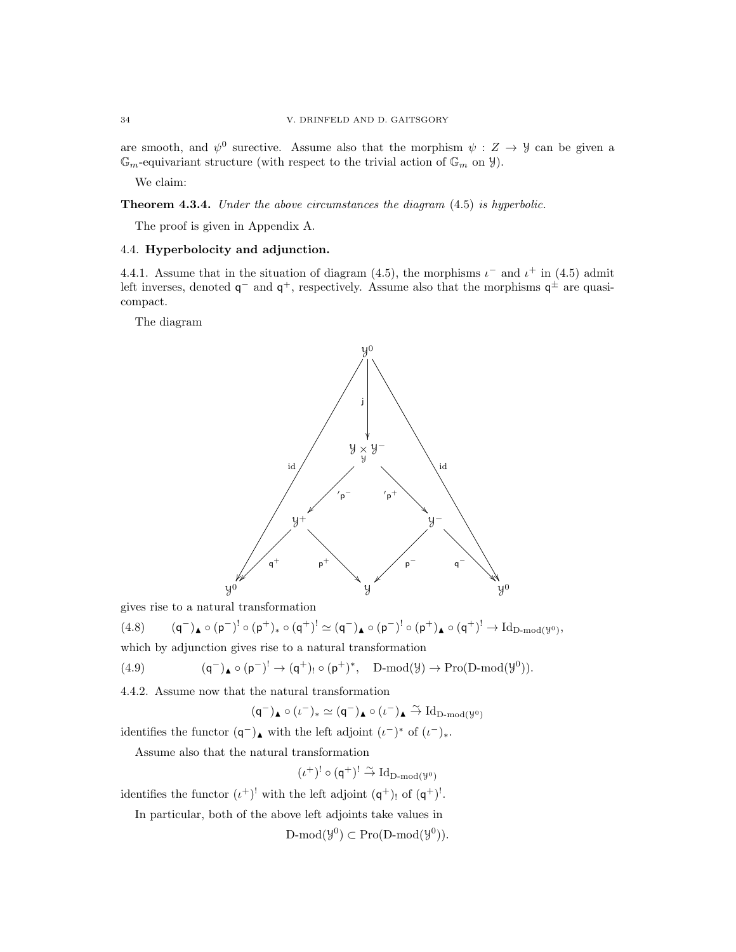are smooth, and  $\psi^0$  surective. Assume also that the morphism  $\psi : Z \to Y$  can be given a  $\mathbb{G}_m$ -equivariant structure (with respect to the trivial action of  $\mathbb{G}_m$  on  $\mathcal{Y}$ ).

We claim:

Theorem 4.3.4. Under the above circumstances the diagram  $(4.5)$  is hyperbolic.

The proof is given in Appendix A.

### 4.4. Hyperbolocity and adjunction.

4.4.1. Assume that in the situation of diagram (4.5), the morphisms  $\iota^-$  and  $\iota^+$  in (4.5) admit left inverses, denoted  $q^-$  and  $q^+$ , respectively. Assume also that the morphisms  $q^{\pm}$  are quasicompact.

The diagram

![](_page_33_Figure_8.jpeg)

gives rise to a natural transformation

 $(4.8)$  $(-)_{\blacktriangle} \circ (p^-)^! \circ (p^+)_* \circ (q^+)^! \simeq (q^-)_{{\blacktriangle}} \circ (p^-)^! \circ (p^+)_{{\blacktriangle}} \circ (q^+)^! \to \mathrm{Id}_{\mathrm{D}\text{-}\mathrm{mod}(\mathcal{Y}^0)},$ which by adjunction gives rise to a natural transformation

$$
(4.9) \qquad \qquad (\mathsf{q}^-)_\blacktriangle \circ (\mathsf{p}^-)^! \to (\mathsf{q}^+)_! \circ (\mathsf{p}^+)^*, \quad \text{$D$-mod}(\mathcal{Y}) \to \text{Pro}(\text{$D$-mod}(\mathcal{Y}^0)).
$$

4.4.2. Assume now that the natural transformation

$$
(\mathsf{q}^-)_\blacktriangle \circ (\iota^-)_* \simeq (\mathsf{q}^-)_\blacktriangle \circ (\iota^-)_\blacktriangle \stackrel{\sim}{\to} \mathrm{Id}_{\mathrm{D}\text{-}\mathrm{mod}(\mathcal{Y}^0)}
$$

identifies the functor  $(q^-)$ <sub>▲</sub> with the left adjoint  $(\iota^-)^*$  of  $(\iota^-)_{*}$ .

Assume also that the natural transformation

$$
(\iota^+)^!\circ(\mathsf{q}^+)^!\stackrel{\sim}{\to}\mathrm{Id}_{\mathrm{D}\text{-}\mathrm{mod}(\mathbb{Y}^0)}
$$

identifies the functor  $(\iota^+)'$  with the left adjoint  $(\mathsf{q}^+)$ , of  $(\mathsf{q}^+)'$ .

In particular, both of the above left adjoints take values in

 $\text{D-mod}(\mathcal{Y}^0) \subset \text{Pro}(\text{D-mod}(\mathcal{Y}^0)).$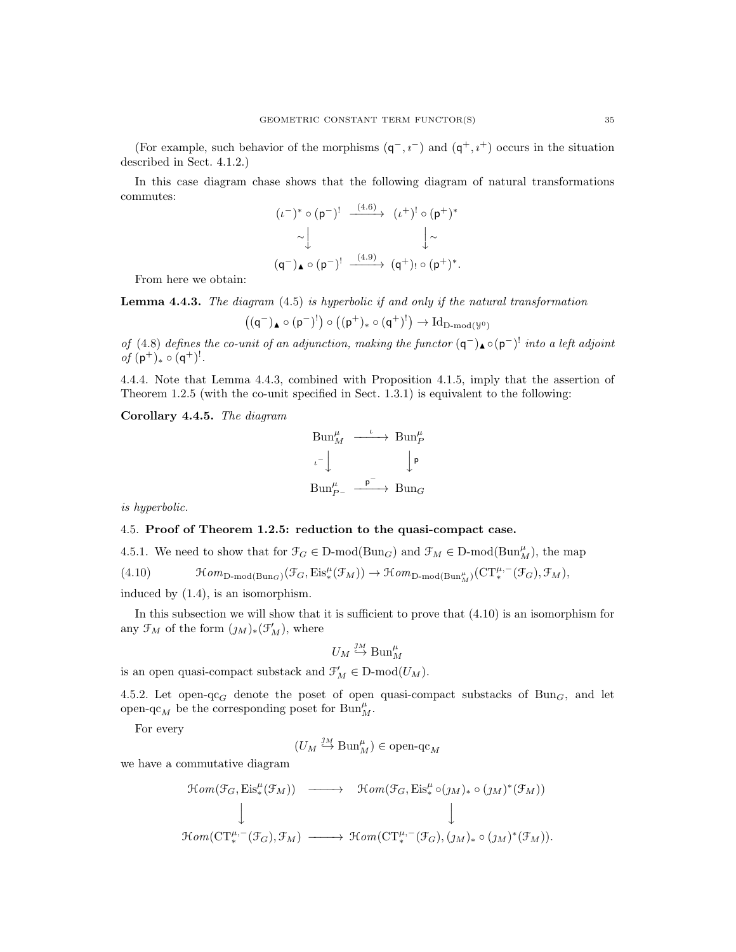(For example, such behavior of the morphisms  $(q^-, i^-)$  and  $(q^+, i^+)$  occurs in the situation described in Sect. 4.1.2.)

In this case diagram chase shows that the following diagram of natural transformations commutes:

$$
(\iota^{-})^* \circ (\mathsf{p}^{-})! \xrightarrow{-(4.6)} (\iota^{+})! \circ (\mathsf{p}^{+})^*
$$
  
\n
$$
\sim \downarrow \qquad \qquad \downarrow \sim
$$
  
\n
$$
(\mathsf{q}^{-})_{\blacktriangle} \circ (\mathsf{p}^{-})! \xrightarrow{-(4.9)} (\mathsf{q}^{+})! \circ (\mathsf{p}^{+})^*.
$$

From here we obtain:

**Lemma 4.4.3.** The diagram  $(4.5)$  is hyperbolic if and only if the natural transformation

$$
\bigl((\mathsf{q}^-)_\blacktriangle\circ(\mathsf{p}^-)^!\bigr)\circ\bigl((\mathsf{p}^+)_*\circ(\mathsf{q}^+)^!\bigr)\to\mathrm{Id}_{\mathrm{D}\text{-}\mathrm{mod}(\mathcal{Y}^0)}
$$

of (4.8) defines the co-unit of an adjunction, making the functor  $(q^-)_{\blacktriangle} \circ (p^-)$  into a left adjoint  $of (p^+)_* \circ (q^+)!$ .

4.4.4. Note that Lemma 4.4.3, combined with Proposition 4.1.5, imply that the assertion of Theorem 1.2.5 (with the co-unit specified in Sect. 1.3.1) is equivalent to the following:

Corollary 4.4.5. The diagram

$$
\begin{array}{ccc}\n\text{Bun}_{M}^{\mu} & \xrightarrow{\quad \iota \quad} & \text{Bun}_{P}^{\mu} \\
\downarrow^{\iota^{-}} & & \downarrow^{\mathsf{p}} \\
\text{Bun}_{P^{-}}^{\mu} & \xrightarrow{\quad \mathsf{p}^{-}} & \text{Bun}_{G}\n\end{array}
$$

is hyperbolic.

### 4.5. Proof of Theorem 1.2.5: reduction to the quasi-compact case.

4.5.1. We need to show that for  $\mathcal{F}_G \in \mathcal{D}\text{-mod}(\text{Bun}_G)$  and  $\mathcal{F}_M \in \mathcal{D}\text{-mod}(\text{Bun}_M^{\mu})$ , the map

(4.10)  $\mathcal{H}om_{\text{D-mod(Bun}_G)}(\mathcal{F}_G, \text{Eis}^{\mu}_*(\mathcal{F}_M)) \to \mathcal{H}om_{\text{D-mod(Bun}_M^{\mu})}(\text{CT}^{\mu,-}_*(\mathcal{F}_G),\mathcal{F}_M),$ 

induced by (1.4), is an isomorphism.

In this subsection we will show that it is sufficient to prove that (4.10) is an isomorphism for any  $\mathfrak{F}_M$  of the form  $(j_M)_*(\mathfrak{F}'_M)$ , where

$$
U_M \overset{\jmath M}{\hookrightarrow} \operatorname{Bun}_M^{\mu}
$$

is an open quasi-compact substack and  $\mathcal{F}'_M \in \mathcal{D}\text{-mod}(U_M)$ .

4.5.2. Let open-qc<sub>G</sub> denote the poset of open quasi-compact substacks of Bun<sub>G</sub>, and let open-qc<sub>M</sub> be the corresponding poset for Bun<sup> $\mu$ </sup><sub>M</sub>.

For every

$$
(U_M \stackrel{\jmath_M}{\hookrightarrow} \operatorname{Bun}_M^{\mu}) \in \text{open-qc}_M
$$

we have a commutative diagram

$$
\mathcal{H}om(\mathcal{F}_G, \mathrm{Eis}^{\mu}_*(\mathcal{F}_M)) \longrightarrow \mathcal{H}om(\mathcal{F}_G, \mathrm{Eis}^{\mu}_* \circ (\jmath_M)_* \circ (\jmath_M)^*(\mathcal{F}_M))
$$
  
\n
$$
\downarrow \qquad \qquad \downarrow
$$
  
\n
$$
\mathcal{H}om(\mathrm{CT}^{\mu,-}_*(\mathcal{F}_G), \mathcal{F}_M) \longrightarrow \mathcal{H}om(\mathrm{CT}^{\mu,-}_*(\mathcal{F}_G), (\jmath_M)_* \circ (\jmath_M)^*(\mathcal{F}_M)).
$$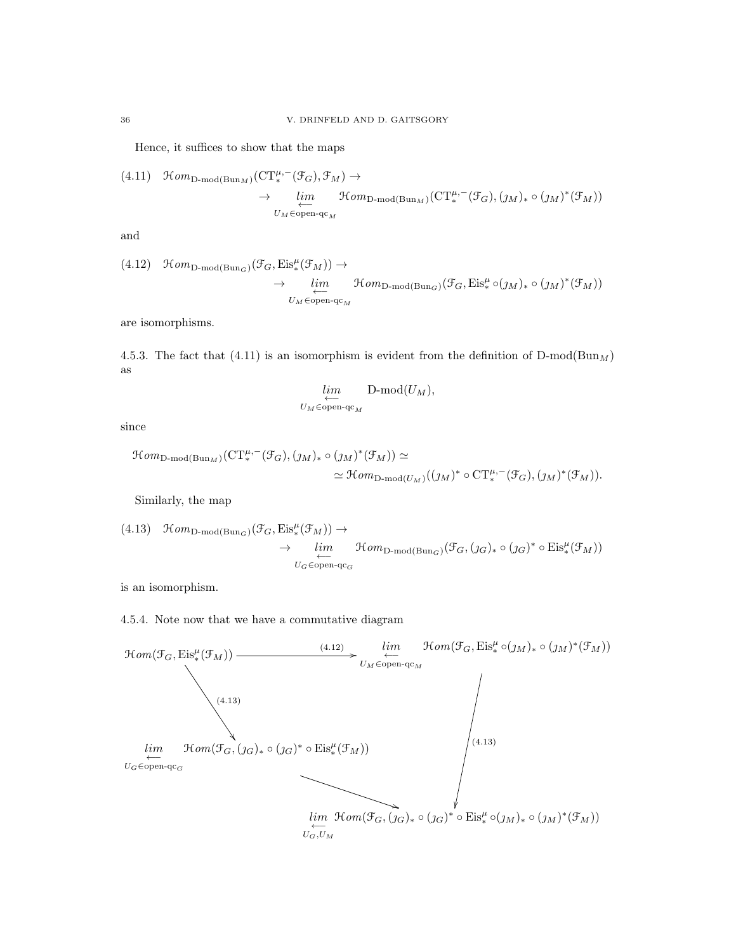Hence, it suffices to show that the maps

(4.11) 
$$
\mathcal{H}om_{D\text{-mod}(Bun_M)}(CT_*^{\mu,-}(\mathcal{F}_G), \mathcal{F}_M) \to
$$
  
 $\rightarrow \lim_{\substack{\longleftarrow \\ U_M \in \text{open-q}c_M}} \mathcal{H}om_{D\text{-mod}(Bun_M)}(CT_*^{\mu,-}(\mathcal{F}_G), (\jmath_M)_* \circ (\jmath_M)^*(\mathcal{F}_M))$ 

and

(4.12) 
$$
\mathfrak{Hom}_{\mathbf{D}\text{-mod}(\mathrm{Bun}_G)}(\mathfrak{F}_G,\mathrm{Eis}_*^{\mu}(\mathfrak{F}_M))\to
$$
  

$$
\to \lim_{\substack{\longleftarrow \\ U_M \in \mathrm{open}\text{-}\mathrm{qc}_M}} \mathfrak{Hom}_{\mathbf{D}\text{-mod}(\mathrm{Bun}_G)}(\mathfrak{F}_G,\mathrm{Eis}_*^{\mu} \circ (\jmath_M)_* \circ (\jmath_M)^*(\mathfrak{F}_M))
$$

are isomorphisms.

4.5.3. The fact that (4.11) is an isomorphism is evident from the definition of  $D\text{-mod}(Bun_M)$ as

$$
\lim_{\substack{\longleftarrow \\ U_M \in \text{open-qc}_M}} \mathsf{D-mod}(U_M),
$$

since

$$
\mathcal{H}om_{\mathcal{D}\text{-mod}(\mathcal{B}\text{un}_M)}(\mathcal{CT}_*^{\mu,-}(\mathcal{F}_G),(\jmath_M)_*\circ(\jmath_M)^*(\mathcal{F}_M))\simeq
$$
  

$$
\simeq \mathcal{H}om_{\mathcal{D}\text{-mod}(U_M)}((\jmath_M)^*\circ\mathcal{CT}_*^{\mu,-}(\mathcal{F}_G),(\jmath_M)^*(\mathcal{F}_M)).
$$

Similarly, the map

(4.13) 
$$
\mathfrak{Hom}_{\mathbf{D}\text{-mod}(\mathrm{Bun}_G)}(\mathfrak{F}_G, \mathrm{Eis}_*^{\mu}(\mathfrak{F}_M)) \to
$$
  
 $\rightarrow \lim_{\substack{U_G \in \mathrm{open}\text{-}\mathfrak{q}_{G} \\ U_G \in \mathrm{open}\text{-}\mathfrak{q}_{G}}} \mathfrak{Hom}_{\mathbf{D}\text{-mod}(\mathrm{Bun}_G)}(\mathfrak{F}_G, (j_G)_* \circ (j_G)^* \circ \mathrm{Eis}_*^{\mu}(\mathfrak{F}_M))$ 

is an isomorphism.

4.5.4. Note now that we have a commutative diagram

![](_page_35_Figure_14.jpeg)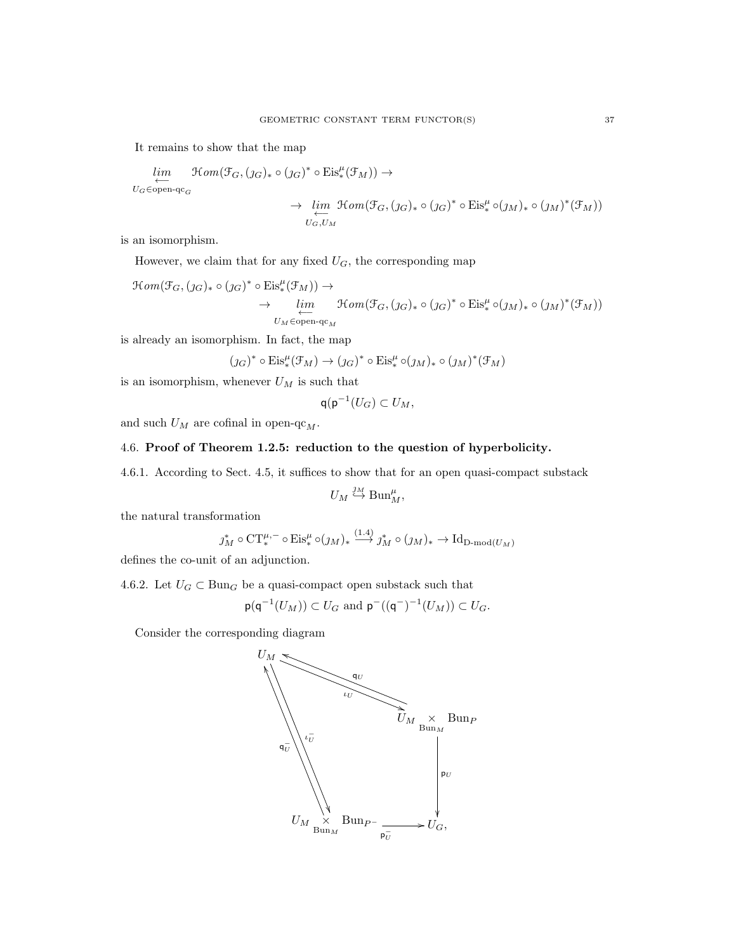It remains to show that the map

$$
\lim_{U_G \in \text{open-qc}_G} \mathcal{H}om(\mathcal{F}_G, (j_G)_* \circ (j_G)^* \circ \text{Eis}_*^{\mu}(\mathcal{F}_M)) \to
$$
\n
$$
\longrightarrow \lim_{U_G \in \text{open-qc}_G} \mathcal{H}om(\mathcal{F}_G, (j_G)_* \circ (j_G)^* \circ \text{Eis}_*^{\mu} \circ (j_M)_* \circ (j_M)^*(\mathcal{F}_M))
$$

is an isomorphism.

However, we claim that for any fixed  $U_G$ , the corresponding map

$$
\mathcal{H}om(\mathcal{F}_G, (j_G)_* \circ (j_G)^* \circ \mathrm{Eis}^{\mu}_*(\mathcal{F}_M)) \to \to \lim_{\substack{\longleftarrow \\ U_M \in \mathrm{open}\text{-}q_{\mathbb{C}_M}}} \mathcal{H}om(\mathcal{F}_G, (j_G)_* \circ (j_G)^* \circ \mathrm{Eis}^{\mu}_* \circ (j_M)_* \circ (j_M)^*(\mathcal{F}_M))
$$

is already an isomorphism. In fact, the map

$$
(\jmath_{G})^{*} \circ \mathrm{Eis}_{*}^{\mu}(\mathcal{F}_{M}) \rightarrow (\jmath_{G})^{*} \circ \mathrm{Eis}_{*}^{\mu} \circ (\jmath_{M})_{*} \circ (\jmath_{M})^{*}(\mathcal{F}_{M})
$$

is an isomorphism, whenever  $U_M$  is such that

$$
\mathsf{q}(\mathsf{p}^{-1}(U_G)\subset U_M,
$$

and such  $U_M$  are cofinal in open-qc  $_M.$ 

# 4.6. Proof of Theorem 1.2.5: reduction to the question of hyperbolicity.

4.6.1. According to Sect. 4.5, it suffices to show that for an open quasi-compact substack

$$
U_M \overset{\jmath_M}{\hookrightarrow} \operatorname{Bun}_M^{\mu},
$$

the natural transformation

$$
j_M^* \circ \mathrm{CT}^{\mu, -}_* \circ \mathrm{Eis}^{\mu}_* \circ (j_M)_* \xrightarrow{ (1.4)} j_M^* \circ (j_M)_* \to \mathrm{Id}_{\mathrm{D-mod}(U_M)}
$$

defines the co-unit of an adjunction.

4.6.2. Let  $U_G \subset \text{Bun}_G$  be a quasi-compact open substack such that

$$
\mathsf{p}(\mathsf{q}^{-1}(U_M)) \subset U_G \text{ and } \mathsf{p}^{-}((\mathsf{q}^{-})^{-1}(U_M)) \subset U_G.
$$

Consider the corresponding diagram

![](_page_36_Figure_20.jpeg)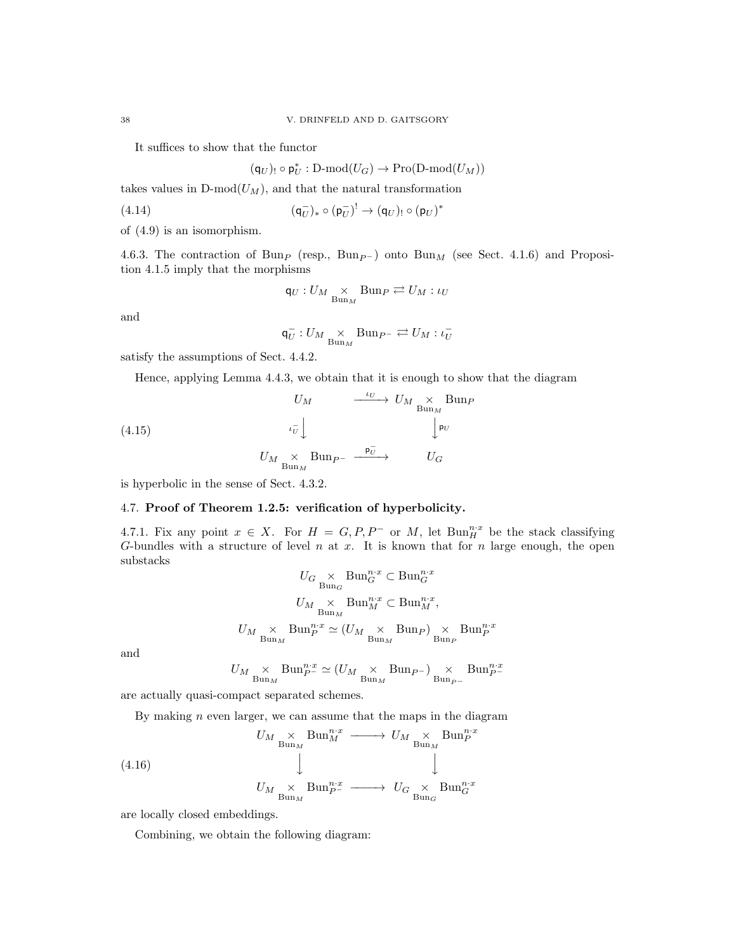It suffices to show that the functor

$$
(\mathsf{q}_U)_! \circ \mathsf{p}_U^*: \mathsf{D}\text{-}\mathrm{mod}(U_G) \to \mathsf{Pro}(\mathsf{D}\text{-}\mathrm{mod}(U_M))
$$

takes values in  $D\text{-mod}(U_M)$ , and that the natural transformation

$$
(4.14) \qquad \qquad (\mathsf{q}_{U}^{-})_{*} \circ (\mathsf{p}_{U}^{-})^! \to (\mathsf{q}_{U})_{!} \circ (\mathsf{p}_{U})^{*}
$$

of (4.9) is an isomorphism.

4.6.3. The contraction of Bun<sub>P</sub> (resp., Bun<sub>P</sub>-) onto Bun<sub>M</sub> (see Sect. 4.1.6) and Proposition 4.1.5 imply that the morphisms

$$
\mathsf{q}_{U}:U_{M}\underset{\mathrm{Bun}_{M}}{\times}\mathrm{Bun}_{P}\rightleftarrows U_{M}:\iota_{U}
$$

and

$$
\mathsf{q}_{U}^{-}:U_{M}\underset{\mathrm{Bun}_{M}}{\times}\mathrm{Bun}_{P^{-}}\rightleftarrows U_{M}:\iota_{U}^{-}
$$

satisfy the assumptions of Sect. 4.4.2.

Hence, applying Lemma 4.4.3, we obtain that it is enough to show that the diagram

(4.15) 
$$
U_M \xrightarrow{\iota_U} U_M \underset{\text{Bun}_M}{\times} \text{Bun}_P
$$

$$
U_M \underset{\text{Bun}_M}{\times} \text{Bun}_{P^-} \xrightarrow{\mathsf{p}_U^-} \qquad \qquad U_G
$$

is hyperbolic in the sense of Sect. 4.3.2.

# 4.7. Proof of Theorem 1.2.5: verification of hyperbolicity.

4.7.1. Fix any point  $x \in X$ . For  $H = G, P, P^-$  or M, let  $\text{Bun}_H^{n,x}$  be the stack classifying G-bundles with a structure of level n at x. It is known that for n large enough, the open substacks

$$
U_G \underset{\text{Bun}_M}{\times} \text{Bun}_G^{n \cdot x} \subset \text{Bun}_G^{n \cdot x}
$$

$$
U_M \underset{\text{Bun}_M}{\times} \text{Bun}_M^{n \cdot x} \subset \text{Bun}_M^{n \cdot x},
$$

$$
U_M \underset{\text{Bun}_M}{\times} \text{Bun}_P^{n \cdot x} \simeq (U_M \underset{\text{Bun}_M}{\times} \text{Bun}_P) \underset{\text{Bun}_P}{\times} \text{Bun}_P^{n \cdot x}
$$

and

$$
U_M \underset{\text{Bun}_M}{\times} \text{Bun}_{P^-}^{n \cdot x} \simeq (U_M \underset{\text{Bun}_M}{\times} \text{Bun}_{P^-}) \underset{\text{Bun}_{P^-}}{\times} \text{Bun}_{P^-}^{n \cdot x}
$$

are actually quasi-compact separated schemes.

By making  $n$  even larger, we can assume that the maps in the diagram

(4.16) 
$$
U_M \underset{\text{Bun}_M}{\times} \text{Bun}_M^{n \cdot x} \longrightarrow U_M \underset{\text{Bun}_M}{\times} \text{Bun}_P^{n \cdot x}
$$
\n
$$
U_M \underset{\text{Bun}_M}{\times} \text{Bun}_P^{n \cdot x} \longrightarrow U_G \underset{\text{Bun}_G}{\times} \text{Bun}_G^{n \cdot x}
$$

are locally closed embeddings.

Combining, we obtain the following diagram: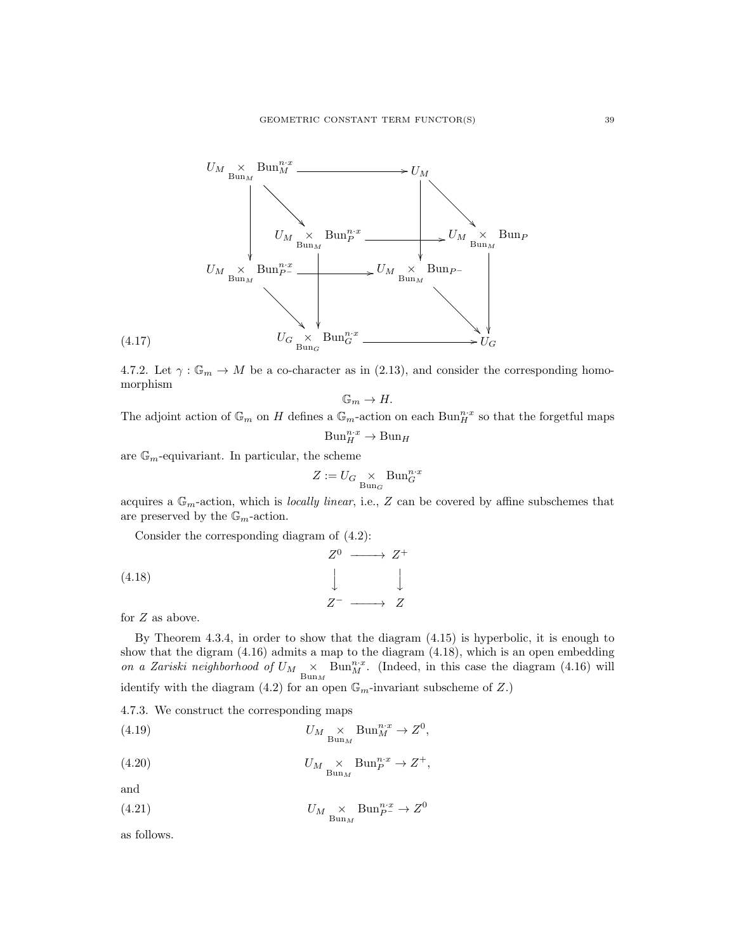![](_page_38_Figure_1.jpeg)

4.7.2. Let  $\gamma : \mathbb{G}_m \to M$  be a co-character as in (2.13), and consider the corresponding homomorphism

$$
\mathbb{G}_m \to H.
$$

The adjoint action of  $\mathbb{G}_m$  on H defines a  $\mathbb{G}_m$ -action on each  $\text{Bun}_H^{n,x}$  so that the forgetful maps

$$
\mathrm{Bun}_H^{n\cdot x} \to \mathrm{Bun}_H
$$

are  $\mathbb{G}_m$ -equivariant. In particular, the scheme

$$
Z:=U_G\underset{\mathrm{Bun}_G}{\times}\mathrm{Bun}_G^{n\cdot x}
$$

acquires a  $\mathbb{G}_m$ -action, which is *locally linear*, i.e., Z can be covered by affine subschemes that are preserved by the  $\mathbb{G}_m$ -action.

Consider the corresponding diagram of (4.2):

(4.18) 
$$
Z^{0} \longrightarrow Z^{+}
$$

$$
\downarrow \qquad \qquad \downarrow
$$

$$
Z^{-} \longrightarrow Z
$$

for Z as above.

By Theorem 4.3.4, in order to show that the diagram (4.15) is hyperbolic, it is enough to show that the digram (4.16) admits a map to the diagram (4.18), which is an open embedding on a Zariski neighborhood of  $U_M \times_{\text{Bun}_M} \text{Bun}_M^{n,x}$ . (Indeed, in this case the diagram (4.16) will identify with the diagram (4.2) for an open  $\mathbb{G}_m$ -invariant subscheme of Z.)

4.7.3. We construct the corresponding maps

(4.19) 
$$
U_M \underset{\text{Bun}_M}{\times} \text{Bun}_M^{n \cdot x} \to Z^0,
$$

(4.20) 
$$
U_M \underset{\text{Bun}_M}{\times} \text{Bun}_P^{n \cdot x} \to Z^+,
$$

and

(4.21) 
$$
U_M \underset{\text{Bun}_M}{\times} \text{Bun}_P^{n \cdot x} \to Z^0
$$

as follows.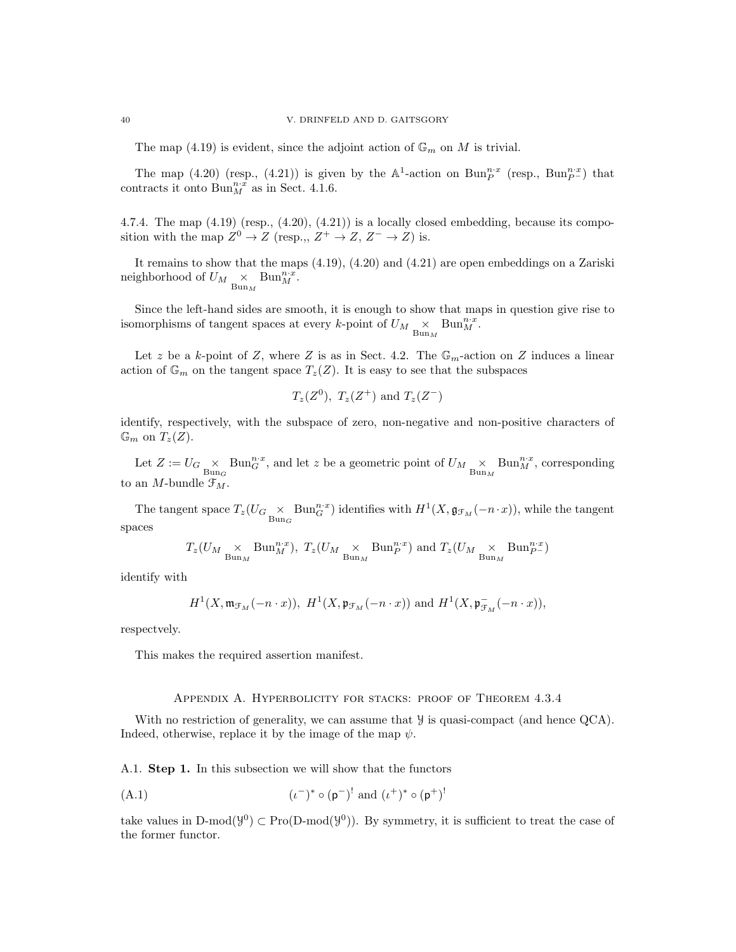The map (4.19) is evident, since the adjoint action of  $\mathbb{G}_m$  on M is trivial.

The map (4.20) (resp., (4.21)) is given by the  $\mathbb{A}^1$ -action on Bun $_{P}^{n,x}$  (resp., Bun $_{P}^{n,x}$ ) that contracts it onto  $\text{Bun}_M^{n,x}$  as in Sect. 4.1.6.

4.7.4. The map  $(4.19)$  (resp.,  $(4.20)$ ,  $(4.21)$ ) is a locally closed embedding, because its composition with the map  $Z^0 \to Z$  (resp.,  $Z^+ \to Z$ ,  $Z^- \to Z$ ) is.

It remains to show that the maps (4.19), (4.20) and (4.21) are open embeddings on a Zariski neighborhood of  $U_M \underset{\text{Bun}_M}{\times} \text{Bun}_M^{n \cdot x}$ .

Since the left-hand sides are smooth, it is enough to show that maps in question give rise to isomorphisms of tangent spaces at every k-point of  $U_M \underset{\text{Bun}_M}{\times} \text{Bun}_M^{n \cdot x}$ .

Let z be a k-point of Z, where Z is as in Sect. 4.2. The  $\mathbb{G}_m$ -action on Z induces a linear action of  $\mathbb{G}_m$  on the tangent space  $T_z(Z)$ . It is easy to see that the subspaces

$$
T_z(Z^0)
$$
,  $T_z(Z^+)$  and  $T_z(Z^-)$ 

identify, respectively, with the subspace of zero, non-negative and non-positive characters of  $\mathbb{G}_m$  on  $T_z(Z)$ .

Let  $Z := U_G \underset{\text{Bun}_G}{\times} \text{Bun}_G^{n \cdot x}$ , and let z be a geometric point of  $U_M \underset{\text{Bun}_M}{\times} \text{Bun}_M^{n \cdot x}$ , corresponding to an M-bundle  $\mathfrak{F}_M$ .

The tangent space  $T_z(U_G \underset{\text{Bun}_G}{\times} \text{Bun}_G^{n,x})$  identifies with  $H^1(X, \mathfrak{g}_{\mathcal{F}_M}(-n \cdot x))$ , while the tangent spaces

$$
T_z(U_M\underset{\mathrm{Bun}_M}{\times}\mathrm{Bun}_M^{n\cdot x}),\ T_z(U_M\underset{\mathrm{Bun}_M}{\times}\mathrm{Bun}_P^{n\cdot x})\ \mathrm{and}\ T_z(U_M\underset{\mathrm{Bun}_M}{\times}\mathrm{Bun}_P^{n\cdot x})
$$

identify with

$$
H^1(X, \mathfrak{m}_{\mathcal{F}_M}(-n \cdot x)), \ H^1(X, \mathfrak{p}_{\mathcal{F}_M}(-n \cdot x)) \text{ and } H^1(X, \mathfrak{p}_{\mathcal{F}_M}^-( -n \cdot x)),
$$

respectvely.

This makes the required assertion manifest.

#### Appendix A. Hyperbolicity for stacks: proof of Theorem 4.3.4

With no restriction of generality, we can assume that  $\mathcal Y$  is quasi-compact (and hence QCA). Indeed, otherwise, replace it by the image of the map  $\psi$ .

A.1. Step 1. In this subsection we will show that the functors

(A.1) 
$$
(\iota^{-})^* \circ (\mathbf{p}^{-})^!
$$
 and  $(\iota^{+})^* \circ (\mathbf{p}^{+})^!$ 

take values in D-mod( $\mathcal{Y}^0$ )  $\subset \text{Pro}(\text{D-mod}(\mathcal{Y}^0))$ . By symmetry, it is sufficient to treat the case of the former functor.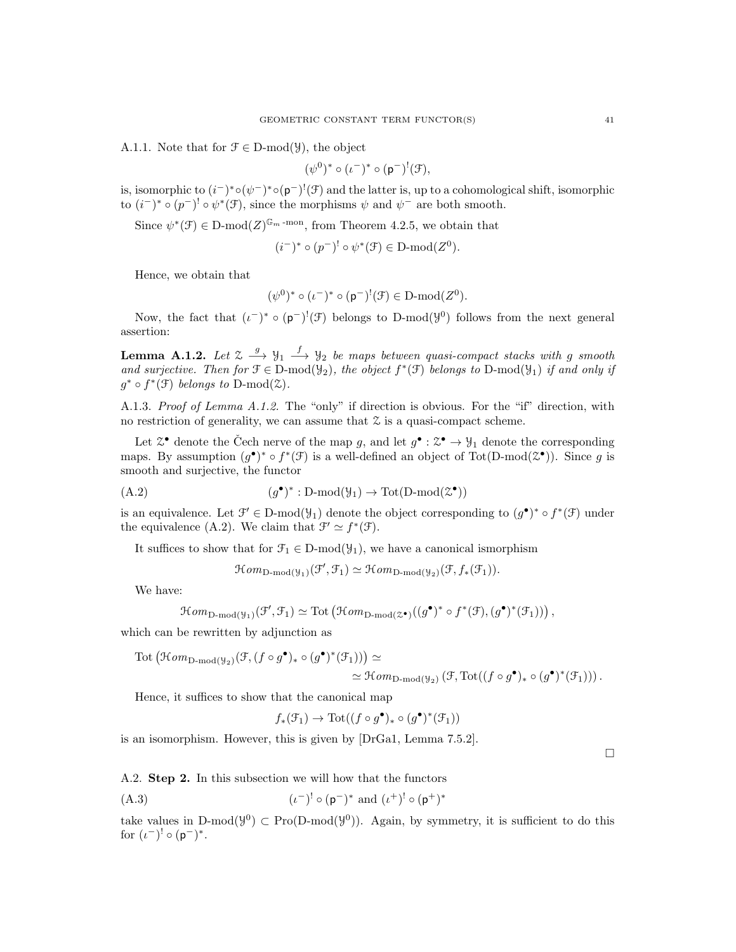A.1.1. Note that for  $\mathcal{F} \in \mathcal{D}$ -mod $(\mathcal{Y})$ , the object

$$
(\psi^0)^* \circ (\iota^-)^* \circ (\mathsf{p}^-)^!(\mathfrak{F}),
$$

is, isomorphic to  $(i^-)^* \circ (\psi^-)^* \circ (\mathfrak{p}^-)^!(\mathfrak{F})$  and the latter is, up to a cohomological shift, isomorphic to  $(i^-)^* \circ (p^-)^! \circ \psi^*(\mathcal{F})$ , since the morphisms  $\psi$  and  $\psi^-$  are both smooth.

Since  $\psi^*(\mathcal{F}) \in \mathcal{D}\text{-mod}(Z)^{\mathbb{G}_m\text{-mon}}$ , from Theorem 4.2.5, we obtain that

$$
(i^-)^* \circ (p^-)^! \circ \psi^*(\mathfrak{F}) \in \mathcal{D}\text{-mod}(Z^0).
$$

Hence, we obtain that

$$
(\psi^0)^* \circ (\iota^-)^* \circ (\mathfrak{p}^-)^!(\mathfrak{F}) \in D\text{-mod}(Z^0).
$$

Now, the fact that  $(\iota^-)^* \circ (p^-)^!(\mathcal{F})$  belongs to D-mod $(\mathcal{Y}^0)$  follows from the next general assertion:

**Lemma A.1.2.** Let  $\mathcal{Z} \stackrel{g}{\longrightarrow} \mathcal{Y}_1 \stackrel{f}{\longrightarrow} \mathcal{Y}_2$  be maps between quasi-compact stacks with g smooth and surjective. Then for  $\mathfrak{F} \in \mathbb{D}$ -mod $(\mathcal{Y}_2)$ , the object  $f^*(\mathfrak{F})$  belongs to  $\mathbb{D}$ -mod $(\mathcal{Y}_1)$  if and only if  $g^* \circ f^*(\mathcal{F})$  belongs to D-mod $(\mathcal{Z})$ .

A.1.3. Proof of Lemma A.1.2. The "only" if direction is obvious. For the "if" direction, with no restriction of generality, we can assume that  $\mathcal Z$  is a quasi-compact scheme.

Let  $\mathfrak{X}^{\bullet}$  denote the Čech nerve of the map g, and let  $g^{\bullet} : \mathfrak{X}^{\bullet} \to \mathcal{Y}_1$  denote the corresponding maps. By assumption  $(g^{\bullet})^* \circ f^*(\mathcal{F})$  is a well-defined an object of Tot(D-mod( $\mathcal{Z}^{\bullet}$ )). Since g is smooth and surjective, the functor

(A.2) (g • ) ∗ : D-mod(Y1) → Tot(D-mod(Z • ))

is an equivalence. Let  $\mathcal{F}' \in D\text{-mod}(\mathcal{Y}_1)$  denote the object corresponding to  $(g^{\bullet})^* \circ f^*(\mathcal{F})$  under the equivalence (A.2). We claim that  $\mathcal{F}' \simeq f^*(\mathcal{F})$ .

It suffices to show that for  $\mathcal{F}_1 \in D\text{-mod}(\mathcal{Y}_1)$ , we have a canonical ismorphism

 $\mathcal{H}om_{\text{D-mod}(\mathcal{Y}_1)}(\mathcal{F}', \mathcal{F}_1) \simeq \mathcal{H}om_{\text{D-mod}(\mathcal{Y}_2)}(\mathcal{F}, f_*(\mathcal{F}_1)).$ 

We have:

 $\mathcal{H}om_{\text{D-mod}(\mathcal{Y}_1)}(\mathcal{F}', \mathcal{F}_1) \simeq \text{Tot}(\mathcal{H}om_{\text{D-mod}(\mathcal{Z}^{\bullet})}((g^{\bullet})^* \circ f^*(\mathcal{F}), (g^{\bullet})^*(\mathcal{F}_1))) ,$ 

which can be rewritten by adjunction as

$$
\mathrm{Tot} \left( \mathfrak{Hom}_{\mathrm{D-mod}(\mathcal{Y}_2)}(\mathcal{F}, (f \circ g^{\bullet})_{*} \circ (g^{\bullet})^{*}(\mathcal{F}_1)) \right) \simeq \\ \simeq \mathfrak{Hom}_{\mathrm{D-mod}(\mathcal{Y}_2)} \left( \mathfrak{F}, \mathrm{Tot}((f \circ g^{\bullet})_{*} \circ (g^{\bullet})^{*}(\mathcal{F}_1)) \right).
$$

Hence, it suffices to show that the canonical map

$$
f_*(\mathfrak{F}_1) \to \mathrm{Tot}((f \circ g^{\bullet})_* \circ (g^{\bullet})^*(\mathfrak{F}_1))
$$

is an isomorphism. However, this is given by [DrGa1, Lemma 7.5.2].

 $\Box$ 

A.2. Step 2. In this subsection we will how that the functors

(A.3) 
$$
(\iota^{-})' \circ (\mathbf{p}^{-})^* \text{ and } (\iota^{+})' \circ (\mathbf{p}^{+})^*
$$

take values in D-mod( $\mathcal{Y}^0$ )  $\subset \text{Pro}(\text{D-mod}(\mathcal{Y}^0))$ . Again, by symmetry, it is sufficient to do this for  $(\iota^-)^! \circ (\mathsf{p}^-)^*.$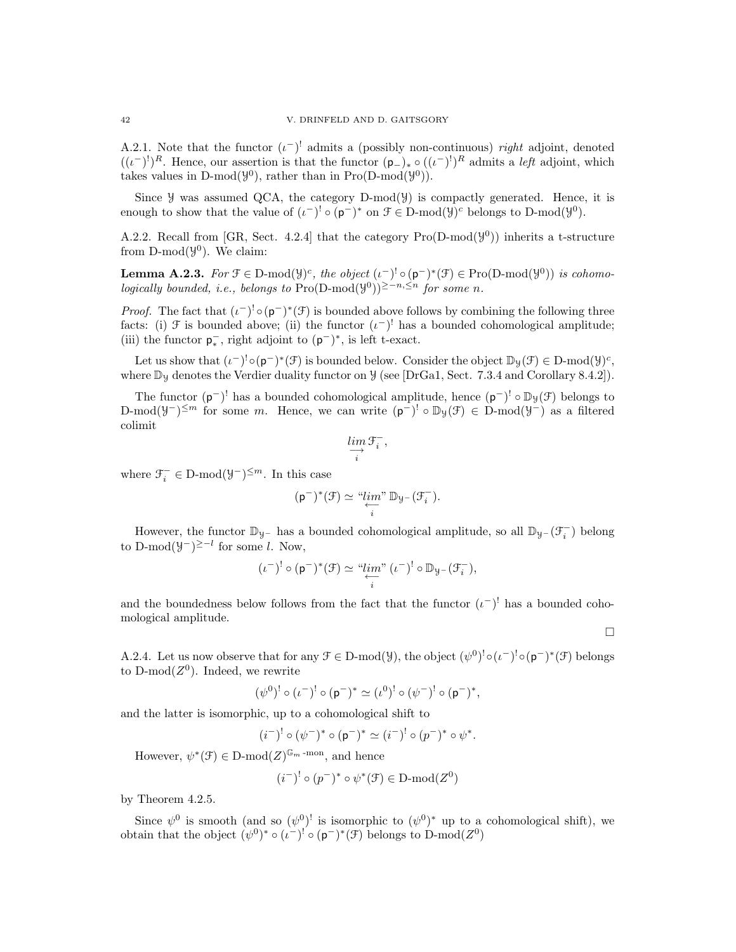A.2.1. Note that the functor  $(\iota^{-})^!$  admits a (possibly non-continuous) right adjoint, denoted  $((\iota^{-})^!)^R$ . Hence, our assertion is that the functor  $(p_+)_* \circ ((\iota^{-})^!)^R$  admits a *left* adjoint, which takes values in D-mod( $\mathcal{Y}^0$ ), rather than in Pro(D-mod( $\mathcal{Y}^0$ )).

Since  $\mathcal Y$  was assumed QCA, the category D-mod( $\mathcal Y$ ) is compactly generated. Hence, it is enough to show that the value of  $(\iota^{-})^! \circ (\mathsf{p}^{-})^*$  on  $\mathcal{F} \in \mathcal{D}\text{-mod}(\mathcal{Y})^c$  belongs to  $\mathcal{D}\text{-mod}(\mathcal{Y}^0)$ .

A.2.2. Recall from [GR, Sect. 4.2.4] that the category  $\text{Pro}(D\text{-mod}(\mathcal{Y}^0))$  inherits a t-structure from  $D\text{-mod}(\mathcal{Y}^0)$ . We claim:

**Lemma A.2.3.** For  $\mathcal{F} \in \mathcal{D}$ -mod $(\mathcal{Y})^c$ , the object  $(\iota^{-})^! \circ (\mathfrak{p}^{-})^* (\mathcal{F}) \in \text{Pro}(\mathcal{D} \text{-mod}(\mathcal{Y}^0))$  is cohomologically bounded, i.e., belongs to Pro(D-mod( $\mathcal{Y}^{(0)}$ )<sup>2-n, ≤n</sup> for some n.

*Proof.* The fact that  $(\iota^{-})^{\mathsf{!}} \circ (\mathsf{p}^{-})^*(\mathcal{F})$  is bounded above follows by combining the following three facts: (i)  $\mathcal F$  is bounded above; (ii) the functor  $(\iota^-)^!$  has a bounded cohomological amplitude; (iii) the functor  $p_*^-$ , right adjoint to  $(p^-)^*$ , is left t-exact.

Let us show that  $(\iota^{-})^! \circ (\mathfrak{p}^-)^* (\mathfrak{F})$  is bounded below. Consider the object  $\mathbb{D}_y(\mathfrak{F}) \in D\text{-mod}(\mathfrak{Y})^c$ , where  $\mathbb{D}_y$  denotes the Verdier duality functor on  $\mathcal{Y}$  (see [DrGa1, Sect. 7.3.4 and Corollary 8.4.2]).

The functor  $(p^{-})^!$  has a bounded cohomological amplitude, hence  $(p^{-})^! \circ \mathbb{D}_y(\mathcal{F})$  belongs to D-mod( $\mathcal{Y}^{-1}$ )<sup> $\leq m$ </sup> for some m. Hence, we can write  $(p^{-})^! \circ \mathbb{D}_{\mathcal{Y}}(\mathcal{F}) \in D\text{-mod}(\mathcal{Y}^{-})$  as a filtered colimit

$$
\varinjlim_{i}\mathcal{F}^{-}_{i},
$$

where  $\mathcal{T}_i^- \in \mathcal{D}\text{-mod}(\mathcal{Y}^-)^{\leq m}$ . In this case

$$
(\mathsf{p}^-)^*(\mathcal{F}) \simeq \mathop{\vphantom{\big)}\smash{\stackrel{\smash{u}}{\scriptscriptstyle{u}}}}\limits^{\smash{m}}\mathop{\vphantom{\vphantom{\big)}\smash{\stackrel{\smash{u}}{\scriptscriptstyle{w}}}}}\mathbb{D}_{\mathcal{Y}^-}(\mathcal{F}_i^-).
$$

However, the functor  $\mathbb{D}_{\mathcal{Y}^-}$  has a bounded cohomological amplitude, so all  $\mathbb{D}_{\mathcal{Y}^-}(\mathcal{F}_i^-)$  belong to D-mod $(\mathcal{Y}^-)^{\geq -l}$  for some l. Now,

$$
(\iota^-)^! \circ (\mathsf{p}^-)^* (\mathcal{F}) \simeq \mathop{\rm dim^m}\limits_{\overleftarrow{i}} (\iota^-)^! \circ \mathbb{D}_{\mathcal{Y}^-} (\mathcal{F}_i^-),
$$

and the boundedness below follows from the fact that the functor  $(\iota^-)$ ! has a bounded cohomological amplitude.

 $\Box$ 

A.2.4. Let us now observe that for any  $\mathcal{F} \in \mathcal{D}\text{-mod}(\mathcal{Y})$ , the object  $(\psi^0)^! \circ (\iota^-)^! \circ (\mathfrak{p}^-)^* (\mathcal{F})$  belongs to D-mod $(Z^0)$ . Indeed, we rewrite

$$
(\psi^0)^! \circ (\iota^-)^! \circ (\mathsf{p}^-)^* \simeq (\iota^0)^! \circ (\psi^-)^! \circ (\mathsf{p}^-)^*,
$$

and the latter is isomorphic, up to a cohomological shift to

$$
(i^-)^! \circ (\psi^-)^* \circ (\mathsf{p}^-)^* \simeq (i^-)^! \circ (\mathsf{p}^-)^* \circ \psi^*.
$$

However,  $\psi^*(\mathcal{F}) \in \mathbb{D}\text{-mod}(Z)^{\mathbb{G}_m \text{-mon}}$ , and hence

$$
(i^-)^! \circ (p^-)^* \circ \psi^*(\mathfrak{F}) \in D\text{-mod}(Z^0)
$$

by Theorem 4.2.5.

Since  $\psi^0$  is smooth (and so  $(\psi^0)^!$  is isomorphic to  $(\psi^0)^*$  up to a cohomological shift), we obtain that the object  $(\psi^0)^* \circ (\iota^-)^! \circ (\mathfrak{p}^-)^* (\mathfrak{F})$  belongs to D-mod $(Z^0)$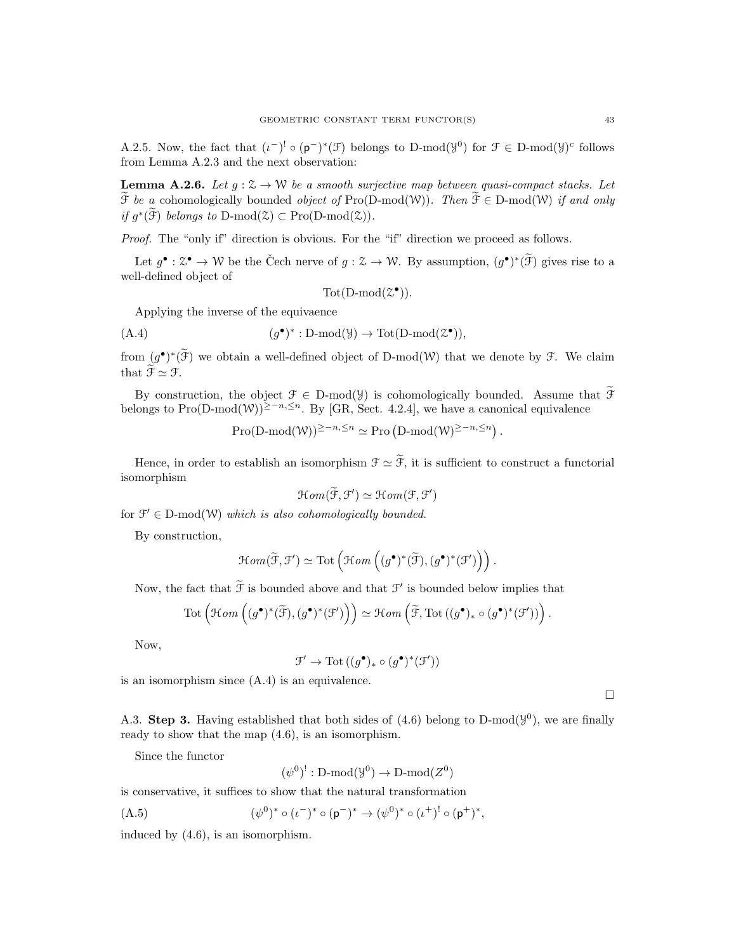A.2.5. Now, the fact that  $(\iota^{-})^! \circ (\mathfrak{p}^{-})^* (\mathfrak{F})$  belongs to D-mod $(\mathfrak{Y}^0)$  for  $\mathfrak{F} \in D\text{-mod}(\mathfrak{Y})^c$  follows from Lemma A.2.3 and the next observation:

**Lemma A.2.6.** Let  $g : \mathbb{Z} \to \mathbb{W}$  be a smooth surjective map between quasi-compact stacks. Let  $\widetilde{\mathcal{F}}$  be a cohomologically bounded *object of* Pro(D-mod(W)). Then  $\widetilde{\mathcal{F}} \in D\text{-mod}(W)$  if and only if  $g^*(\mathfrak{F})$  belongs to D-mod $(\mathfrak{Z}) \subset \mathrm{Pro}(\mathrm{D-mod}(\mathfrak{Z})).$ 

Proof. The "only if" direction is obvious. For the "if" direction we proceed as follows.

Let  $g^{\bullet} : \mathcal{Z}^{\bullet} \to \mathcal{W}$  be the Čech nerve of  $g : \mathcal{Z} \to \mathcal{W}$ . By assumption,  $(g^{\bullet})^*(\widetilde{\mathcal{F}})$  gives rise to a well-defined object of

 $\text{Tot}(\text{D-mod}(\mathcal{Z}^{\bullet}))$ .

Applying the inverse of the equivaence

(A.4) (g • ) ∗ : D-mod(Y) → Tot(D-mod(Z • )),

from  $(g^{\bullet})^*(\mathcal{F})$  we obtain a well-defined object of D-mod(W) that we denote by  $\mathcal{F}$ . We claim that  $\widetilde{\mathcal{F}} \simeq \mathcal{F}$ .

By construction, the object  $\mathcal{F} \in D\text{-mod}(\mathcal{Y})$  is cohomologically bounded. Assume that  $\widetilde{\mathcal{F}}$ belongs to Pro(D-mod(W))<sup>≥−n,≤n</sup>. By [GR, Sect. 4.2.4], we have a canonical equivalence

Pro(D-mod(W))<sup>≥−n,≤n</sup>  $\simeq$  Pro (D-mod(W)<sup>≥−n,≤n</sup>).

Hence, in order to establish an isomorphism  $\mathcal{F} \simeq \widetilde{\mathcal{F}}$ , it is sufficient to construct a functorial isomorphism

$$
\mathcal{H}om(\widetilde{\mathcal{F}},\mathcal{F}')\simeq \mathcal{H}om(\mathcal{F},\mathcal{F}')
$$

for  $\mathcal{F}' \in D\text{-mod}(\mathcal{W})$  which is also cohomologically bounded.

By construction,

$$
\mathcal{H}om(\widetilde{\mathcal{F}},\mathcal{F}')\simeq \mathrm{Tot}\left(\mathcal{H}om\left((g^{\bullet})^*(\widetilde{\mathcal{F}}),(g^{\bullet})^*(\mathcal{F}')\right)\right).
$$

Now, the fact that  $\mathcal F$  is bounded above and that  $\mathcal F'$  is bounded below implies that

$$
\mathrm{Tot}\left(\mathcal Hom\left((g^{\bullet})^{*}(\widetilde{\mathcal F}),(g^{\bullet})^{*}(\mathcal F')\right)\right)\simeq \mathcal Hom\left(\widetilde{\mathcal F},\mathrm{Tot}\left((g^{\bullet})_{*}\circ (g^{\bullet})^{*}(\mathcal F')\right)\right).
$$

Now,

$$
\mathcal{F}' \to {\rm{Tot}}\left((g^\bullet)_* \circ (g^\bullet)^*(\mathcal{F}')\right)
$$

is an isomorphism since (A.4) is an equivalence.

 $\Box$ 

A.3. Step 3. Having established that both sides of  $(4.6)$  belong to D-mod $(\mathcal{Y}^0)$ , we are finally ready to show that the map (4.6), is an isomorphism.

Since the functor

$$
(\psi^0)^!: \text{D-mod}(\mathcal{Y}^0) \to \text{D-mod}(Z^0)
$$

is conservative, it suffices to show that the natural transformation

(A.5) 
$$
(\psi^0)^* \circ (\iota^-)^* \circ (\mathsf{p}^-)^* \to (\psi^0)^* \circ (\iota^+)^! \circ (\mathsf{p}^+)^*,
$$

induced by (4.6), is an isomorphism.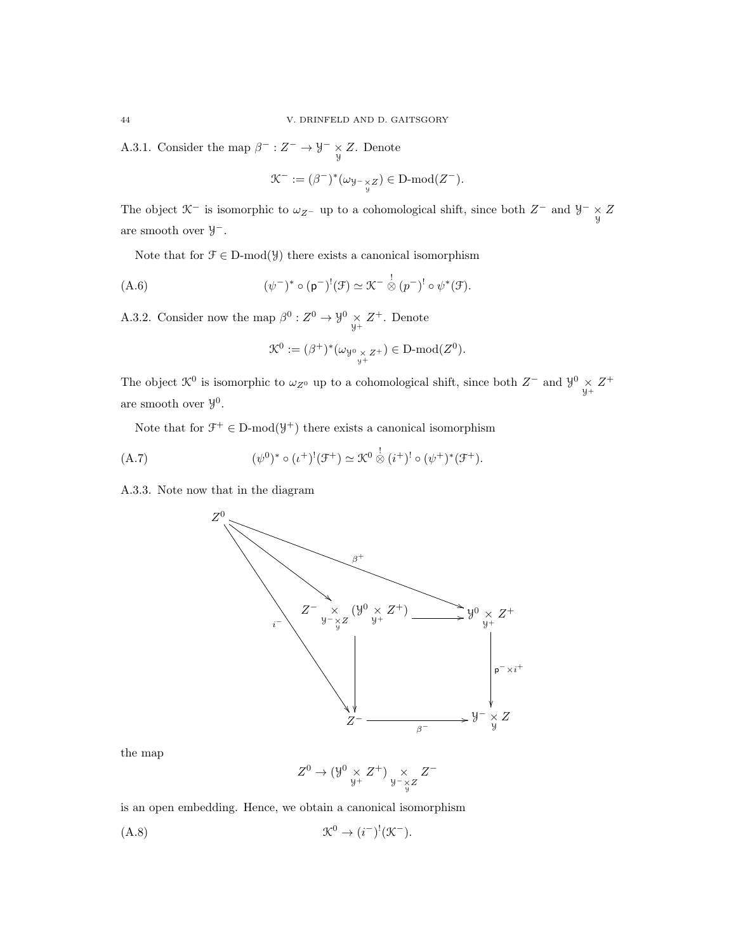A.3.1. Consider the map  $\beta^- : Z^- \to \mathcal{Y}^- \underset{\mathcal{Y}}{\times} Z$ . Denote

$$
\mathcal{K}^- := (\beta^-)^*(\omega_{\mathcal{Y}^- \underset{\mathcal{Y}}{\times} Z}) \in \text{D-mod}(Z^-).
$$

The object  $\mathcal{K}^-$  is isomorphic to  $\omega_{Z^-}$  up to a cohomological shift, since both  $Z^-$  and  $\mathcal{Y}^ \underset{\mathcal{Y}}{\times} Z$ are smooth over Y −.

Note that for  $\mathcal{F} \in \mathcal{D}$ -mod( $\mathcal{Y}$ ) there exists a canonical isomorphism

(A.6) 
$$
(\psi^-)^* \circ (\mathfrak{p}^-)^!(\mathfrak{F}) \simeq \mathfrak{K}^- \overset{!}{\otimes} (p^-)^! \circ \psi^*(\mathfrak{F}).
$$

A.3.2. Consider now the map  $\beta^0: Z^0 \to \mathcal{Y}^0 \underset{\mathcal{Y}^+}{\times} Z^+$ . Denote

$$
\mathcal{K}^0 := (\beta^+)^*(\omega_{\mathcal{Y}^0 \underset{\mathcal{Y}^+}{\times} Z^+}) \in D\text{-mod}(Z^0).
$$

The object  $\mathcal{K}^0$  is isomorphic to  $\omega_{Z^0}$  up to a cohomological shift, since both  $Z^-$  and  $\mathcal{Y}^0 \times Z^+$ are smooth over  $\mathcal{Y}^0$ .

Note that for  $\mathcal{F}^+ \in \mathcal{D}$ -mod $(\mathcal{Y}^+)$  there exists a canonical isomorphism

(A.7) 
$$
(\psi^{0})^* \circ (\iota^{+})^!(\mathcal{F}^+) \simeq \mathcal{K}^0 \overset{!}{\otimes} (i^{+})^! \circ (\psi^{+})^*(\mathcal{F}^+).
$$

A.3.3. Note now that in the diagram

![](_page_43_Figure_12.jpeg)

the map

$$
Z^0 \to (\mathcal{Y}^0\underset{\mathcal{Y}^+}{\times} Z^+) \underset{\mathcal{Y}^- \underset{\mathcal{Y}}{\times} Z}{\times} Z^-
$$

is an open embedding. Hence, we obtain a canonical isomorphism

$$
\mathfrak{K}^0 \to (i^-)^!(\mathfrak{K}^-).
$$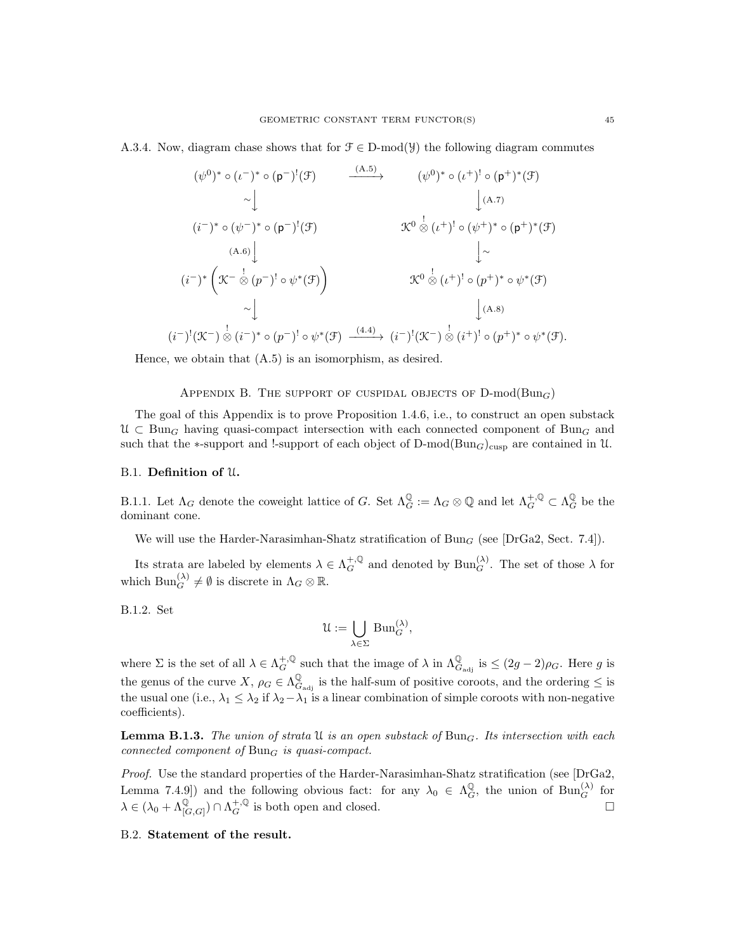A.3.4. Now, diagram chase shows that for  $\mathcal{F} \in \mathcal{D}\text{-mod}(\mathcal{Y})$  the following diagram commutes

$$
(\psi^{0})^{*} \circ (t^{-})^{*} \circ (p^{-})^{!}(\mathcal{F}) \longrightarrow (\psi^{0})^{*} \circ (t^{+})^{!} \circ (p^{+})^{*}(\mathcal{F})
$$
  
\n
$$
\sim \downarrow \qquad \qquad (\psi^{0})^{*} \circ (t^{+})^{!} \circ (p^{+})^{*}(\mathcal{F})
$$
  
\n
$$
(i^{-})^{*} \circ (\psi^{-})^{*} \circ (p^{-})^{!}(\mathcal{F}) \longrightarrow \mathcal{K}^{0} \overset{\downarrow}{\otimes} (t^{+})^{!} \circ (\psi^{+})^{*} \circ (p^{+})^{*}(\mathcal{F})
$$
  
\n
$$
(i^{-})^{*} \left(\mathcal{K}^{-} \overset{\downarrow}{\otimes} (p^{-})^{!} \circ \psi^{*}(\mathcal{F})\right) \longrightarrow \mathcal{K}^{0} \overset{\downarrow}{\otimes} (t^{+})^{!} \circ (p^{+})^{*} \circ \psi^{*}(\mathcal{F})
$$
  
\n
$$
\sim \downarrow \qquad \qquad \downarrow (A.8)
$$
  
\n
$$
(\psi^{0})^{*} \circ (t^{+})^{!} \circ (p^{+})^{*}(\mathcal{F})
$$
  
\n
$$
\downarrow \sim \qquad \qquad \downarrow (A.7)
$$
  
\n
$$
\mathcal{K}^{0} \overset{\downarrow}{\otimes} (t^{+})^{!} \circ (p^{+})^{*} \circ \psi^{*}(\mathcal{F})
$$
  
\n
$$
\downarrow (A.8)
$$

Hence, we obtain that (A.5) is an isomorphism, as desired.

### APPENDIX B. THE SUPPORT OF CUSPIDAL OBJECTS OF  $D\text{-mod}(Bun_G)$

The goal of this Appendix is to prove Proposition 1.4.6, i.e., to construct an open substack  $\mathfrak{U} \subset \text{Bun}_G$  having quasi-compact intersection with each connected component of  $\text{Bun}_G$  and such that the ∗-support and !-support of each object of D-mod(Bun<sub>G</sub>)<sub>cusp</sub> are contained in U.

#### B.1. Definition of U.

 $(i)$ 

B.1.1. Let  $\Lambda_G$  denote the coweight lattice of G. Set  $\Lambda_G^{\mathbb{Q}} := \Lambda_G \otimes \mathbb{Q}$  and let  $\Lambda_G^{+,\mathbb{Q}} \subset \Lambda_G^{\mathbb{Q}}$  be the dominant cone.

We will use the Harder-Narasimhan-Shatz stratification of  $Bun_G$  (see [DrGa2, Sect. 7.4]).

Its strata are labeled by elements  $\lambda \in \Lambda_G^{+,\mathbb{Q}}$  and denoted by  $\text{Bun}_G^{(\lambda)}$ . The set of those  $\lambda$  for which  $\text{Bun}_{G}^{(\lambda)} \neq \emptyset$  is discrete in  $\Lambda_G \otimes \mathbb{R}$ .

B.1.2. Set

$$
\mathcal{U} := \bigcup_{\lambda \in \Sigma} \operatorname{Bun}_G^{(\lambda)},
$$

where  $\Sigma$  is the set of all  $\lambda \in \Lambda_G^{+,\mathbb{Q}}$  such that the image of  $\lambda$  in  $\Lambda_{G_{\text{adj}}}^{\mathbb{Q}}$  is  $\leq (2g-2)\rho_G$ . Here g is the genus of the curve  $X, \rho_G \in \Lambda_G^{\mathbb{Q}}$  $\mathcal{L}_{G_{\text{adj}}}^{\mathbb{Q}}$  is the half-sum of positive coroots, and the ordering  $\leq$  is the usual one (i.e.,  $\lambda_1 \leq \lambda_2$  if  $\lambda_2 - \lambda_1$  is a linear combination of simple coroots with non-negative coefficients).

**Lemma B.1.3.** The union of strata U is an open substack of  $Bun<sub>G</sub>$ . Its intersection with each connected component of  $Bun<sub>G</sub>$  is quasi-compact.

Proof. Use the standard properties of the Harder-Narasimhan-Shatz stratification (see [DrGa2, Lemma 7.4.9]) and the following obvious fact: for any  $\lambda_0 \in \Lambda_G^{\mathbb{Q}}$ , the union of  $\text{Bun}_G^{(\lambda)}$  for  $\lambda \in (\lambda_0 + \Lambda^{\mathbb{Q}}_{[G,G]}) \cap \Lambda_G^{+,\mathbb{Q}}$  is both open and closed.

### B.2. Statement of the result.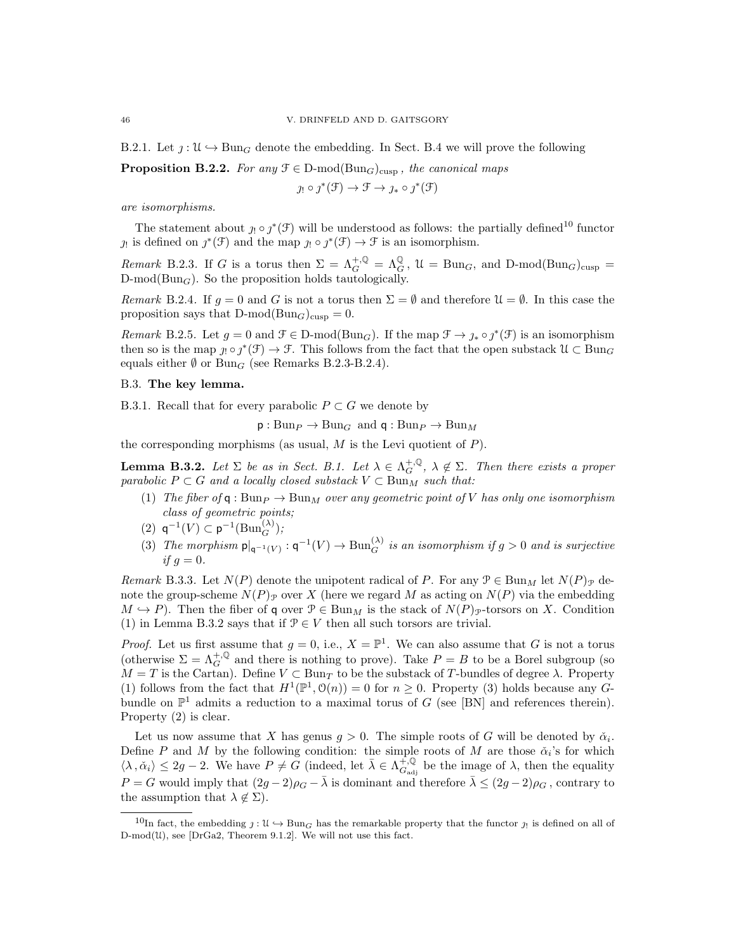B.2.1. Let  $\gamma: \mathfrak{U} \to \text{Bun}_G$  denote the embedding. In Sect. B.4 we will prove the following

**Proposition B.2.2.** For any  $\mathcal{F} \in \mathcal{D}\text{-mod}(\text{Bun}_G)_{\text{cusp}}$ , the canonical maps

$$
j_! \circ \jmath^*(\mathfrak{F}) \to \mathfrak{F} \to j_* \circ \jmath^*(\mathfrak{F})
$$

are isomorphisms.

The statement about  $j_! \circ j^*(\mathcal{F})$  will be understood as follows: the partially defined<sup>10</sup> functor  $\jmath_!$  is defined on  $\jmath^*(\mathcal{F})$  and the map  $\jmath_! \circ \jmath^*(\mathcal{F}) \to \mathcal{F}$  is an isomorphism.

Remark B.2.3. If G is a torus then  $\Sigma = \Lambda_G^{+, \mathbb{Q}} = \Lambda_G^{\mathbb{Q}}$ ,  $\mathcal{U} = \text{Bun}_G$ , and  $\text{D-mod}(\text{Bun}_G)_{\text{cusp}} =$  $D\text{-mod}(Bun_G)$ . So the proposition holds tautologically.

Remark B.2.4. If  $g = 0$  and G is not a torus then  $\Sigma = \emptyset$  and therefore  $\mathfrak{U} = \emptyset$ . In this case the proposition says that  $D\text{-mod}(Bun_G)_{cusp} = 0$ .

Remark B.2.5. Let  $g = 0$  and  $\mathcal{F} \in \mathbb{D}$ -mod( $\text{Bun}_G$ ). If the map  $\mathcal{F} \to \jmath_* \circ \jmath^*(\mathcal{F})$  is an isomorphism then so is the map  $j_! \circ j^*(\mathcal{F}) \to \mathcal{F}$ . This follows from the fact that the open substack  $\mathcal{U} \subset \text{Bun}_G$ equals either  $\emptyset$  or Bun<sub>G</sub> (see Remarks B.2.3-B.2.4).

### B.3. The key lemma.

B.3.1. Recall that for every parabolic  $P \subset G$  we denote by

 $p: Bun_P \to Bun_G$  and  $q: Bun_P \to Bun_M$ 

the corresponding morphisms (as usual,  $M$  is the Levi quotient of  $P$ ).

**Lemma B.3.2.** Let  $\Sigma$  be as in Sect. B.1. Let  $\lambda \in \Lambda_G^{+, \mathbb{Q}}, \lambda \notin \Sigma$ . Then there exists a proper parabolic  $P \subset G$  and a locally closed substack  $V \subset \text{Bun}_M$  such that:

- (1) The fiber of q : Bun $_P \rightarrow$  Bun<sub>M</sub> over any geometric point of V has only one isomorphism class of geometric points;
- (2)  $q^{-1}(V) \subset p^{-1}(\text{Bun}_{G}^{(\lambda)});$
- (3) The morphism  $p|_{q^{-1}(V)} : q^{-1}(V) \to Bun_G^{(\lambda)}$  is an isomorphism if  $g > 0$  and is surjective if  $g = 0$ .

Remark B.3.3. Let  $N(P)$  denote the unipotent radical of P. For any  $\mathcal{P} \in \text{Bun}_M$  let  $N(P)_{\mathcal{P}}$  denote the group-scheme  $N(P)_{\mathcal{P}}$  over X (here we regard M as acting on  $N(P)$  via the embedding  $M \hookrightarrow P$ ). Then the fiber of q over  $\mathcal{P} \in \text{Bun}_M$  is the stack of  $N(P)_{\mathcal{P}}$ -torsors on X. Condition (1) in Lemma B.3.2 says that if  $\mathcal{P} \in V$  then all such torsors are trivial.

*Proof.* Let us first assume that  $g = 0$ , i.e.,  $X = \mathbb{P}^1$ . We can also assume that G is not a torus (otherwise  $\Sigma = \Lambda_G^{+, \mathbb{Q}}$  and there is nothing to prove). Take  $P = B$  to be a Borel subgroup (so  $M = T$  is the Cartan). Define  $V \subset \text{Bun}_T$  to be the substack of T-bundles of degree  $\lambda$ . Property (1) follows from the fact that  $H^1(\mathbb{P}^1, \mathcal{O}(n)) = 0$  for  $n \geq 0$ . Property (3) holds because any Gbundle on  $\mathbb{P}^1$  admits a reduction to a maximal torus of G (see [BN] and references therein). Property (2) is clear.

Let us now assume that X has genus  $g > 0$ . The simple roots of G will be denoted by  $\check{\alpha}_i$ . Define P and M by the following condition: the simple roots of M are those  $\check{\alpha}_i$ 's for which  $\langle \lambda, \check{\alpha}_i \rangle \leq 2g - 2$ . We have  $P \neq \check{G}$  (indeed, let  $\bar{\lambda} \in \Lambda_{G_{ad}}^{+, \mathbb{Q}}$  $G_{\text{adj}}^{+, \mathbb{Q}}$  be the image of  $\lambda$ , then the equality  $P = G$  would imply that  $(2g - 2)\rho_G - \overline{\lambda}$  is dominant and therefore  $\overline{\lambda} \leq (2g - 2)\rho_G$ , contrary to the assumption that  $\lambda \notin \Sigma$ ).

<sup>&</sup>lt;sup>10</sup>In fact, the embedding  $j: \mathcal{U} \hookrightarrow \text{Bun}_G$  has the remarkable property that the functor  $j_!$  is defined on all of  $D-mod(\mathcal{U})$ , see [DrGa2, Theorem 9.1.2]. We will not use this fact.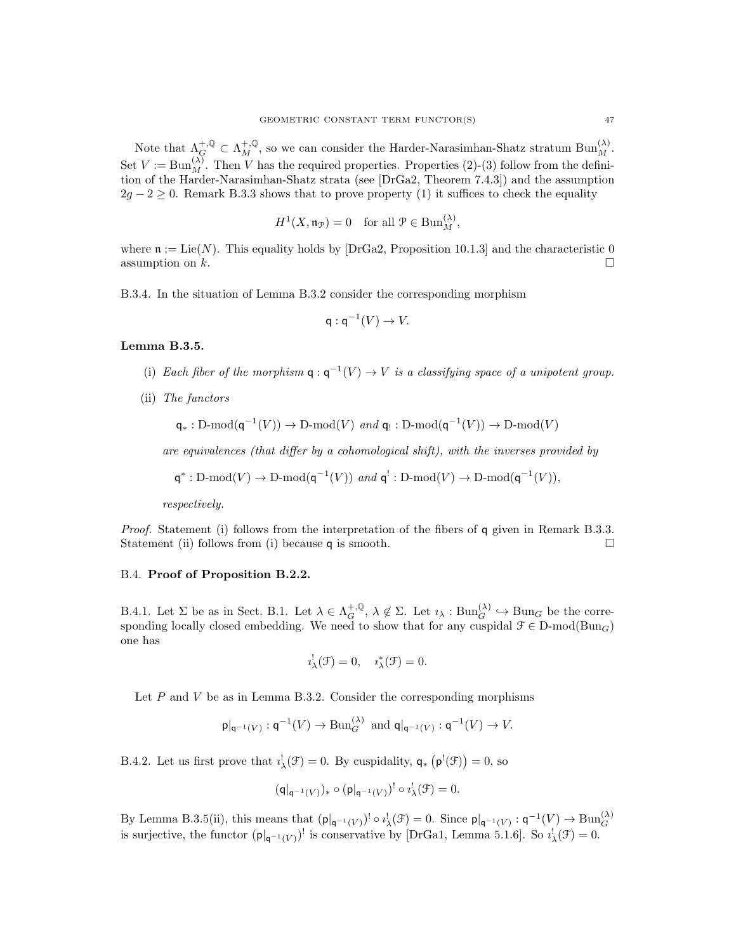Note that  $\Lambda_G^{+,\mathbb{Q}} \subset \Lambda_M^{+,\mathbb{Q}}$ , so we can consider the Harder-Narasimhan-Shatz stratum  $\text{Bun}_M^{(\lambda)}$ . Set  $V := \text{Bun}_{M}^{(\lambda)}$ . Then V has the required properties. Properties (2)-(3) follow from the definition of the Harder-Narasimhan-Shatz strata (see [DrGa2, Theorem 7.4.3]) and the assumption  $2g - 2 \geq 0$ . Remark B.3.3 shows that to prove property (1) it suffices to check the equality

$$
H^1(X, \mathfrak{n}_{\mathcal{P}}) = 0 \quad \text{for all } \mathcal{P} \in \text{Bun}_{M}^{(\lambda)},
$$

where  $\mathfrak{n} := \text{Lie}(N)$ . This equality holds by [DrGa2, Proposition 10.1.3] and the characteristic 0 assumption on  $k$ .

B.3.4. In the situation of Lemma B.3.2 consider the corresponding morphism

$$
\mathsf{q} : \mathsf{q}^{-1}(V) \to V.
$$

#### Lemma B.3.5.

- (i) Each fiber of the morphism  $q: q^{-1}(V) \to V$  is a classifying space of a unipotent group.
- (ii) The functors

$$
\mathsf{q}_*: \mathsf{D}\text{-}\mathrm{mod}(\mathsf{q}^{-1}(V)) \to \mathsf{D}\text{-}\mathrm{mod}(V) \text{ and } \mathsf{q}_!: \mathsf{D}\text{-}\mathrm{mod}(\mathsf{q}^{-1}(V)) \to \mathsf{D}\text{-}\mathrm{mod}(V)
$$

are equivalences (that differ by a cohomological shift), with the inverses provided by

$$
\mathsf{q}^*: \mathsf{D}\text{-}\mathrm{mod}(V) \to \mathsf{D}\text{-}\mathrm{mod}(\mathsf{q}^{-1}(V)) \text{ and } \mathsf{q}^!: \mathsf{D}\text{-}\mathrm{mod}(V) \to \mathsf{D}\text{-}\mathrm{mod}(\mathsf{q}^{-1}(V)),
$$

respectively.

Proof. Statement (i) follows from the interpretation of the fibers of q given in Remark B.3.3. Statement (ii) follows from (i) because q is smooth.  $\square$ 

# B.4. Proof of Proposition B.2.2.

B.4.1. Let  $\Sigma$  be as in Sect. B.1. Let  $\lambda \in \Lambda_G^{+,\mathbb{Q}}, \lambda \notin \Sigma$ . Let  $i_\lambda : \text{Bun}_G^{(\lambda)} \hookrightarrow \text{Bun}_G$  be the corresponding locally closed embedding. We need to show that for any cuspidal  $\mathcal{F} \in \mathbb{D}$ -mod $(\text{Bun}_G)$ one has

$$
i_{\lambda}^{!}(\mathcal{F})=0, \quad i_{\lambda}^{*}(\mathcal{F})=0.
$$

Let  $P$  and  $V$  be as in Lemma B.3.2. Consider the corresponding morphisms

$$
\mathsf{p}|_{\mathsf{q}^{-1}(V)}:\mathsf{q}^{-1}(V)\to\mathrm{Bun}_G^{(\lambda)}\ \text{ and } \mathsf{q}|_{\mathsf{q}^{-1}(V)}:\mathsf{q}^{-1}(V)\to V.
$$

B.4.2. Let us first prove that  $i'_{\lambda}(\mathcal{F}) = 0$ . By cuspidality,  $\mathsf{q}_{*}(\mathsf{p}^{!}(\mathcal{F})) = 0$ , so

$$
(\mathsf{q}|_{\mathsf{q}^{-1}(V)})_* \circ (\mathsf{p}|_{\mathsf{q}^{-1}(V)})^! \circ i_{\lambda}^! (\mathcal{F}) = 0.
$$

By Lemma B.3.5(ii), this means that  $(\mathsf{p}|_{\mathsf{q}^{-1}(V)})^! \circ i_\lambda^!(\mathcal{F}) = 0$ . Since  $\mathsf{p}|_{\mathsf{q}^{-1}(V)} : \mathsf{q}^{-1}(V) \to \text{Bun}_G^{(\lambda)}$ <br>is surjective, the functor  $(\mathsf{p}|_{\mathsf{q}^{-1}(V)})^!$  is conservative by [DrGa1, Lemma 5.1.6]. So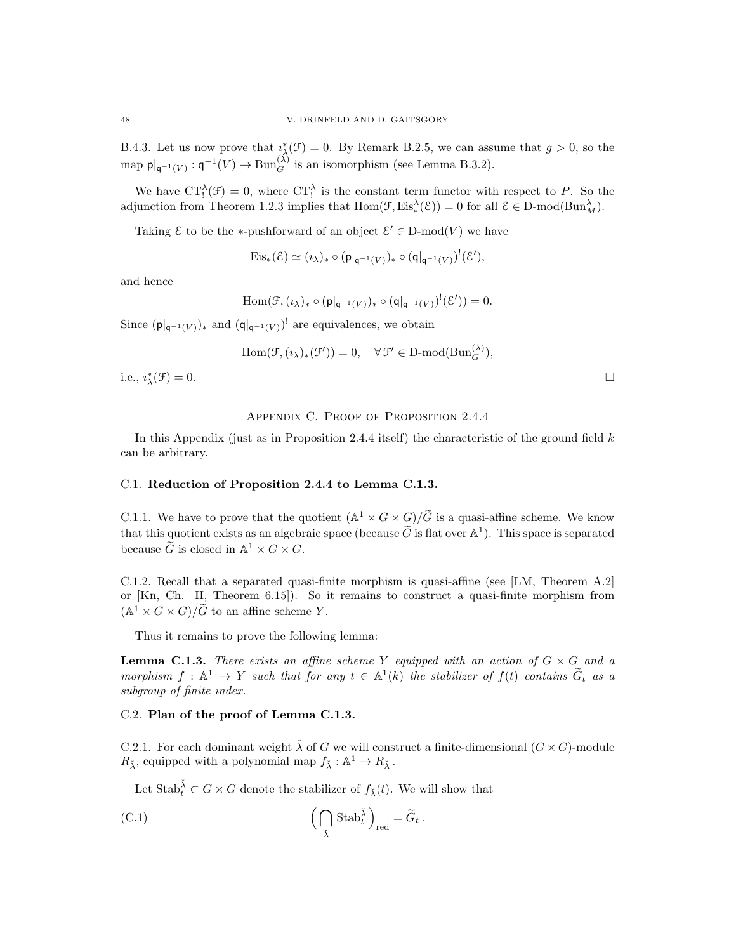B.4.3. Let us now prove that  $i^*_{\lambda}(\mathcal{F}) = 0$ . By Remark B.2.5, we can assume that  $g > 0$ , so the map  $p|_{q^{-1}(V)}: q^{-1}(V) \to \text{Bun}_{G}^{(\lambda)}$  is an isomorphism (see Lemma B.3.2).

We have  $CT_!^{\lambda}(\mathcal{F})=0$ , where  $CT_!^{\lambda}$  is the constant term functor with respect to P. So the adjunction from Theorem 1.2.3 implies that  $Hom(\mathcal{F}, Eis^{\lambda}_{*}(\mathcal{E})) = 0$  for all  $\mathcal{E} \in D\text{-mod}(Bun^{\lambda}_{M}).$ 

Taking  $\mathcal E$  to be the \*-pushforward of an object  $\mathcal E' \in \mathbb D\text{-mod}(V)$  we have

$$
\mathrm{Eis}_*(\mathcal{E}) \simeq (\imath_\lambda)_* \circ (\mathsf{p}|_{\mathsf{q}^{-1}(V)})_* \circ (\mathsf{q}|_{\mathsf{q}^{-1}(V)})^!(\mathcal{E}'),
$$

and hence

$$
\operatorname{Hom}(\mathcal{F},(\iota_\lambda)_* \circ (\mathsf{p}|_{\mathsf{q}^{-1}(V)})_* \circ (\mathsf{q}|_{\mathsf{q}^{-1}(V)})^!(\mathcal{E}')) = 0.
$$

Since  $(\mathsf{p}|_{\mathsf{q}^{-1}(V)})_*$  and  $(\mathsf{q}|_{\mathsf{q}^{-1}(V)})'$  are equivalences, we obtain

$$
\operatorname{Hom}(\mathcal{F},(\imath_{\lambda})_*(\mathcal{F}'))=0,\quad \forall\, \mathcal{F}'\in \operatorname{D-mod}(\operatorname{Bun}_G^{(\lambda)}),
$$

i.e.,  $i_{\lambda}^*$  $(\mathcal{F}) = 0.$ 

# APPENDIX C. PROOF OF PROPOSITION 2.4.4

In this Appendix (just as in Proposition 2.4.4 itself) the characteristic of the ground field  $k$ can be arbitrary.

### C.1. Reduction of Proposition 2.4.4 to Lemma C.1.3.

C.1.1. We have to prove that the quotient  $(\mathbb{A}^1 \times G \times G)/\tilde{G}$  is a quasi-affine scheme. We know that this quotient exists as an algebraic space (because  $\tilde{G}$  is flat over  $\mathbb{A}^1$ ). This space is separated because  $\widetilde{G}$  is closed in  $\mathbb{A}^1 \times G \times G$ .

C.1.2. Recall that a separated quasi-finite morphism is quasi-affine (see [LM, Theorem A.2] or [Kn, Ch. II, Theorem 6.15]). So it remains to construct a quasi-finite morphism from  $(\mathbb{A}^1 \times G \times G)/\widetilde{G}$  to an affine scheme Y.

Thus it remains to prove the following lemma:

**Lemma C.1.3.** There exists an affine scheme Y equipped with an action of  $G \times G$  and a morphism  $f : \mathbb{A}^1 \to Y$  such that for any  $t \in \mathbb{A}^1(k)$  the stabilizer of  $f(t)$  contains  $\widetilde{G}_t$  as a subgroup of finite index.

# C.2. Plan of the proof of Lemma C.1.3.

C.2.1. For each dominant weight  $\check{\lambda}$  of G we will construct a finite-dimensional  $(G \times G)$ -module  $R_{\check{\lambda}}$ , equipped with a polynomial map  $f_{\check{\lambda}} : \mathbb{A}^1 \to R_{\check{\lambda}}$ .

Let  $\operatorname{Stab}_t^{\check{\lambda}} \subset G \times G$  denote the stabilizer of  $f_{\check{\lambda}}(t)$ . We will show that

(C.1) 
$$
\left(\bigcap_{\check{\lambda}} \operatorname{Stab}_t^{\check{\lambda}}\right)_{\text{red}} = \widetilde{G}_t.
$$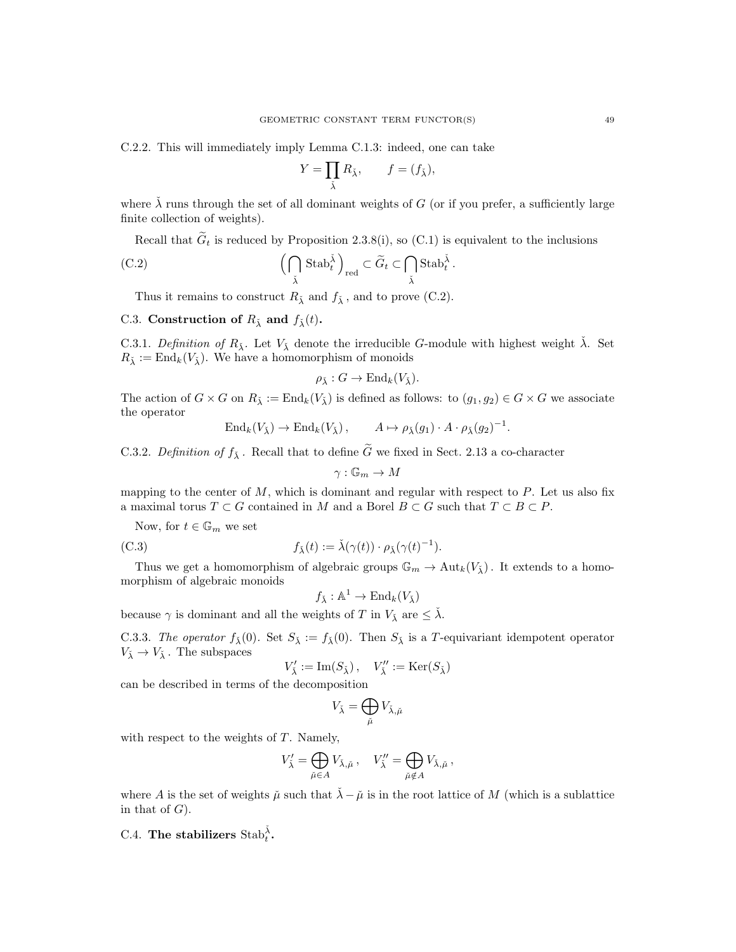C.2.2. This will immediately imply Lemma C.1.3: indeed, one can take

$$
Y = \prod_{\check\lambda} R_{\check\lambda}, \qquad f = (f_{\check\lambda}),
$$

where  $\lambda$  runs through the set of all dominant weights of G (or if you prefer, a sufficiently large finite collection of weights).

Recall that  $\widetilde{G}_t$  is reduced by Proposition 2.3.8(i), so (C.1) is equivalent to the inclusions

(C.2) 
$$
\left(\bigcap_{\tilde{\lambda}} \operatorname{Stab}_{t}^{\tilde{\lambda}}\right)_{\text{red}} \subset \widetilde{G}_{t} \subset \bigcap_{\tilde{\lambda}} \operatorname{Stab}_{t}^{\tilde{\lambda}}.
$$

Thus it remains to construct  $R_{\lambda}$  and  $f_{\lambda}$ , and to prove (C.2).

# C.3. Construction of  $R_{\lambda}$  and  $f_{\lambda}(t)$ .

C.3.1. Definition of  $R_{\lambda}$ . Let  $V_{\lambda}$  denote the irreducible G-module with highest weight  $\lambda$ . Set  $R_{\lambda} := \text{End}_{k}(V_{\lambda})$ . We have a homomorphism of monoids

$$
\rho_{\check{\lambda}}: G \to \mathrm{End}_k(V_{\check{\lambda}}).
$$

The action of  $G \times G$  on  $R_{\lambda} := \text{End}_k(V_{\lambda})$  is defined as follows: to  $(g_1, g_2) \in G \times G$  we associate the operator

$$
\operatorname{End}_k(V_{\check{\lambda}}) \to \operatorname{End}_k(V_{\check{\lambda}}), \qquad A \mapsto \rho_{\check{\lambda}}(g_1) \cdot A \cdot \rho_{\check{\lambda}}(g_2)^{-1}.
$$

C.3.2. Definition of  $f_{\lambda}$ . Recall that to define  $\widetilde{G}$  we fixed in Sect. 2.13 a co-character

$$
\gamma: \mathbb{G}_m \to M
$$

mapping to the center of  $M$ , which is dominant and regular with respect to  $P$ . Let us also fix a maximal torus  $T \subset G$  contained in M and a Borel  $B \subset G$  such that  $T \subset B \subset P$ .

Now, for  $t \in \mathbb{G}_m$  we set

(C.3) 
$$
f_{\check{\lambda}}(t) := \check{\lambda}(\gamma(t)) \cdot \rho_{\check{\lambda}}(\gamma(t)^{-1}).
$$

Thus we get a homomorphism of algebraic groups  $\mathbb{G}_m \to \text{Aut}_k(V_{\lambda})$ . It extends to a homomorphism of algebraic monoids

$$
f_{\check{\lambda}} : \mathbb{A}^1 \to \text{End}_k(V_{\check{\lambda}})
$$

because  $\gamma$  is dominant and all the weights of T in  $V_{\lambda}$  are  $\leq \lambda$ .

C.3.3. The operator  $f_{\lambda}(0)$ . Set  $S_{\lambda} := f_{\lambda}(0)$ . Then  $S_{\lambda}$  is a T-equivariant idempotent operator  $V_{\check{\lambda}}\to V_{\check{\lambda}}$  . The subspaces

$$
V'_{\check\lambda}:=\operatorname{Im}(S_{\check\lambda})\,,\quad V''_{\check\lambda}:=\operatorname{Ker}(S_{\check\lambda})
$$

can be described in terms of the decomposition

$$
V_{\check\lambda}=\bigoplus_{\check\mu}V_{\check\lambda,\check\mu}
$$

with respect to the weights of  $T$ . Namely,

$$
V'_{\tilde{\lambda}} = \bigoplus_{\tilde{\mu} \in A} V_{\tilde{\lambda}, \tilde{\mu}}, \quad V''_{\tilde{\lambda}} = \bigoplus_{\tilde{\mu} \notin A} V_{\tilde{\lambda}, \tilde{\mu}},
$$

where A is the set of weights  $\check{\mu}$  such that  $\check{\lambda} - \check{\mu}$  is in the root lattice of M (which is a sublattice in that of  $G$ ).

C.4. The stabilizers  $\text{Stab}_t^{\check{\lambda}}$ .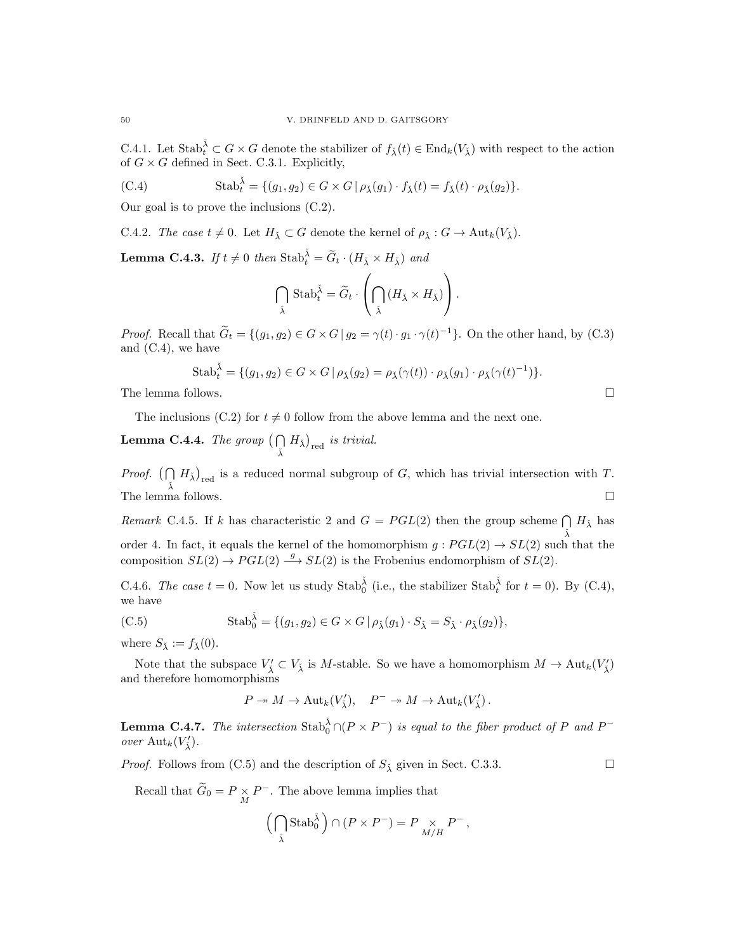C.4.1. Let  $\text{Stab}_t^{\check{\lambda}} \subset G \times G$  denote the stabilizer of  $f_{\check{\lambda}}(t) \in \text{End}_k(V_{\check{\lambda}})$  with respect to the action of  $G \times G$  defined in Sect. C.3.1. Explicitly,

(C.4) 
$$
\text{Stab}_{t}^{\tilde{\lambda}} = \{ (g_1, g_2) \in G \times G \mid \rho_{\tilde{\lambda}}(g_1) \cdot f_{\tilde{\lambda}}(t) = f_{\tilde{\lambda}}(t) \cdot \rho_{\tilde{\lambda}}(g_2) \}.
$$

Our goal is to prove the inclusions (C.2).

C.4.2. The case  $t \neq 0$ . Let  $H_{\check{\lambda}} \subset G$  denote the kernel of  $\rho_{\check{\lambda}} : G \to \text{Aut}_k(V_{\check{\lambda}})$ .

**Lemma C.4.3.** If  $t \neq 0$  then  $\text{Stab}_t^{\tilde{\lambda}} = \tilde{G}_t \cdot (H_{\tilde{\lambda}} \times H_{\tilde{\lambda}})$  and

$$
\bigcap_{\check\lambda}\operatorname{Stab}_t^{\check\lambda}=\widetilde{G}_t\cdot\left(\bigcap_{\check\lambda}\left(H_{\check\lambda}\times H_{\check\lambda}\right)\right).
$$

*Proof.* Recall that  $\tilde{G}_t = \{(g_1, g_2) \in G \times G \mid g_2 = \gamma(t) \cdot g_1 \cdot \gamma(t)^{-1}\}.$  On the other hand, by (C.3) and (C.4), we have

Stab<sub>t</sub><sup>$$
\tilde{\lambda}
$$</sup> = { $(g_1, g_2) \in G \times G | \rho_{\tilde{\lambda}}(g_2) = \rho_{\tilde{\lambda}}(\gamma(t)) \cdot \rho_{\tilde{\lambda}}(g_1) \cdot \rho_{\tilde{\lambda}}(\gamma(t)^{-1})$  }.

The lemma follows.  $\Box$ 

The inclusions (C.2) for  $t \neq 0$  follow from the above lemma and the next one.

**Lemma C.4.4.** The group  $\left(\bigcap$  $\bigcap_{\check{X}} H_{\check{X}}\big)_{\text{red}}$  is trivial.

*Proof.*  $(\bigcap$  $\bigcap_{\tilde{\lambda}} H_{\tilde{\lambda}}\big)_{\text{red}}$  is a reduced normal subgroup of G, which has trivial intersection with T. The lemma follows.  $\hfill \square$ 

Remark C.4.5. If k has characteristic 2 and  $G = PGL(2)$  then the group scheme  $\bigcap H_{\lambda}$  has  $\check{\lambda}$ order 4. In fact, it equals the kernel of the homomorphism  $g : PGL(2) \to SL(2)$  such that the composition  $SL(2) \rightarrow PGL(2) \stackrel{g}{\longrightarrow} SL(2)$  is the Frobenius endomorphism of  $SL(2)$ .

C.4.6. The case  $t = 0$ . Now let us study  $\text{Stab}_0^{\check{\lambda}}$  (i.e., the stabilizer  $\text{Stab}_t^{\check{\lambda}}$  for  $t = 0$ ). By (C.4), we have

(C.5) 
$$
\text{Stab}_0^{\check{\lambda}} = \{ (g_1, g_2) \in G \times G \mid \rho_{\check{\lambda}}(g_1) \cdot S_{\check{\lambda}} = S_{\check{\lambda}} \cdot \rho_{\check{\lambda}}(g_2) \},
$$

where  $S_{\check{\lambda}} := f_{\check{\lambda}}(0)$ .

Note that the subspace  $V'_\lambda \subset V_{\bar{\lambda}}$  is M-stable. So we have a homomorphism  $M \to \text{Aut}_k(V'_{\bar{\lambda}})$ and therefore homomorphisms

$$
P \twoheadrightarrow M \to \mathrm{Aut}_k(V'_{\check{\lambda}}), \quad P^- \twoheadrightarrow M \to \mathrm{Aut}_k(V'_{\check{\lambda}}).
$$

**Lemma C.4.7.** The intersection  $\text{Stab}_0^{\check{\lambda}} \cap (P \times P^-)$  is equal to the fiber product of P and P<sup>-</sup> over  $\mathrm{Aut}_k(V'_{\check{\lambda}})$ .

*Proof.* Follows from (C.5) and the description of  $S_{\lambda}$  given in Sect. C.3.3.

Recall that  $\widetilde{G}_0 = P \underset{M}{\times} P$ <sup>-</sup>. The above lemma implies that

$$
\Big(\bigcap_{\check\lambda}\operatorname{Stab}_0^{\check\lambda}\Big)\cap (P\times P^-)=P\underset{M/H}{\times}P^-\,,
$$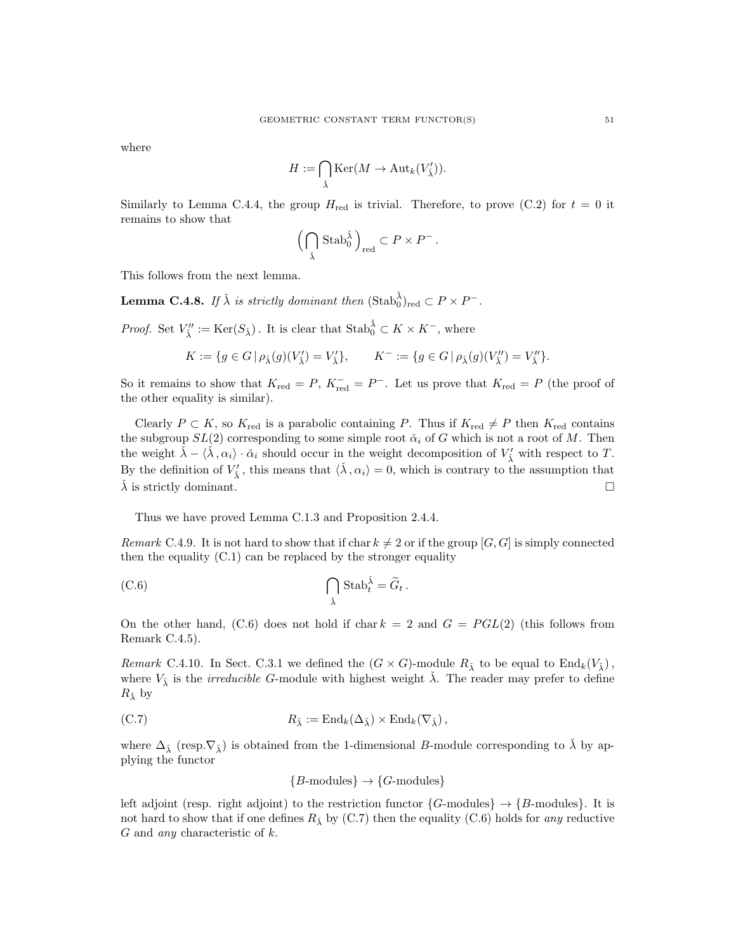where

$$
H := \bigcap_{\check\lambda} \text{Ker}(M \to \text{Aut}_k(V'_{\check\lambda})).
$$

Similarly to Lemma C.4.4, the group  $H_{\text{red}}$  is trivial. Therefore, to prove (C.2) for  $t = 0$  it remains to show that

$$
\left(\bigcap_{\check\lambda}\operatorname{Stab}_0^{\check\lambda}\right)_{\operatorname{red}}\subset P\times P^-\,.
$$

This follows from the next lemma.

**Lemma C.4.8.** If  $\check{\lambda}$  is strictly dominant then  $(\text{Stab}_0^{\check{\lambda}})_{\text{red}} \subset P \times P^-$ .

*Proof.* Set  $V''_{\check{\lambda}} := \text{Ker}(S_{\check{\lambda}})$ . It is clear that  $\text{Stab}_0^{\check{\lambda}} \subset K \times K^-$ , where

$$
K:=\{g\in G\,|\,\rho_{\check\lambda}(g)(V'_{\check\lambda})=V'_{\check\lambda}\},\qquad K^-:=\{g\in G\,|\,\rho_{\check\lambda}(g)(V''_{\check\lambda})=V''_{\check\lambda}\}.
$$

So it remains to show that  $K_{\text{red}} = P$ ,  $K_{\text{red}}^- = P^-$ . Let us prove that  $K_{\text{red}} = P$  (the proof of the other equality is similar).

Clearly  $P \subset K$ , so  $K_{\text{red}}$  is a parabolic containing P. Thus if  $K_{\text{red}} \neq P$  then  $K_{\text{red}}$  contains the subgroup  $SL(2)$  corresponding to some simple root  $\check{\alpha}_i$  of G which is not a root of M. Then the weight  $\check{\lambda} - \langle \check{\lambda}, \alpha_i \rangle \cdot \check{\alpha}_i$  should occur in the weight decomposition of  $V'_{\check{\lambda}}$  with respect to T. By the definition of  $V'_{\tilde{\lambda}}$ , this means that  $\langle \tilde{\lambda}, \alpha_i \rangle = 0$ , which is contrary to the assumption that  $\lambda$  is strictly dominant.

Thus we have proved Lemma C.1.3 and Proposition 2.4.4.

Remark C.4.9. It is not hard to show that if char  $k \neq 2$  or if the group [G, G] is simply connected then the equality (C.1) can be replaced by the stronger equality

(C.6) 
$$
\bigcap_{\check{\lambda}} \operatorname{Stab}_t^{\check{\lambda}} = \widetilde{G}_t.
$$

On the other hand, (C.6) does not hold if char  $k = 2$  and  $G = PGL(2)$  (this follows from Remark C.4.5).

Remark C.4.10. In Sect. C.3.1 we defined the  $(G \times G)$ -module  $R_{\lambda}^*$  to be equal to  $\text{End}_k(V_{\lambda})$ , where  $V_{\lambda}$  is the *irreducible G*-module with highest weight  $\lambda$ . The reader may prefer to define  $R_{\check{\lambda}}$  by

(C.7) 
$$
R_{\check{\lambda}} := \text{End}_k(\Delta_{\check{\lambda}}) \times \text{End}_k(\nabla_{\check{\lambda}}),
$$

where  $\Delta_{\lambda}$  (resp. $\nabla_{\lambda}$ ) is obtained from the 1-dimensional B-module corresponding to  $\lambda$  by applying the functor

$$
{B\text{-modules}} \rightarrow {G\text{-modules}}
$$

left adjoint (resp. right adjoint) to the restriction functor  $\{G\text{-modules}\}\rightarrow \{B\text{-modules}\}.$  It is not hard to show that if one defines  $R_{\lambda}$  by (C.7) then the equality (C.6) holds for any reductive G and any characteristic of k.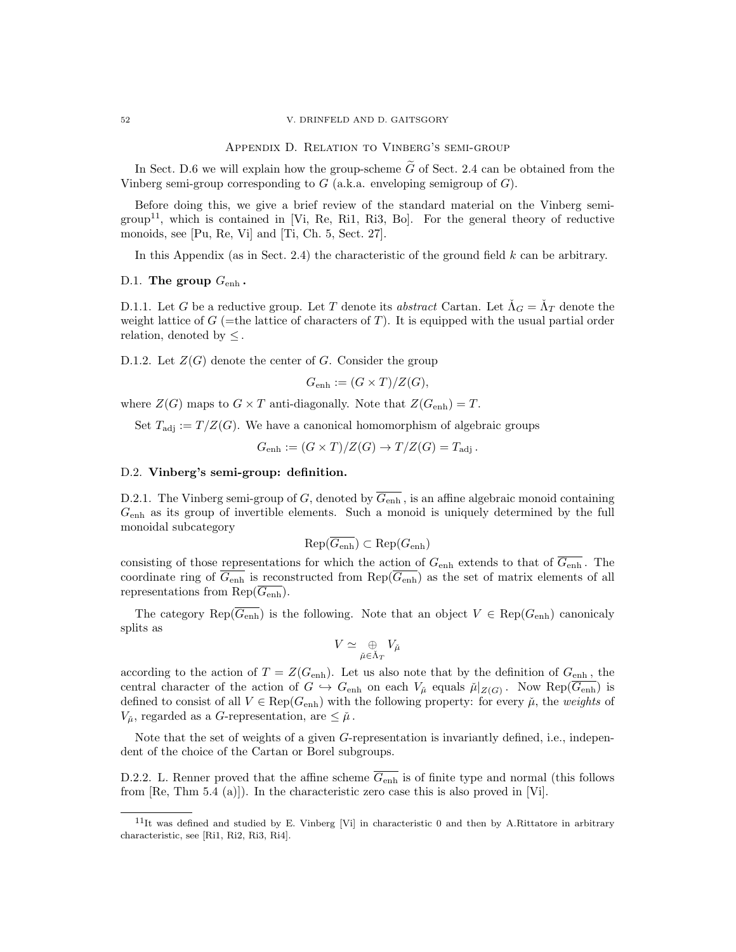#### 52 V. DRINFELD AND D. GAITSGORY

Appendix D. Relation to Vinberg's semi-group

In Sect. D.6 we will explain how the group-scheme  $\tilde{G}$  of Sect. 2.4 can be obtained from the Vinberg semi-group corresponding to  $G$  (a.k.a. enveloping semigroup of  $G$ ).

Before doing this, we give a brief review of the standard material on the Vinberg semi- $\text{group}^{11}$ , which is contained in [Vi, Re, Ri1, Ri3, Bo]. For the general theory of reductive monoids, see [Pu, Re, Vi] and [Ti, Ch. 5, Sect. 27].

In this Appendix (as in Sect. 2.4) the characteristic of the ground field  $k$  can be arbitrary.

### D.1. The group  $G_{\text{enh}}$ .

D.1.1. Let G be a reductive group. Let T denote its abstract Cartan. Let  $\check{\Lambda}_G = \check{\Lambda}_T$  denote the weight lattice of  $G$  (=the lattice of characters of T). It is equipped with the usual partial order relation, denoted by  $\leq$ .

D.1.2. Let  $Z(G)$  denote the center of G. Consider the group

$$
G_{\text{enh}} := (G \times T) / Z(G),
$$

where  $Z(G)$  maps to  $G \times T$  anti-diagonally. Note that  $Z(G_{\text{enh}}) = T$ .

Set  $T_{\text{adj}} := T/Z(G)$ . We have a canonical homomorphism of algebraic groups

 $G_{\text{enh}} := (G \times T)/Z(G) \rightarrow T/Z(G) = T_{\text{adj}}$ .

# D.2. Vinberg's semi-group: definition.

D.2.1. The Vinberg semi-group of G, denoted by  $\overline{G_{\text{enh}}}$ , is an affine algebraic monoid containing  $G<sub>enh</sub>$  as its group of invertible elements. Such a monoid is uniquely determined by the full monoidal subcategory

$$
\mathrm{Rep}(\overline{G_{\mathrm{enh}}}) \subset \mathrm{Rep}(G_{\mathrm{enh}})
$$

consisting of those representations for which the action of  $G_{\text{enh}}$  extends to that of  $\overline{G_{\text{enh}}}$ . The coordinate ring of  $\overline{G_{\text{enh}}}$  is reconstructed from Rep( $\overline{G_{\text{enh}}}$ ) as the set of matrix elements of all representations from  $\text{Rep}(\overline{G_{\text{enh}}})$ .

The category Rep( $\overline{G_{\text{enh}}}$ ) is the following. Note that an object  $V \in \text{Rep}(G_{\text{enh}})$  canonicaly splits as

$$
V \simeq \mathop{\oplus}_{\check{\mu} \in \check{\Lambda}_T} V_{\check{\mu}}
$$

according to the action of  $T = Z(G_{enh})$ . Let us also note that by the definition of  $G_{enh}$ , the central character of the action of  $G \hookrightarrow G_{\text{enh}}$  on each  $V_{\mu}$  equals  $\mu|_{Z(G)}$ . Now Rep $(G_{\text{enh}})$  is defined to consist of all  $V \in \text{Rep}(G_{\text{enh}})$  with the following property: for every  $\mu$ , the weights of  $V_{\mu}$ , regarded as a G-representation, are  $\leq \mu$ .

Note that the set of weights of a given G-representation is invariantly defined, i.e., independent of the choice of the Cartan or Borel subgroups.

D.2.2. L. Renner proved that the affine scheme  $\overline{G_{\text{enh}}}$  is of finite type and normal (this follows from [Re, Thm 5.4 (a)]). In the characteristic zero case this is also proved in [Vi].

 $11$ It was defined and studied by E. Vinberg [Vi] in characteristic 0 and then by A.Rittatore in arbitrary characteristic, see [Ri1, Ri2, Ri3, Ri4].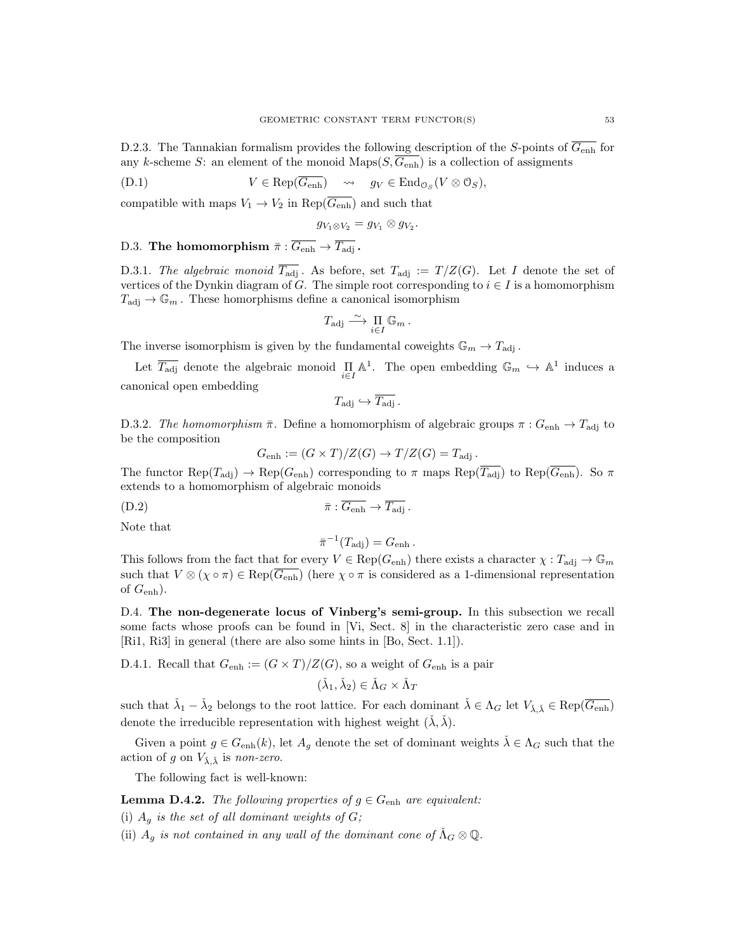D.2.3. The Tannakian formalism provides the following description of the S-points of  $\overline{G_{\text{enh}}}$  for any k-scheme S: an element of the monoid Maps $(S, \overline{G_{\text{enh}}})$  is a collection of assigments

$$
(D.1) \t V \in \text{Rep}(\overline{G_{\text{enh}}}) \quad \rightsquigarrow \quad g_V \in \text{End}_{\mathcal{O}_S}(V \otimes \mathcal{O}_S),
$$

compatible with maps  $V_1 \rightarrow V_2$  in Rep( $G_{\text{enh}}$ ) and such that

$$
g_{V_1\otimes V_2}=g_{V_1}\otimes g_{V_2}.
$$

D.3. The homomorphism  $\bar{\pi} : \overline{G_{\text{enh}}} \to \overline{T_{\text{adj}}}$ .

D.3.1. The algebraic monoid  $T_{\text{adj}}$ . As before, set  $T_{\text{adj}} := T/Z(G)$ . Let I denote the set of vertices of the Dynkin diagram of G. The simple root corresponding to  $i \in I$  is a homomorphism  $T_{\text{adj}} \to \mathbb{G}_m$ . These homorphisms define a canonical isomorphism

$$
T_{\mathrm{adj}} \xrightarrow{\sim} \prod_{i \in I} \mathbb{G}_m \, .
$$

The inverse isomorphism is given by the fundamental coweights  $\mathbb{G}_m \to T_{\text{adj}}$ .

Let  $\overline{T_{\text{adj}}}$  denote the algebraic monoid  $\prod_{i\in I} \mathbb{A}^1$ . The open embedding  $\mathbb{G}_m \hookrightarrow \mathbb{A}^1$  induces a canonical open embedding

$$
T_{\text{adj}} \hookrightarrow \overline{T_{\text{adj}}}.
$$

D.3.2. The homomorphism  $\bar{\pi}$ . Define a homomorphism of algebraic groups  $\pi$  :  $G_{\text{enh}} \to T_{\text{adj}}$  to be the composition

 $G_{\text{enh}} := (G \times T)/Z(G) \rightarrow T/Z(G) = T_{\text{adj}}$ .

The functor  $\text{Rep}(T_{\text{adj}}) \to \text{Rep}(G_{\text{enh}})$  corresponding to  $\pi$  maps  $\text{Rep}(\overline{T_{\text{adj}}})$  to  $\text{Rep}(\overline{G_{\text{enh}}})$ . So  $\pi$ extends to a homomorphism of algebraic monoids

$$
\bar{\pi}: \overline{G_{\text{enh}}}\to \overline{T_{\text{adj}}}.
$$

Note that

$$
\bar{\pi}^{-1}(T_{\rm adj}) = G_{\rm enh}.
$$

This follows from the fact that for every  $V \in \text{Rep}(G_{\text{enh}})$  there exists a character  $\chi : T_{\text{adj}} \to \mathbb{G}_m$ such that  $V \otimes (\chi \circ \pi) \in \text{Rep}(\overline{G_{\text{enh}}})$  (here  $\chi \circ \pi$  is considered as a 1-dimensional representation of  $G_{\text{enh}}$ ).

D.4. The non-degenerate locus of Vinberg's semi-group. In this subsection we recall some facts whose proofs can be found in [Vi, Sect. 8] in the characteristic zero case and in [Ri1, Ri3] in general (there are also some hints in [Bo, Sect. 1.1]).

D.4.1. Recall that  $G_{\text{enh}} := (G \times T)/Z(G)$ , so a weight of  $G_{\text{enh}}$  is a pair

$$
(\check{\lambda}_1, \check{\lambda}_2) \in \check{\Lambda}_G \times \check{\Lambda}_T
$$

such that  $\check{\lambda}_1 - \check{\lambda}_2$  belongs to the root lattice. For each dominant  $\check{\lambda} \in \Lambda_G$  let  $V_{\check{\lambda}, \check{\lambda}} \in \text{Rep}(\overline{G_{\text{enh}}})$ denote the irreducible representation with highest weight  $(\lambda, \lambda)$ .

Given a point  $g \in G_{\text{enh}}(k)$ , let  $A_g$  denote the set of dominant weights  $\lambda \in \Lambda_G$  such that the action of g on  $V_{\lambda,\lambda}$  is non-zero.

The following fact is well-known:

**Lemma D.4.2.** The following properties of  $g \in G_{\text{enh}}$  are equivalent:

(i)  $A_g$  is the set of all dominant weights of  $G$ ;

(ii)  $A_g$  is not contained in any wall of the dominant cone of  $\Lambda_G \otimes \mathbb{Q}$ .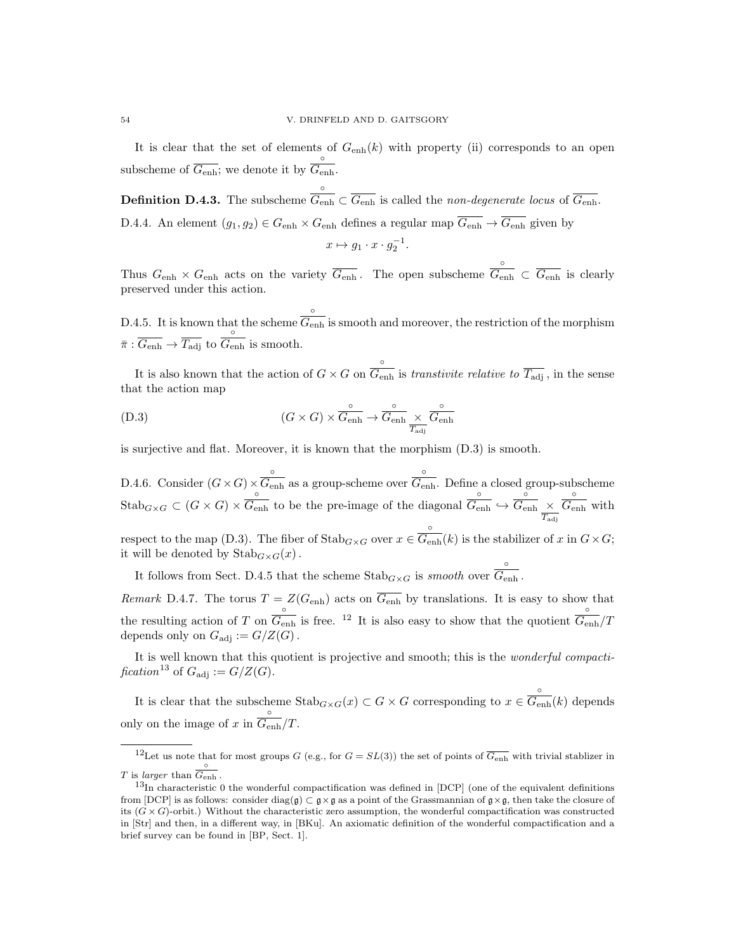It is clear that the set of elements of  $G_{\text{enh}}(k)$  with property (ii) corresponds to an open subscheme of  $G_{\text{enh}}$ ; we denote it by ◦  $G_{\operatorname{enh}}.$ 

Definition D.4.3. The subscheme ◦  $G_{\text{enh}} \subset G_{\text{enh}}$  is called the *non-degenerate locus* of  $G_{\text{enh}}$ . D.4.4. An element  $(g_1, g_2) \in G_{\text{enh}} \times G_{\text{enh}}$  defines a regular map  $\overline{G_{\text{enh}}} \to \overline{G_{\text{enh}}}$  given by

$$
x \mapsto g_1 \cdot x \cdot g_2^{-1}.
$$

Thus  $G_{\text{enh}} \times G_{\text{enh}}$  acts on the variety  $\overline{G_{\text{enh}}}$ . The open subscheme ◦  $\overline{G_{\text{enh}}} \subset \overline{G_{\text{enh}}}$  is clearly preserved under this action.

D.4.5. It is known that the scheme ◦  $G_{\text{enh}}$  is smooth and moreover, the restriction of the morphism  $\bar{\pi} : \overline{G_{\text{enh}}} \to \overline{T_{\text{adj}}}$  to ◦  $\overline{G_{\text{enh}}}$  is smooth.

It is also known that the action of  $G \times G$  on ◦  $G_{\text{enh}}$  is transtivite relative to  $T_{\text{adj}}$ , in the sense that the action map

(D.3) 
$$
(G \times G) \times \overbrace{G_{\text{enh}}}^{\circ} \to \overbrace{G_{\text{enh}}}^{\circ} \times \overbrace{G_{\text{enh}}}^{\circ}
$$

is surjective and flat. Moreover, it is known that the morphism (D.3) is smooth.

D.4.6. Consider  $(G\times G)\times$ ◦  $\overline{G_{\rm enh}}$  as a group-scheme over ◦  $\overline{G_{\rm enh}}$ . Define a closed group-subscheme  $\operatorname{Stab}_{G\times G}\subset(G\times G)\times$ ◦  $G_{\text{enh}}$  to be the pre-image of the diagonal ◦  $\overline{G_{\rm enh}} \hookrightarrow$ ◦  $\overline{G_{\rm enh}}~\times$  $T_\mathrm{adj}$ ◦  $G_{\text{enh}}$  with respect to the map (D.3). The fiber of  $\text{Stab}_{G\times G}$  over  $x \in$ ◦  $\overline{G_{\text{enh}}}(k)$  is the stabilizer of x in  $G \times G$ ; it will be denoted by  $\text{Stab}_{G\times G}(x)$ .

It follows from Sect. D.4.5 that the scheme  $\text{Stab}_{G\times G}$  is smooth over ◦  $G_{\operatorname{enh}}$  .

Remark D.4.7. The torus  $T = Z(G<sub>enh</sub>)$  acts on  $G<sub>enh</sub>$  by translations. It is easy to show that the resulting action of T on  $\frac{\circ}{G_{\text{enh}}}$  is free. <sup>12</sup> It is also easy to show that the quotient  $\frac{\circ}{G_{\text{en}}}$  $\overline{G_{\rm enh}}/T$ depends only on  $G_{\text{adi}} := G/Z(G)$ .

It is well known that this quotient is projective and smooth; this is the wonderful compactification<sup>13</sup> of  $G_{\text{adj}} := G/Z(G)$ .

It is clear that the subscheme  $\text{Stab}_{G\times G}(x) \subset G \times G$  corresponding to  $x \in$ ◦  $G_{\text{enh}}(k)$  depends only on the image of  $x$  in ◦  $G_{\rm enh}/T.$ 

<sup>&</sup>lt;sup>12</sup>Let us note that for most groups G (e.g., for  $G = SL(3)$ ) the set of points of  $\overline{G_{\text{enh}}}$  with trivial stablizer in T is *larger* than  $\frac{\circ}{G_{\text{enh}}}$ .

 $13$ In characteristic 0 the wonderful compactification was defined in [DCP] (one of the equivalent definitions from [DCP] is as follows: consider diag(g) ⊂ g  $\times$ g as a point of the Grassmannian of g  $\times$ g, then take the closure of its  $(G \times G)$ -orbit.) Without the characteristic zero assumption, the wonderful compactification was constructed in [Str] and then, in a different way, in [BKu]. An axiomatic definition of the wonderful compactification and a brief survey can be found in [BP, Sect. 1].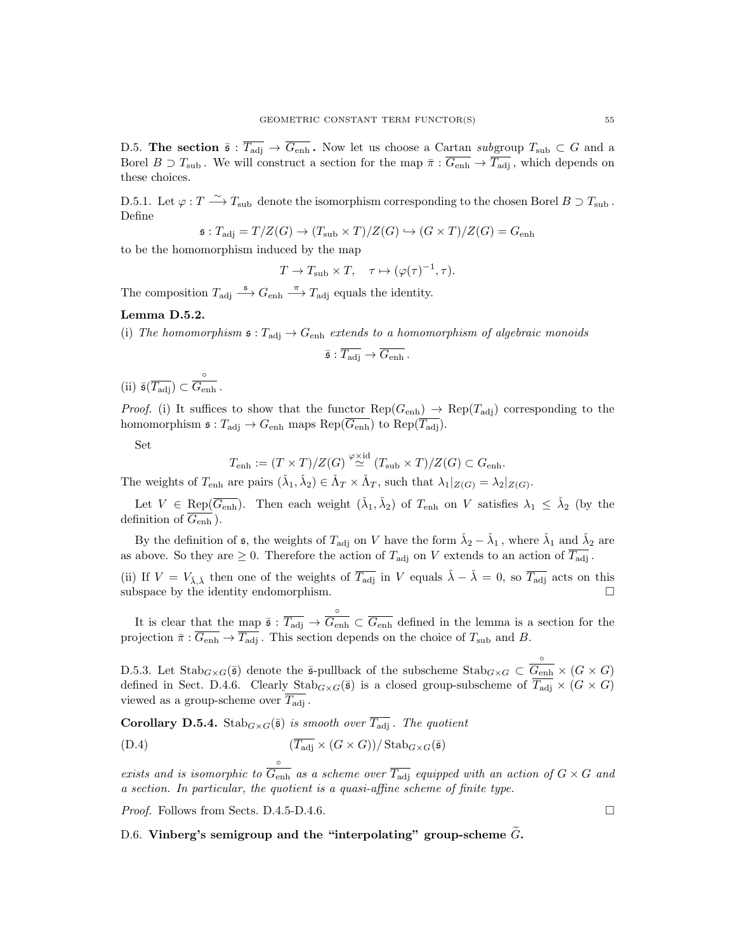D.5. The section  $\bar{s}: \overline{T_{\text{adj}}} \to \overline{G_{\text{enh}}}$ . Now let us choose a Cartan subgroup  $T_{\text{sub}} \subset G$  and a Borel  $B \supset T_{\text{sub}}$ . We will construct a section for the map  $\bar{\pi}: \overline{G_{\text{enh}}}\to \overline{T_{\text{adj}}}$ , which depends on these choices.

D.5.1. Let  $\varphi: T \stackrel{\sim}{\longrightarrow} T_{\text{sub}}$  denote the isomorphism corresponding to the chosen Borel  $B \supset T_{\text{sub}}$ . Define

$$
\mathfrak{s}:T_{\text{adj}} = T/Z(G) \to (T_{\text{sub}} \times T)/Z(G) \hookrightarrow (G \times T)/Z(G) = G_{\text{enh}}
$$

to be the homomorphism induced by the map

 $T \to T_{\text{sub}} \times T$ ,  $\tau \mapsto (\varphi(\tau)^{-1}, \tau)$ .

The composition  $T_{\text{adj}} \stackrel{\mathfrak{s}}{\longrightarrow} G_{\text{enh}} \stackrel{\pi}{\longrightarrow} T_{\text{adj}}$  equals the identity.

### Lemma D.5.2.

(i) The homomorphism  $\mathfrak{s}: T_{\text{adj}} \to G_{\text{enh}}$  extends to a homomorphism of algebraic monoids

$$
\bar{\mathfrak{s}}:\overline{T_{\mathrm{adj}}}\to\overline{G_{\mathrm{enh}}}.
$$

 $(i)$   $\bar{\mathfrak{s}}(\overline{T_{\text{adj}}})$  ⊂ ◦  $\overline{G_{\rm enh}}$  .

*Proof.* (i) It suffices to show that the functor  $\text{Rep}(G_{\text{enh}}) \to \text{Rep}(T_{\text{adj}})$  corresponding to the homomorphism  $\mathfrak{s}: T_{\text{adj}} \to G_{\text{enh}}$  maps  $\text{Rep}(\overline{G_{\text{enh}}})$  to  $\text{Rep}(\overline{T_{\text{adj}}})$ .

Set

$$
T_{\operatorname{enh}}:=(T\times T)/Z(G)\stackrel{\varphi\times\operatorname{id}}{\simeq}(T_{\operatorname{sub}}\times T)/Z(G)\subset G_{\operatorname{enh}}.
$$

The weights of  $T_{\text{enh}}$  are pairs  $(\check{\lambda}_1, \check{\lambda}_2) \in \check{\Lambda}_T \times \check{\Lambda}_T$ , such that  $\lambda_1|_{Z(G)} = \lambda_2|_{Z(G)}$ .

Let  $V \in \text{Rep}(\overline{G_{\text{enh}}})$ . Then each weight  $(\check{\lambda}_1, \check{\lambda}_2)$  of  $T_{\text{enh}}$  on V satisfies  $\lambda_1 \leq \check{\lambda}_2$  (by the definition of  $\overline{G_{\text{enh}}}$ ).

By the definition of  $\mathfrak{s}$ , the weights of  $T_{\text{adj}}$  on V have the form  $\check{\lambda}_2 - \check{\lambda}_1$ , where  $\check{\lambda}_1$  and  $\check{\lambda}_2$  are as above. So they are  $\geq 0$ . Therefore the action of  $T_{\text{adj}}$  on V extends to an action of  $\overline{T_{\text{adj}}}$ .

(ii) If  $V = V_{\lambda,\tilde{\lambda}}$  then one of the weights of  $\overline{T_{\text{adj}}}$  in V equals  $\tilde{\lambda} - \tilde{\lambda} = 0$ , so  $\overline{T_{\text{adj}}}$  acts on this subspace by the identity endomorphism.  $\square$ 

It is clear that the map  $\bar{\mathfrak{s}}$  :  $\overline{T_{\text{adj}}} \to$ ◦  $G_{\text{enh}} \subset G_{\text{enh}}$  defined in the lemma is a section for the projection  $\bar{\pi}: \overline{G_{\text{enh}}} \to \overline{T_{\text{adj}}}$ . This section depends on the choice of  $T_{\text{sub}}$  and B.

D.5.3. Let  $\text{Stab}_{G\times G}(\bar{\mathfrak{s}})$  denote the  $\bar{\mathfrak{s}}$ -pullback of the subscheme  $\text{Stab}_{G\times G}\subset$ ◦  $G_{\text{enh}} \times (G \times G)$ defined in Sect. D.4.6. Clearly  $\text{Stab}_{G\times G}(\bar{\mathfrak{s}})$  is a closed group-subscheme of  $\overline{T_{\text{adj}}} \times (G \times G)$ viewed as a group-scheme over  $\overline{T_{\text{adj}}}$ .

**Corollary D.5.4.** Stab<sub>G×G</sub>( $\bar{s}$ ) is smooth over  $\overline{T_{\text{adj}}}$ . The quotient

(D.4) 
$$
\frac{(T_{\text{adj}} \times (G \times G))}{\delta} \times \frac{1}{\text{Stab}_{G \times G}(\bar{\mathfrak{s}})}
$$

exists and is isomorphic to  $\overline{G_{\rm enh}}$  as a scheme over  $\overline{T_{\rm adj}}$  equipped with an action of  $G\times G$  and a section. In particular, the quotient is a quasi-affine scheme of finite type.

*Proof.* Follows from Sects. D.4.5-D.4.6.

# D.6. Vinberg's semigroup and the "interpolating" group-scheme  $\tilde{G}$ .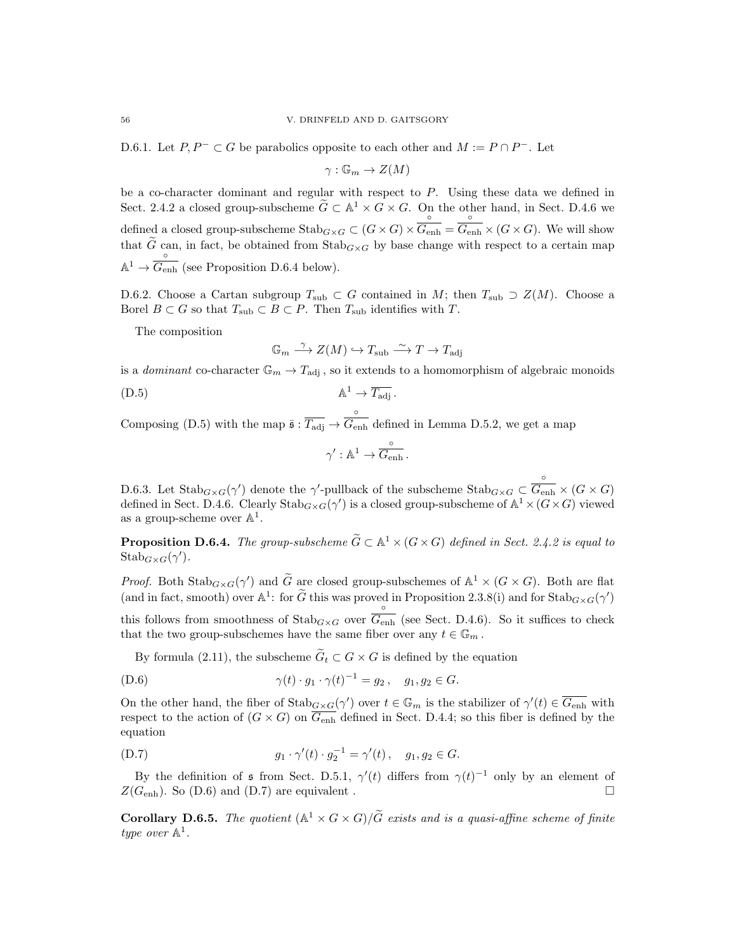D.6.1. Let  $P, P^- \subset G$  be parabolics opposite to each other and  $M := P \cap P^-$ . Let

 $\gamma : \mathbb{G}_m \to Z(M)$ 

be a co-character dominant and regular with respect to  $P$ . Using these data we defined in Sect. 2.4.2 a closed group-subscheme  $\widetilde{G} \subset \mathbb{A}^1 \times G \times G$ . On the other hand, in Sect. D.4.6 we defined a closed group-subscheme  $\operatorname{Stab}_{G\times G}\subset (G\times G)\times$ ◦  $G_{\operatorname{enh}} =$ ◦  $\overline{G_{\text{enh}}} \times (G \times G)$ . We will show that G can, in fact, be obtained from  $\text{Stab}_{G\times G}$  by base change with respect to a certain map  $\mathbb{A}^1 \to \overline{G_{\rm eq}}$  $G_{\text{enh}}$  (see Proposition D.6.4 below).

D.6.2. Choose a Cartan subgroup  $T_{sub} \subset G$  contained in M; then  $T_{sub} \supset Z(M)$ . Choose a Borel  $B \subset G$  so that  $T_{sub} \subset B \subset P$ . Then  $T_{sub}$  identifies with  $T$ .

The composition

$$
\mathbb{G}_m \stackrel{\gamma}{\longrightarrow} Z(M) \hookrightarrow T_{\text{sub}} \stackrel{\sim}{\longrightarrow} T \to T_{\text{adj}}
$$

is a *dominant* co-character  $\mathbb{G}_m \to T_{\text{adj}}$ , so it extends to a homomorphism of algebraic monoids

(D.5) A <sup>1</sup> → Tadj .

Composing (D.5) with the map  $\bar{\mathfrak{s}}$  :  $\overline{T_{\text{adj}}} \to$ ◦  $G_{\text{enh}}$  defined in Lemma D.5.2, we get a map

$$
\gamma':\mathbb{A}^1\to \overset{\circ}{G_{\operatorname{enh}}}.
$$

D.6.3. Let  $\text{Stab}_{G\times G}(\gamma')$  denote the  $\gamma'$ -pullback of the subscheme  $\text{Stab}_{G\times G}\subset$ ◦  $\overline{G_{\rm enh}}\times (G\times G)$ defined in Sect. D.4.6. Clearly  $\text{Stab}_{G\times G}(\gamma')$  is a closed group-subscheme of  $\mathbb{A}^1\times (G\times G)$  viewed as a group-scheme over  $\mathbb{A}^1$ .

**Proposition D.6.4.** The group-subscheme  $\widetilde{G} \subset \mathbb{A}^1 \times (G \times G)$  defined in Sect. 2.4.2 is equal to  $\mathrm{Stab}_{G\times G}(\gamma').$ 

*Proof.* Both  $\operatorname{Stab}_{G\times G}(\gamma')$  and  $\widetilde{G}$  are closed group-subschemes of  $\mathbb{A}^1\times (G\times G)$ . Both are flat (and in fact, smooth) over  $\mathbb{A}^1$ : for  $\widetilde{G}$  this was proved in Proposition 2.3.8(i) and for  $\text{Stab}_{G\times G}(\gamma')$ ◦

this follows from smoothness of  $\text{Stab}_{G\times G}$  over  $G_{\text{enh}}$  (see Sect. D.4.6). So it suffices to check that the two group-subschemes have the same fiber over any  $t \in \mathbb{G}_m$ .

By formula (2.11), the subscheme  $\widetilde{G}_t \subset G \times G$  is defined by the equation

(D.6) 
$$
\gamma(t) \cdot g_1 \cdot \gamma(t)^{-1} = g_2, \quad g_1, g_2 \in G.
$$

On the other hand, the fiber of  $\text{Stab}_{G\times G}(\gamma')$  over  $t\in\mathbb{G}_m$  is the stabilizer of  $\gamma'(t)\in\overline{G_{\text{enh}}}$  with respect to the action of  $(G \times G)$  on  $G_{\text{enh}}$  defined in Sect. D.4.4; so this fiber is defined by the equation

(D.7) 
$$
g_1 \cdot \gamma'(t) \cdot g_2^{-1} = \gamma'(t), \quad g_1, g_2 \in G.
$$

By the definition of  $\frak{s}$  from Sect. D.5.1,  $\gamma'(t)$  differs from  $\gamma(t)^{-1}$  only by an element of  $Z(G_{\text{enh}})$ . So (D.6) and (D.7) are equivalent .

**Corollary D.6.5.** The quotient  $(\mathbb{A}^1 \times G \times G)/\tilde{G}$  exists and is a quasi-affine scheme of finite type over  $\mathbb{A}^1$ .